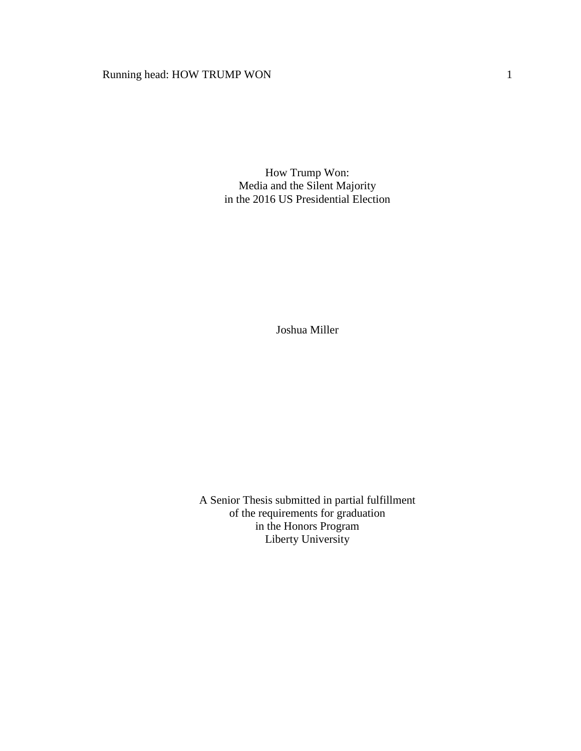# Running head: HOW TRUMP WON 1

How Trump Won: Media and the Silent Majority in the 2016 US Presidential Election

Joshua Miller

A Senior Thesis submitted in partial fulfillment of the requirements for graduation in the Honors Program Liberty University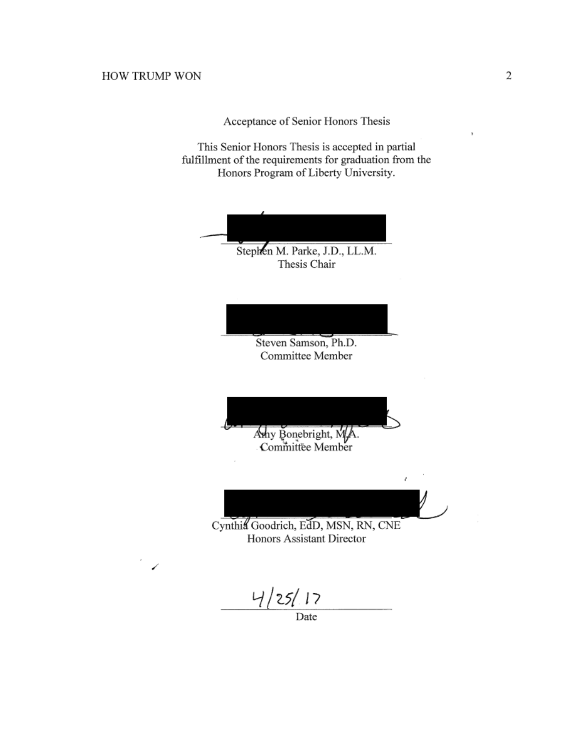Acceptance of Senior Honors Thesis

This Senior Honors Thesis is accepted in partial fulfillment of the requirements for graduation from the Honors Program of Liberty University.

Thesis Chair

\_\_\_\_\_\_\_\_\_\_\_\_\_\_\_\_\_\_\_\_\_\_\_\_\_\_\_\_\_\_ Stephen M. Parke, J.D., LL.M.

 $\overline{\phantom{a}}$ Steven Samson, Ph.D. Committee Member

 $\left(\frac{1}{2}, \frac{1}{2}, \frac{1}{2}, \frac{1}{2}, \frac{1}{2}, \frac{1}{2}, \frac{1}{2}, \frac{1}{2}, \frac{1}{2}, \frac{1}{2}, \frac{1}{2}, \frac{1}{2}, \frac{1}{2}, \frac{1}{2}, \frac{1}{2}, \frac{1}{2}, \frac{1}{2}, \frac{1}{2}, \frac{1}{2}, \frac{1}{2}, \frac{1}{2}, \frac{1}{2}, \frac{1}{2}, \frac{1}{2}, \frac{1}{2}, \frac{1}{2}, \frac{1}{2}, \frac{1}{2}, \frac{1}{2}, \frac{1}{2}, \frac{1}{2}, \$ Amy Bonebright, M.A. Committee Member

Cynthia Goodrich, EdD, MSN, RN, CNE Honors Assistant Director

 $\overline{\phantom{a}}$  ,  $\overline{\phantom{a}}$  ,  $\overline{\phantom{a}}$  ,  $\overline{\phantom{a}}$  ,  $\overline{\phantom{a}}$  ,  $\overline{\phantom{a}}$  ,  $\overline{\phantom{a}}$  ,  $\overline{\phantom{a}}$  ,  $\overline{\phantom{a}}$  ,  $\overline{\phantom{a}}$  ,  $\overline{\phantom{a}}$  ,  $\overline{\phantom{a}}$  ,  $\overline{\phantom{a}}$  ,  $\overline{\phantom{a}}$  ,  $\overline{\phantom{a}}$  ,  $\overline{\phantom{a}}$ 

4/25/17

Date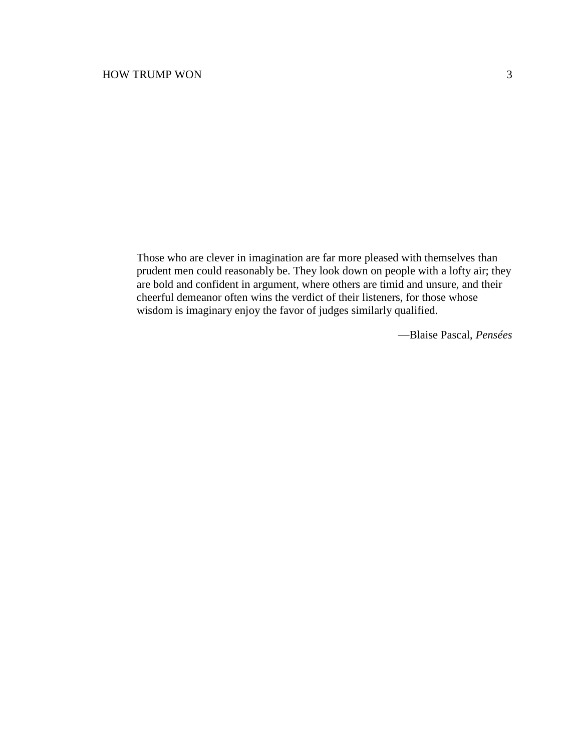Those who are clever in imagination are far more pleased with themselves than prudent men could reasonably be. They look down on people with a lofty air; they are bold and confident in argument, where others are timid and unsure, and their cheerful demeanor often wins the verdict of their listeners, for those whose wisdom is imaginary enjoy the favor of judges similarly qualified.

—Blaise Pascal, *Pensées*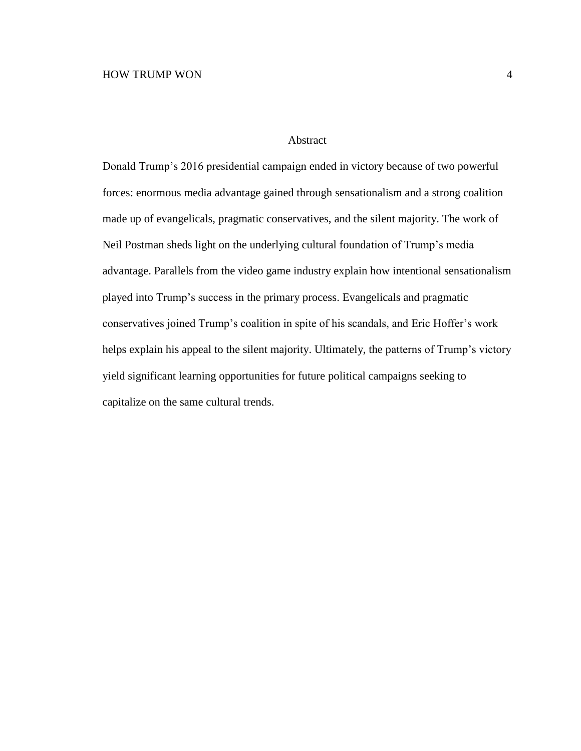#### Abstract

Donald Trump's 2016 presidential campaign ended in victory because of two powerful forces: enormous media advantage gained through sensationalism and a strong coalition made up of evangelicals, pragmatic conservatives, and the silent majority. The work of Neil Postman sheds light on the underlying cultural foundation of Trump's media advantage. Parallels from the video game industry explain how intentional sensationalism played into Trump's success in the primary process. Evangelicals and pragmatic conservatives joined Trump's coalition in spite of his scandals, and Eric Hoffer's work helps explain his appeal to the silent majority. Ultimately, the patterns of Trump's victory yield significant learning opportunities for future political campaigns seeking to capitalize on the same cultural trends.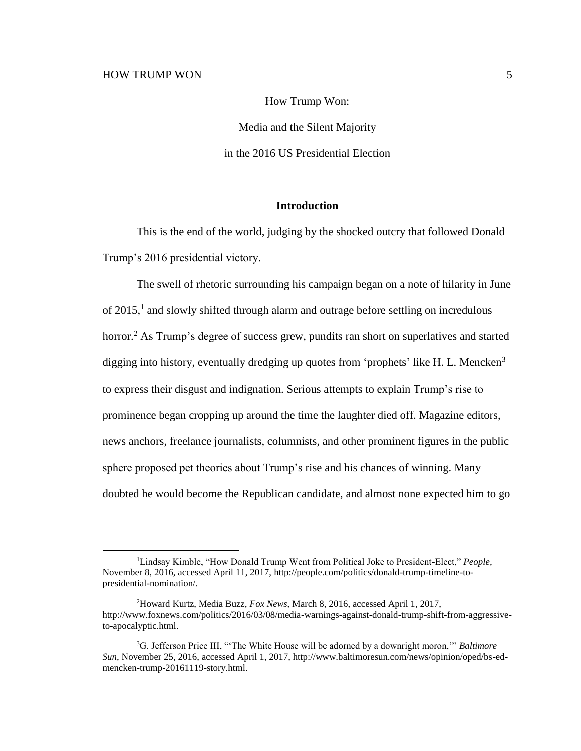How Trump Won: Media and the Silent Majority in the 2016 US Presidential Election

#### **Introduction**

This is the end of the world, judging by the shocked outcry that followed Donald Trump's 2016 presidential victory.

The swell of rhetoric surrounding his campaign began on a note of hilarity in June of 2015,<sup>1</sup> and slowly shifted through alarm and outrage before settling on incredulous horror.<sup>2</sup> As Trump's degree of success grew, pundits ran short on superlatives and started digging into history, eventually dredging up quotes from 'prophets' like H. L. Mencken<sup>3</sup> to express their disgust and indignation. Serious attempts to explain Trump's rise to prominence began cropping up around the time the laughter died off. Magazine editors, news anchors, freelance journalists, columnists, and other prominent figures in the public sphere proposed pet theories about Trump's rise and his chances of winning. Many doubted he would become the Republican candidate, and almost none expected him to go

<sup>1</sup>Lindsay Kimble, "How Donald Trump Went from Political Joke to President-Elect," *People,* November 8, 2016, accessed April 11, 2017, http://people.com/politics/donald-trump-timeline-topresidential-nomination/.

<sup>2</sup>Howard Kurtz, Media Buzz, *Fox News*, March 8, 2016, accessed April 1, 2017, http://www.foxnews.com/politics/2016/03/08/media-warnings-against-donald-trump-shift-from-aggressiveto-apocalyptic.html.

<sup>3</sup>G. Jefferson Price III, "'The White House will be adorned by a downright moron,'" *Baltimore Sun*, November 25, 2016, accessed April 1, 2017, http://www.baltimoresun.com/news/opinion/oped/bs-edmencken-trump-20161119-story.html.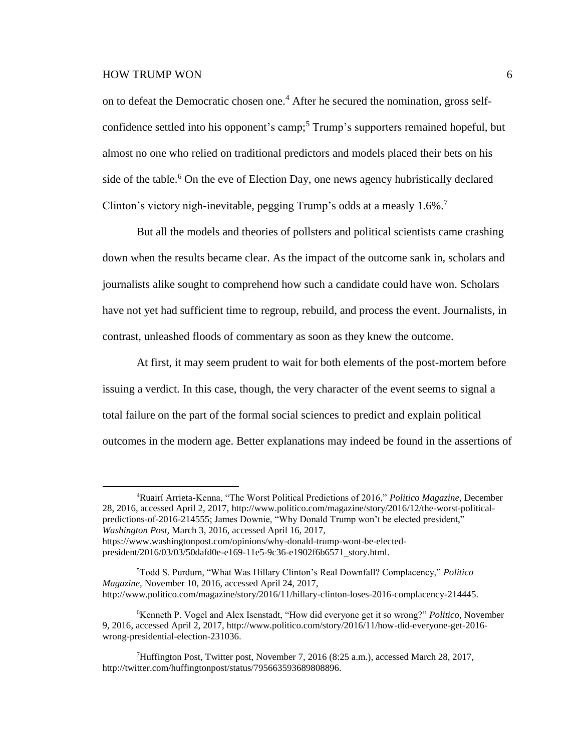$\overline{a}$ 

on to defeat the Democratic chosen one. <sup>4</sup> After he secured the nomination, gross selfconfidence settled into his opponent's camp; <sup>5</sup> Trump's supporters remained hopeful, but almost no one who relied on traditional predictors and models placed their bets on his side of the table.<sup>6</sup> On the eve of Election Day, one news agency hubristically declared Clinton's victory nigh-inevitable, pegging Trump's odds at a measly  $1.6\%$ <sup>7</sup>

But all the models and theories of pollsters and political scientists came crashing down when the results became clear. As the impact of the outcome sank in, scholars and journalists alike sought to comprehend how such a candidate could have won. Scholars have not yet had sufficient time to regroup, rebuild, and process the event. Journalists, in contrast, unleashed floods of commentary as soon as they knew the outcome.

At first, it may seem prudent to wait for both elements of the post-mortem before issuing a verdict. In this case, though, the very character of the event seems to signal a total failure on the part of the formal social sciences to predict and explain political outcomes in the modern age. Better explanations may indeed be found in the assertions of

<sup>4</sup>Ruairí Arrieta-Kenna, "The Worst Political Predictions of 2016," *Politico Magazine*, December 28, 2016, accessed April 2, 2017, http://www.politico.com/magazine/story/2016/12/the-worst-politicalpredictions-of-2016-214555; James Downie, "Why Donald Trump won't be elected president," *Washington Post,* March 3, 2016, accessed April 16, 2017, https://www.washingtonpost.com/opinions/why-donald-trump-wont-be-electedpresident/2016/03/03/50dafd0e-e169-11e5-9c36-e1902f6b6571\_story.html.

<sup>5</sup>Todd S. Purdum, "What Was Hillary Clinton's Real Downfall? Complacency," *Politico Magazine,* November 10, 2016, accessed April 24, 2017, http://www.politico.com/magazine/story/2016/11/hillary-clinton-loses-2016-complacency-214445.

<sup>6</sup>Kenneth P. Vogel and Alex Isenstadt, "How did everyone get it so wrong?" *Politico*, November 9, 2016, accessed April 2, 2017, http://www.politico.com/story/2016/11/how-did-everyone-get-2016 wrong-presidential-election-231036.

<sup>7</sup>Huffington Post, Twitter post, November 7, 2016 (8:25 a.m.), accessed March 28, 2017, http://twitter.com/huffingtonpost/status/795663593689808896.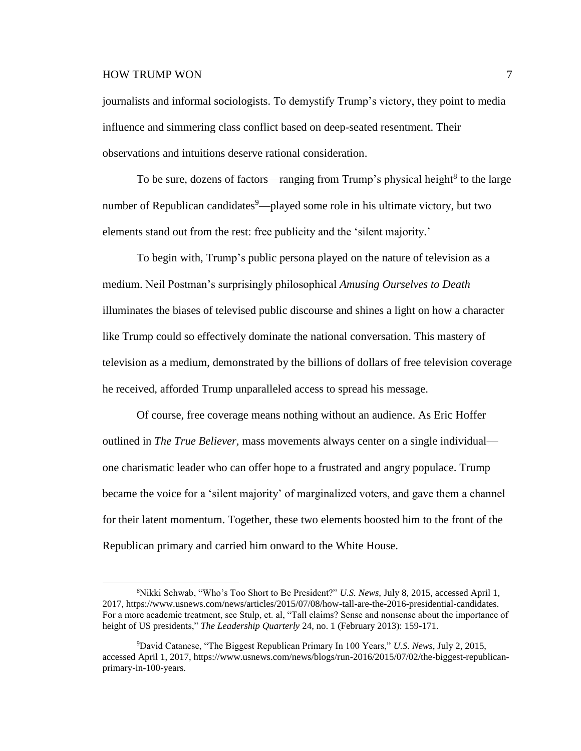# HOW TRUMP WON  $\frac{7}{3}$

 $\overline{a}$ 

journalists and informal sociologists. To demystify Trump's victory, they point to media influence and simmering class conflict based on deep-seated resentment. Their observations and intuitions deserve rational consideration.

To be sure, dozens of factors—ranging from Trump's physical height<sup>8</sup> to the large number of Republican candidates<sup>9</sup>—played some role in his ultimate victory, but two elements stand out from the rest: free publicity and the 'silent majority.'

To begin with, Trump's public persona played on the nature of television as a medium. Neil Postman's surprisingly philosophical *Amusing Ourselves to Death* illuminates the biases of televised public discourse and shines a light on how a character like Trump could so effectively dominate the national conversation. This mastery of television as a medium, demonstrated by the billions of dollars of free television coverage he received, afforded Trump unparalleled access to spread his message.

Of course, free coverage means nothing without an audience. As Eric Hoffer outlined in *The True Believer,* mass movements always center on a single individual one charismatic leader who can offer hope to a frustrated and angry populace. Trump became the voice for a 'silent majority' of marginalized voters, and gave them a channel for their latent momentum. Together, these two elements boosted him to the front of the Republican primary and carried him onward to the White House.

<sup>8</sup>Nikki Schwab, "Who's Too Short to Be President?" *U.S. News*, July 8, 2015, accessed April 1, 2017, https://www.usnews.com/news/articles/2015/07/08/how-tall-are-the-2016-presidential-candidates. For a more academic treatment, see Stulp, et. al, "Tall claims? Sense and nonsense about the importance of height of US presidents," *The Leadership Quarterly* 24, no. 1 (February 2013): 159-171.

<sup>9</sup>David Catanese, "The Biggest Republican Primary In 100 Years," *U.S. News*, July 2, 2015, accessed April 1, 2017, https://www.usnews.com/news/blogs/run-2016/2015/07/02/the-biggest-republicanprimary-in-100-years.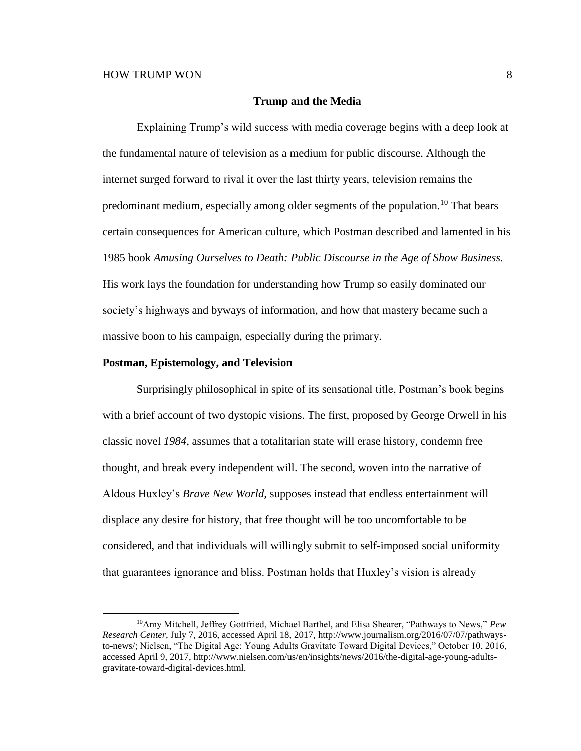#### **Trump and the Media**

Explaining Trump's wild success with media coverage begins with a deep look at the fundamental nature of television as a medium for public discourse. Although the internet surged forward to rival it over the last thirty years, television remains the predominant medium, especially among older segments of the population.<sup>10</sup> That bears certain consequences for American culture, which Postman described and lamented in his 1985 book *Amusing Ourselves to Death: Public Discourse in the Age of Show Business.* His work lays the foundation for understanding how Trump so easily dominated our society's highways and byways of information, and how that mastery became such a massive boon to his campaign, especially during the primary.

#### **Postman, Epistemology, and Television**

 $\overline{a}$ 

Surprisingly philosophical in spite of its sensational title, Postman's book begins with a brief account of two dystopic visions. The first, proposed by George Orwell in his classic novel *1984,* assumes that a totalitarian state will erase history, condemn free thought, and break every independent will. The second, woven into the narrative of Aldous Huxley's *Brave New World,* supposes instead that endless entertainment will displace any desire for history, that free thought will be too uncomfortable to be considered, and that individuals will willingly submit to self-imposed social uniformity that guarantees ignorance and bliss. Postman holds that Huxley's vision is already

<sup>10</sup>Amy Mitchell, Jeffrey Gottfried, Michael Barthel, and Elisa Shearer, "Pathways to News," *Pew Research Center,* July 7, 2016, accessed April 18, 2017, http://www.journalism.org/2016/07/07/pathwaysto-news/; Nielsen, "The Digital Age: Young Adults Gravitate Toward Digital Devices," October 10, 2016, accessed April 9, 2017, http://www.nielsen.com/us/en/insights/news/2016/the-digital-age-young-adultsgravitate-toward-digital-devices.html.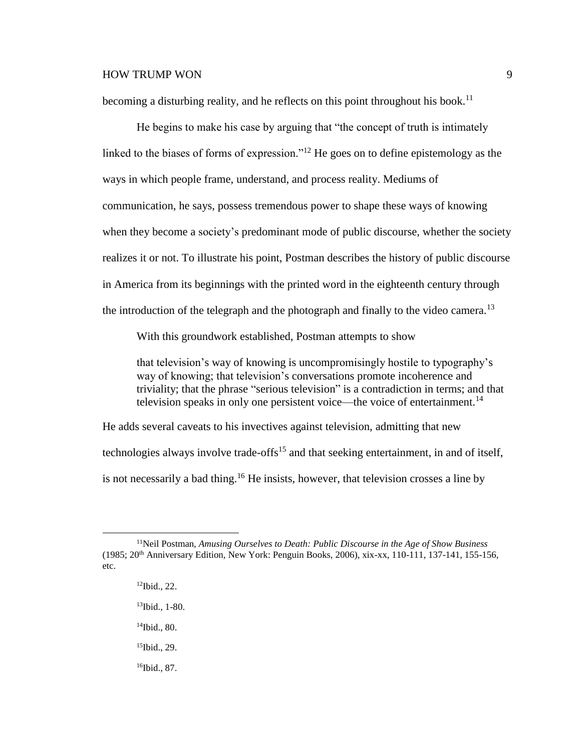becoming a disturbing reality, and he reflects on this point throughout his book.<sup>11</sup>

He begins to make his case by arguing that "the concept of truth is intimately linked to the biases of forms of expression."<sup>12</sup> He goes on to define epistemology as the ways in which people frame, understand, and process reality. Mediums of communication, he says, possess tremendous power to shape these ways of knowing when they become a society's predominant mode of public discourse, whether the society realizes it or not. To illustrate his point, Postman describes the history of public discourse in America from its beginnings with the printed word in the eighteenth century through the introduction of the telegraph and the photograph and finally to the video camera.<sup>13</sup>

With this groundwork established, Postman attempts to show

that television's way of knowing is uncompromisingly hostile to typography's way of knowing; that television's conversations promote incoherence and triviality; that the phrase "serious television" is a contradiction in terms; and that television speaks in only one persistent voice—the voice of entertainment.<sup>14</sup>

He adds several caveats to his invectives against television, admitting that new technologies always involve trade-offs<sup>15</sup> and that seeking entertainment, in and of itself, is not necessarily a bad thing.<sup>16</sup> He insists, however, that television crosses a line by

<sup>12</sup>Ibid., 22. <sup>13</sup>Ibid., 1-80.

- <sup>14</sup>Ibid., 80.
- <sup>15</sup>Ibid., 29.
- 16Ibid., 87.

<sup>11</sup>Neil Postman, *Amusing Ourselves to Death: Public Discourse in the Age of Show Business* (1985; 20th Anniversary Edition, New York: Penguin Books, 2006), xix-xx, 110-111, 137-141, 155-156, etc.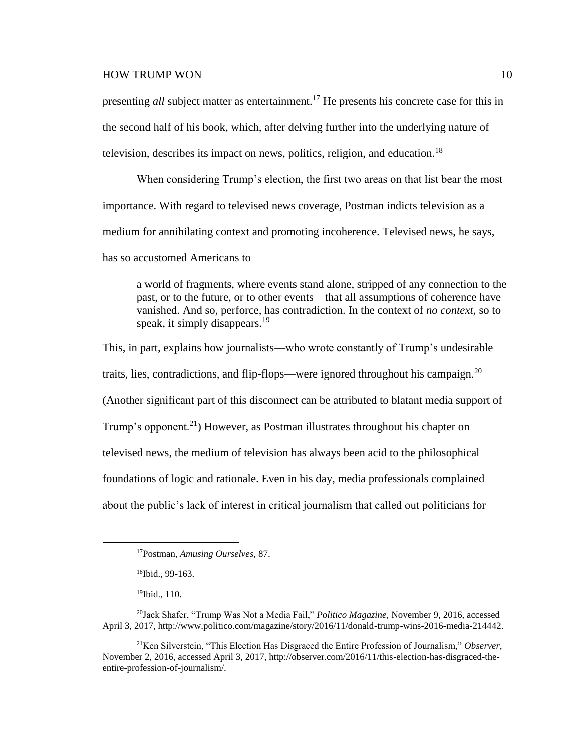## HOW TRUMP WON 2009 10

presenting *all* subject matter as entertainment. <sup>17</sup> He presents his concrete case for this in the second half of his book, which, after delving further into the underlying nature of television, describes its impact on news, politics, religion, and education.<sup>18</sup>

When considering Trump's election, the first two areas on that list bear the most importance. With regard to televised news coverage, Postman indicts television as a medium for annihilating context and promoting incoherence. Televised news, he says,

has so accustomed Americans to

a world of fragments, where events stand alone, stripped of any connection to the past, or to the future, or to other events—that all assumptions of coherence have vanished. And so, perforce, has contradiction. In the context of *no context,* so to speak, it simply disappears.<sup>19</sup>

This, in part, explains how journalists—who wrote constantly of Trump's undesirable traits, lies, contradictions, and flip-flops—were ignored throughout his campaign.<sup>20</sup> (Another significant part of this disconnect can be attributed to blatant media support of Trump's opponent.<sup>21</sup>) However, as Postman illustrates throughout his chapter on televised news, the medium of television has always been acid to the philosophical foundations of logic and rationale. Even in his day, media professionals complained about the public's lack of interest in critical journalism that called out politicians for

<sup>17</sup>Postman, *Amusing Ourselves,* 87.

<sup>18</sup>Ibid., 99-163.

 $19$ Ibid., 110.

<sup>20</sup>Jack Shafer, "Trump Was Not a Media Fail," *Politico Magazine,* November 9, 2016, accessed April 3, 2017, http://www.politico.com/magazine/story/2016/11/donald-trump-wins-2016-media-214442.

<sup>21</sup>Ken Silverstein, "This Election Has Disgraced the Entire Profession of Journalism," *Observer,* November 2, 2016, accessed April 3, 2017, http://observer.com/2016/11/this-election-has-disgraced-theentire-profession-of-journalism/.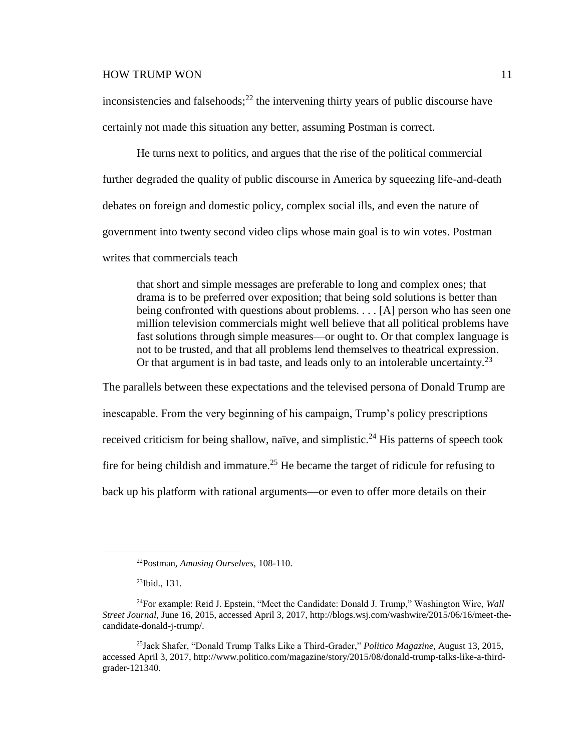inconsistencies and falsehoods; $^{22}$  the intervening thirty years of public discourse have certainly not made this situation any better, assuming Postman is correct.

He turns next to politics, and argues that the rise of the political commercial further degraded the quality of public discourse in America by squeezing life-and-death debates on foreign and domestic policy, complex social ills, and even the nature of government into twenty second video clips whose main goal is to win votes. Postman writes that commercials teach

that short and simple messages are preferable to long and complex ones; that drama is to be preferred over exposition; that being sold solutions is better than being confronted with questions about problems. . . . [A] person who has seen one million television commercials might well believe that all political problems have fast solutions through simple measures—or ought to. Or that complex language is not to be trusted, and that all problems lend themselves to theatrical expression. Or that argument is in bad taste, and leads only to an intolerable uncertainty.<sup>23</sup>

The parallels between these expectations and the televised persona of Donald Trump are inescapable. From the very beginning of his campaign, Trump's policy prescriptions received criticism for being shallow, naïve, and simplistic.<sup>24</sup> His patterns of speech took fire for being childish and immature.<sup>25</sup> He became the target of ridicule for refusing to back up his platform with rational arguments—or even to offer more details on their

<sup>22</sup>Postman, *Amusing Ourselves,* 108-110.

<sup>23</sup>Ibid., 131.

<sup>24</sup>For example: Reid J. Epstein, "Meet the Candidate: Donald J. Trump," Washington Wire, *Wall Street Journal,* June 16, 2015, accessed April 3, 2017, http://blogs.wsj.com/washwire/2015/06/16/meet-thecandidate-donald-j-trump/.

<sup>25</sup>Jack Shafer, "Donald Trump Talks Like a Third-Grader," *Politico Magazine,* August 13, 2015, accessed April 3, 2017, http://www.politico.com/magazine/story/2015/08/donald-trump-talks-like-a-thirdgrader-121340.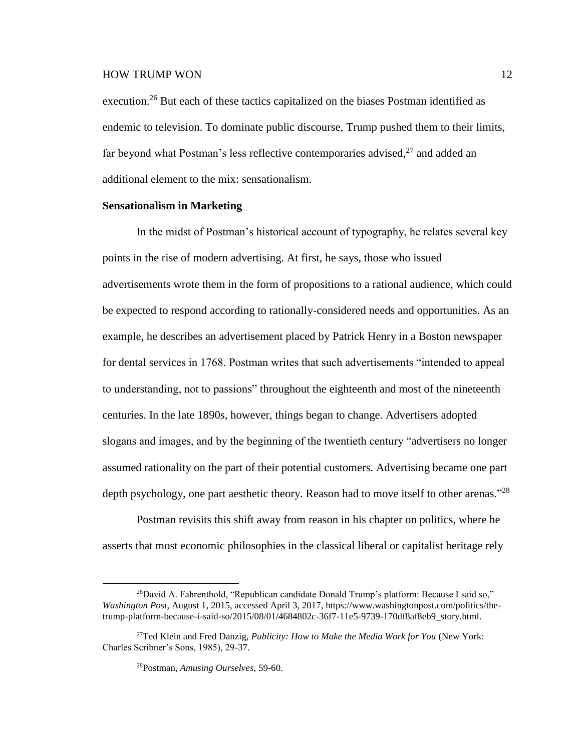execution.<sup>26</sup> But each of these tactics capitalized on the biases Postman identified as endemic to television. To dominate public discourse, Trump pushed them to their limits, far beyond what Postman's less reflective contemporaries advised, $^{27}$  and added an additional element to the mix: sensationalism.

#### **Sensationalism in Marketing**

In the midst of Postman's historical account of typography, he relates several key points in the rise of modern advertising. At first, he says, those who issued advertisements wrote them in the form of propositions to a rational audience, which could be expected to respond according to rationally-considered needs and opportunities. As an example, he describes an advertisement placed by Patrick Henry in a Boston newspaper for dental services in 1768. Postman writes that such advertisements "intended to appeal to understanding, not to passions" throughout the eighteenth and most of the nineteenth centuries. In the late 1890s, however, things began to change. Advertisers adopted slogans and images, and by the beginning of the twentieth century "advertisers no longer assumed rationality on the part of their potential customers. Advertising became one part depth psychology, one part aesthetic theory. Reason had to move itself to other arenas."<sup>28</sup>

Postman revisits this shift away from reason in his chapter on politics, where he asserts that most economic philosophies in the classical liberal or capitalist heritage rely

<sup>&</sup>lt;sup>26</sup>David A. Fahrenthold, "Republican candidate Donald Trump's platform: Because I said so," *Washington Post,* August 1, 2015, accessed April 3, 2017, https://www.washingtonpost.com/politics/thetrump-platform-because-i-said-so/2015/08/01/4684802c-36f7-11e5-9739-170df8af8eb9\_story.html.

<sup>27</sup>Ted Klein and Fred Danzig, *Publicity: How to Make the Media Work for You* (New York: Charles Scribner's Sons, 1985), 29-37.

<sup>28</sup>Postman, *Amusing Ourselves,* 59-60.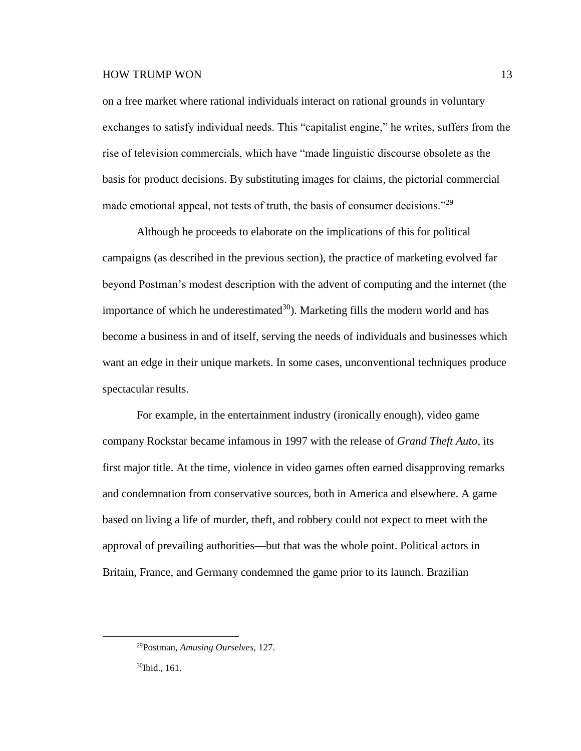on a free market where rational individuals interact on rational grounds in voluntary exchanges to satisfy individual needs. This "capitalist engine," he writes, suffers from the rise of television commercials, which have "made linguistic discourse obsolete as the basis for product decisions. By substituting images for claims, the pictorial commercial made emotional appeal, not tests of truth, the basis of consumer decisions."<sup>29</sup>

Although he proceeds to elaborate on the implications of this for political campaigns (as described in the previous section), the practice of marketing evolved far beyond Postman's modest description with the advent of computing and the internet (the importance of which he underestimated $30$ . Marketing fills the modern world and has become a business in and of itself, serving the needs of individuals and businesses which want an edge in their unique markets. In some cases, unconventional techniques produce spectacular results.

For example, in the entertainment industry (ironically enough), video game company Rockstar became infamous in 1997 with the release of *Grand Theft Auto*, its first major title. At the time, violence in video games often earned disapproving remarks and condemnation from conservative sources, both in America and elsewhere. A game based on living a life of murder, theft, and robbery could not expect to meet with the approval of prevailing authorities—but that was the whole point. Political actors in Britain, France, and Germany condemned the game prior to its launch. Brazilian

30Ibid., 161.

<sup>29</sup>Postman, *Amusing Ourselves,* 127.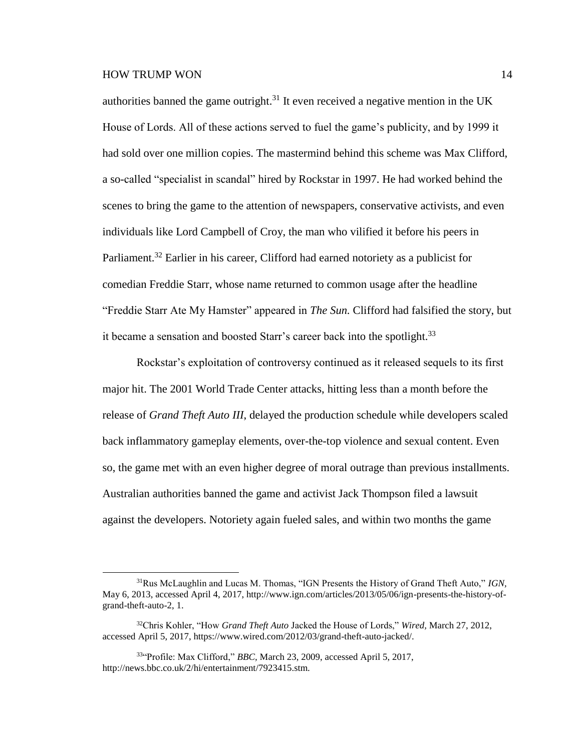$\overline{a}$ 

authorities banned the game outright.<sup>31</sup> It even received a negative mention in the UK House of Lords. All of these actions served to fuel the game's publicity, and by 1999 it had sold over one million copies. The mastermind behind this scheme was Max Clifford, a so-called "specialist in scandal" hired by Rockstar in 1997. He had worked behind the scenes to bring the game to the attention of newspapers, conservative activists, and even individuals like Lord Campbell of Croy, the man who vilified it before his peers in Parliament.<sup>32</sup> Earlier in his career, Clifford had earned notoriety as a publicist for comedian Freddie Starr, whose name returned to common usage after the headline "Freddie Starr Ate My Hamster" appeared in *The Sun.* Clifford had falsified the story, but it became a sensation and boosted Starr's career back into the spotlight.<sup>33</sup>

Rockstar's exploitation of controversy continued as it released sequels to its first major hit. The 2001 World Trade Center attacks, hitting less than a month before the release of *Grand Theft Auto III*, delayed the production schedule while developers scaled back inflammatory gameplay elements, over-the-top violence and sexual content. Even so, the game met with an even higher degree of moral outrage than previous installments. Australian authorities banned the game and activist Jack Thompson filed a lawsuit against the developers. Notoriety again fueled sales, and within two months the game

<sup>31</sup>Rus McLaughlin and Lucas M. Thomas, "IGN Presents the History of Grand Theft Auto," *IGN,* May 6, 2013, accessed April 4, 2017, http://www.ign.com/articles/2013/05/06/ign-presents-the-history-ofgrand-theft-auto-2, 1.

<sup>32</sup>Chris Kohler, "How *Grand Theft Auto* Jacked the House of Lords," *Wired,* March 27, 2012, accessed April 5, 2017, https://www.wired.com/2012/03/grand-theft-auto-jacked/.

<sup>33</sup>"Profile: Max Clifford," *BBC,* March 23, 2009, accessed April 5, 2017, http://news.bbc.co.uk/2/hi/entertainment/7923415.stm.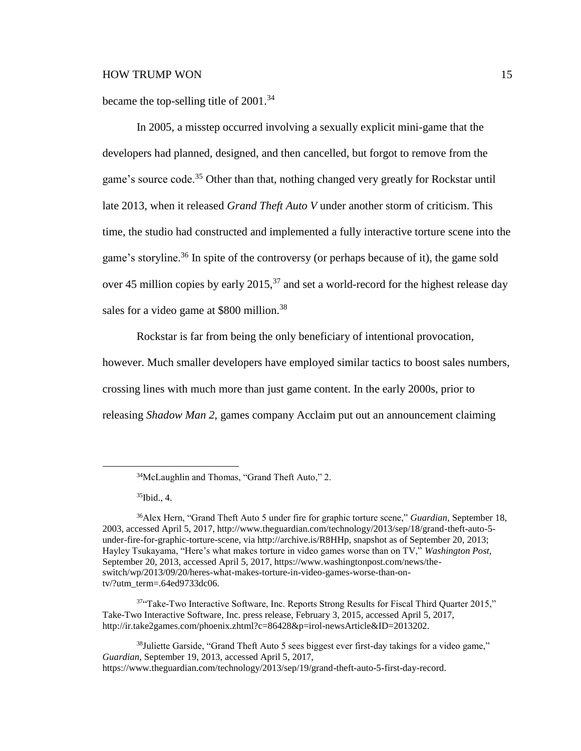became the top-selling title of  $2001.^{34}$ 

In 2005, a misstep occurred involving a sexually explicit mini-game that the developers had planned, designed, and then cancelled, but forgot to remove from the game's source code.<sup>35</sup> Other than that, nothing changed very greatly for Rockstar until late 2013, when it released *Grand Theft Auto V* under another storm of criticism. This time, the studio had constructed and implemented a fully interactive torture scene into the game's storyline.<sup>36</sup> In spite of the controversy (or perhaps because of it), the game sold over 45 million copies by early  $2015<sup>37</sup>$  and set a world-record for the highest release day sales for a video game at \$800 million.<sup>38</sup>

Rockstar is far from being the only beneficiary of intentional provocation, however. Much smaller developers have employed similar tactics to boost sales numbers, crossing lines with much more than just game content. In the early 2000s, prior to releasing *Shadow Man 2,* games company Acclaim put out an announcement claiming

 $35$ Ibid., 4.

<sup>34</sup>McLaughlin and Thomas, "Grand Theft Auto," 2.

<sup>36</sup>Alex Hern, "Grand Theft Auto 5 under fire for graphic torture scene," *Guardian,* September 18, 2003, accessed April 5, 2017, http://www.theguardian.com/technology/2013/sep/18/grand-theft-auto-5 under-fire-for-graphic-torture-scene, via http://archive.is/R8HHp, snapshot as of September 20, 2013; Hayley Tsukayama, "Here's what makes torture in video games worse than on TV," *Washington Post,* September 20, 2013, accessed April 5, 2017, https://www.washingtonpost.com/news/theswitch/wp/2013/09/20/heres-what-makes-torture-in-video-games-worse-than-ontv/?utm\_term=.64ed9733dc06.

 $37$ <sup>47</sup>Take-Two Interactive Software, Inc. Reports Strong Results for Fiscal Third Quarter 2015," Take-Two Interactive Software, Inc. press release, February 3, 2015, accessed April 5, 2017, http://ir.take2games.com/phoenix.zhtml?c=86428&p=irol-newsArticle&ID=2013202.

 $38$ Juliette Garside, "Grand Theft Auto 5 sees biggest ever first-day takings for a video game," *Guardian,* September 19, 2013, accessed April 5, 2017, https://www.theguardian.com/technology/2013/sep/19/grand-theft-auto-5-first-day-record.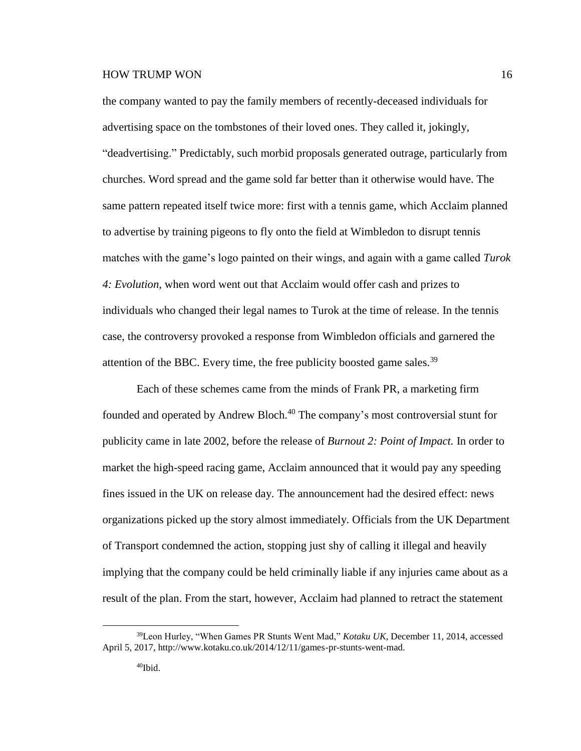the company wanted to pay the family members of recently-deceased individuals for advertising space on the tombstones of their loved ones. They called it, jokingly, "deadvertising." Predictably, such morbid proposals generated outrage, particularly from churches. Word spread and the game sold far better than it otherwise would have. The same pattern repeated itself twice more: first with a tennis game, which Acclaim planned to advertise by training pigeons to fly onto the field at Wimbledon to disrupt tennis matches with the game's logo painted on their wings, and again with a game called *Turok 4: Evolution,* when word went out that Acclaim would offer cash and prizes to individuals who changed their legal names to Turok at the time of release. In the tennis case, the controversy provoked a response from Wimbledon officials and garnered the attention of the BBC. Every time, the free publicity boosted game sales.<sup>39</sup>

Each of these schemes came from the minds of Frank PR, a marketing firm founded and operated by Andrew Bloch.<sup>40</sup> The company's most controversial stunt for publicity came in late 2002, before the release of *Burnout 2: Point of Impact.* In order to market the high-speed racing game, Acclaim announced that it would pay any speeding fines issued in the UK on release day. The announcement had the desired effect: news organizations picked up the story almost immediately. Officials from the UK Department of Transport condemned the action, stopping just shy of calling it illegal and heavily implying that the company could be held criminally liable if any injuries came about as a result of the plan. From the start, however, Acclaim had planned to retract the statement

<sup>39</sup>Leon Hurley, "When Games PR Stunts Went Mad," *Kotaku UK,* December 11, 2014, accessed April 5, 2017, http://www.kotaku.co.uk/2014/12/11/games-pr-stunts-went-mad.

<sup>40</sup>Ibid.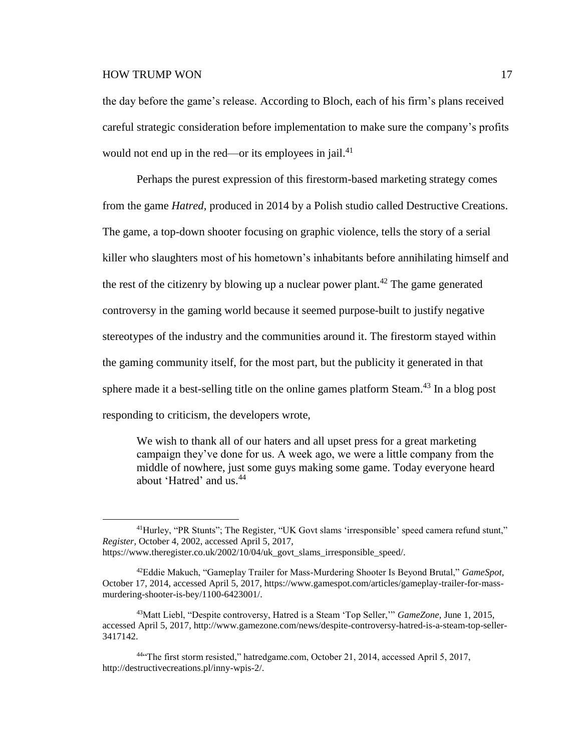$\overline{a}$ 

the day before the game's release. According to Bloch, each of his firm's plans received careful strategic consideration before implementation to make sure the company's profits would not end up in the red—or its employees in jail. $^{41}$ 

Perhaps the purest expression of this firestorm-based marketing strategy comes from the game *Hatred,* produced in 2014 by a Polish studio called Destructive Creations. The game, a top-down shooter focusing on graphic violence, tells the story of a serial killer who slaughters most of his hometown's inhabitants before annihilating himself and the rest of the citizenry by blowing up a nuclear power plant.<sup>42</sup> The game generated controversy in the gaming world because it seemed purpose-built to justify negative stereotypes of the industry and the communities around it. The firestorm stayed within the gaming community itself, for the most part, but the publicity it generated in that sphere made it a best-selling title on the online games platform Steam.<sup>43</sup> In a blog post responding to criticism, the developers wrote,

We wish to thank all of our haters and all upset press for a great marketing campaign they've done for us. A week ago, we were a little company from the middle of nowhere, just some guys making some game. Today everyone heard about 'Hatred' and us.<sup>44</sup>

<sup>41</sup>Hurley, "PR Stunts"; The Register, "UK Govt slams 'irresponsible' speed camera refund stunt," *Register,* October 4, 2002, accessed April 5, 2017,

https://www.theregister.co.uk/2002/10/04/uk\_govt\_slams\_irresponsible\_speed/.

<sup>42</sup>Eddie Makuch, "Gameplay Trailer for Mass-Murdering Shooter Is Beyond Brutal," *GameSpot,* October 17, 2014, accessed April 5, 2017, https://www.gamespot.com/articles/gameplay-trailer-for-massmurdering-shooter-is-bey/1100-6423001/.

<sup>43</sup>Matt Liebl, "Despite controversy, Hatred is a Steam 'Top Seller,'" *GameZone,* June 1, 2015, accessed April 5, 2017, http://www.gamezone.com/news/despite-controversy-hatred-is-a-steam-top-seller-3417142.

<sup>44</sup>"The first storm resisted," hatredgame.com, October 21, 2014, accessed April 5, 2017, http://destructivecreations.pl/inny-wpis-2/.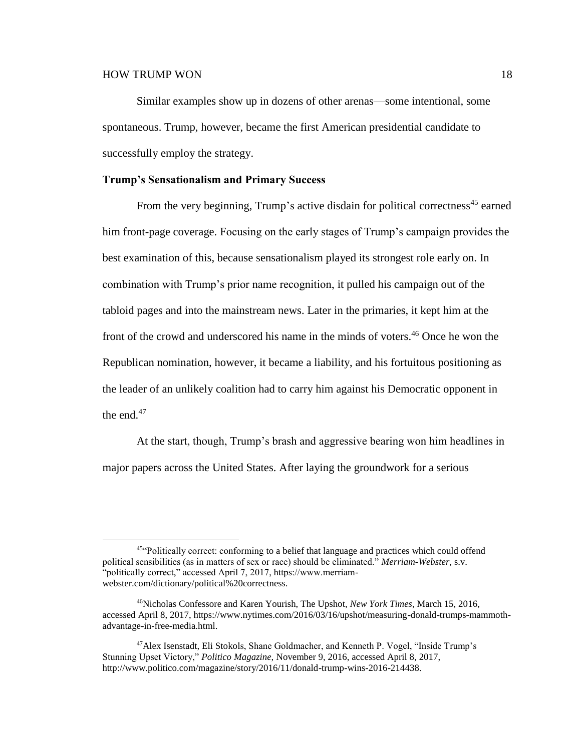Similar examples show up in dozens of other arenas—some intentional, some spontaneous. Trump, however, became the first American presidential candidate to successfully employ the strategy.

#### **Trump's Sensationalism and Primary Success**

From the very beginning, Trump's active disdain for political correctness<sup>45</sup> earned him front-page coverage. Focusing on the early stages of Trump's campaign provides the best examination of this, because sensationalism played its strongest role early on. In combination with Trump's prior name recognition, it pulled his campaign out of the tabloid pages and into the mainstream news. Later in the primaries, it kept him at the front of the crowd and underscored his name in the minds of voters. <sup>46</sup> Once he won the Republican nomination, however, it became a liability, and his fortuitous positioning as the leader of an unlikely coalition had to carry him against his Democratic opponent in the end. $47$ 

At the start, though, Trump's brash and aggressive bearing won him headlines in major papers across the United States. After laying the groundwork for a serious

<sup>45&</sup>lt;sup>c</sup>Politically correct: conforming to a belief that language and practices which could offend political sensibilities (as in matters of sex or race) should be eliminated." *Merriam-Webster,* s.v. "politically correct," accessed April 7, 2017, https://www.merriamwebster.com/dictionary/political%20correctness.

<sup>46</sup>Nicholas Confessore and Karen Yourish, The Upshot, *New York Times,* March 15, 2016, accessed April 8, 2017, https://www.nytimes.com/2016/03/16/upshot/measuring-donald-trumps-mammothadvantage-in-free-media.html.

<sup>47</sup>Alex Isenstadt, Eli Stokols, Shane Goldmacher, and Kenneth P. Vogel, "Inside Trump's Stunning Upset Victory," *Politico Magazine,* November 9, 2016, accessed April 8, 2017, http://www.politico.com/magazine/story/2016/11/donald-trump-wins-2016-214438.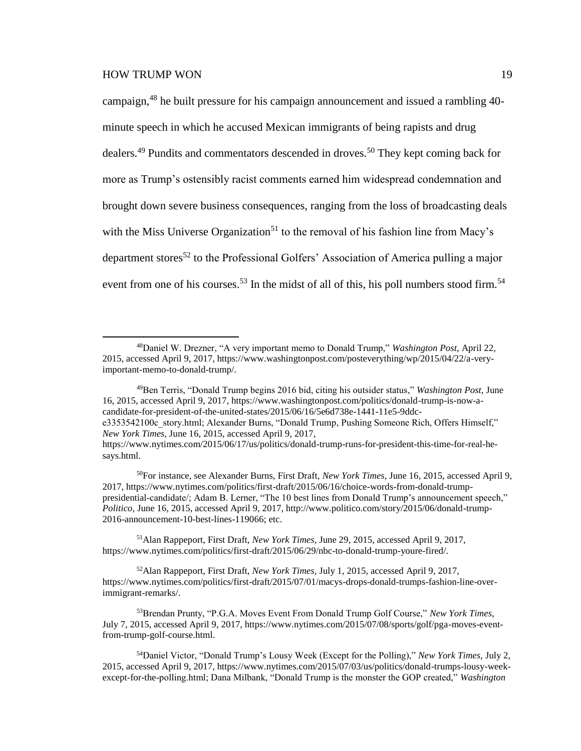$\overline{a}$ 

campaign,<sup>48</sup> he built pressure for his campaign announcement and issued a rambling 40minute speech in which he accused Mexican immigrants of being rapists and drug dealers.<sup>49</sup> Pundits and commentators descended in droves.<sup>50</sup> They kept coming back for more as Trump's ostensibly racist comments earned him widespread condemnation and brought down severe business consequences, ranging from the loss of broadcasting deals with the Miss Universe Organization<sup>51</sup> to the removal of his fashion line from Macy's department stores<sup>52</sup> to the Professional Golfers' Association of America pulling a major event from one of his courses.<sup>53</sup> In the midst of all of this, his poll numbers stood firm.<sup>54</sup>

*New York Times,* June 16, 2015, accessed April 9, 2017, https://www.nytimes.com/2015/06/17/us/politics/donald-trump-runs-for-president-this-time-for-real-he-

<sup>51</sup>Alan Rappeport, First Draft, *New York Times,* June 29, 2015, accessed April 9, 2017, https://www.nytimes.com/politics/first-draft/2015/06/29/nbc-to-donald-trump-youre-fired/.

<sup>52</sup>Alan Rappeport, First Draft, *New York Times,* July 1, 2015, accessed April 9, 2017, https://www.nytimes.com/politics/first-draft/2015/07/01/macys-drops-donald-trumps-fashion-line-overimmigrant-remarks/.

<sup>48</sup>Daniel W. Drezner, "A very important memo to Donald Trump," *Washington Post,* April 22, 2015, accessed April 9, 2017, https://www.washingtonpost.com/posteverything/wp/2015/04/22/a-veryimportant-memo-to-donald-trump/.

<sup>49</sup>Ben Terris, "Donald Trump begins 2016 bid, citing his outsider status," *Washington Post,* June 16, 2015, accessed April 9, 2017, https://www.washingtonpost.com/politics/donald-trump-is-now-acandidate-for-president-of-the-united-states/2015/06/16/5e6d738e-1441-11e5-9ddce3353542100c\_story.html; Alexander Burns, "Donald Trump, Pushing Someone Rich, Offers Himself,"

says.html.

<sup>50</sup>For instance, see Alexander Burns, First Draft, *New York Times,* June 16, 2015, accessed April 9, 2017, https://www.nytimes.com/politics/first-draft/2015/06/16/choice-words-from-donald-trumppresidential-candidate/; Adam B. Lerner, "The 10 best lines from Donald Trump's announcement speech," *Politico,* June 16, 2015, accessed April 9, 2017, http://www.politico.com/story/2015/06/donald-trump-2016-announcement-10-best-lines-119066; etc.

<sup>53</sup>Brendan Prunty, "P.G.A. Moves Event From Donald Trump Golf Course," *New York Times,* July 7, 2015, accessed April 9, 2017, https://www.nytimes.com/2015/07/08/sports/golf/pga-moves-eventfrom-trump-golf-course.html.

<sup>54</sup>Daniel Victor, "Donald Trump's Lousy Week (Except for the Polling)," *New York Times,* July 2, 2015, accessed April 9, 2017, https://www.nytimes.com/2015/07/03/us/politics/donald-trumps-lousy-weekexcept-for-the-polling.html; Dana Milbank, "Donald Trump is the monster the GOP created," *Washington*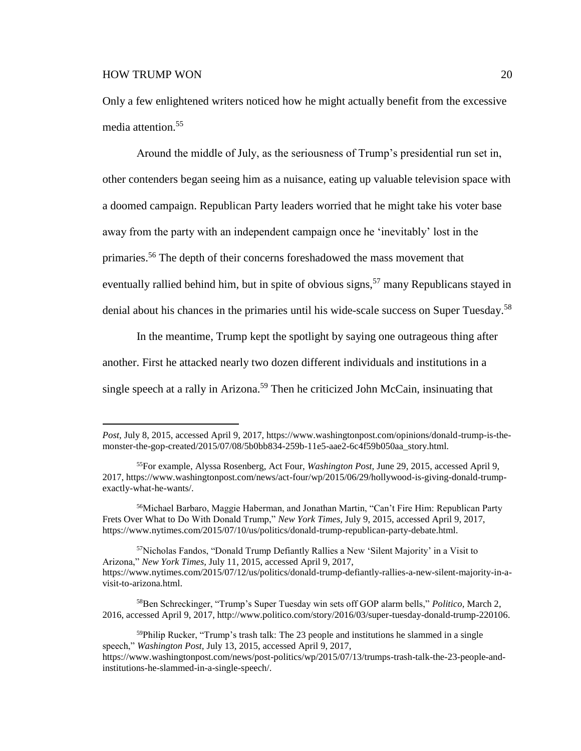$\overline{a}$ 

Only a few enlightened writers noticed how he might actually benefit from the excessive media attention.<sup>55</sup>

Around the middle of July, as the seriousness of Trump's presidential run set in, other contenders began seeing him as a nuisance, eating up valuable television space with a doomed campaign. Republican Party leaders worried that he might take his voter base away from the party with an independent campaign once he 'inevitably' lost in the primaries.<sup>56</sup> The depth of their concerns foreshadowed the mass movement that eventually rallied behind him, but in spite of obvious signs,<sup>57</sup> many Republicans stayed in denial about his chances in the primaries until his wide-scale success on Super Tuesday.<sup>58</sup>

In the meantime, Trump kept the spotlight by saying one outrageous thing after another. First he attacked nearly two dozen different individuals and institutions in a single speech at a rally in Arizona.<sup>59</sup> Then he criticized John McCain, insinuating that

*Post,* July 8, 2015, accessed April 9, 2017, https://www.washingtonpost.com/opinions/donald-trump-is-themonster-the-gop-created/2015/07/08/5b0bb834-259b-11e5-aae2-6c4f59b050aa\_story.html.

<sup>55</sup>For example, Alyssa Rosenberg, Act Four, *Washington Post,* June 29, 2015, accessed April 9, 2017, https://www.washingtonpost.com/news/act-four/wp/2015/06/29/hollywood-is-giving-donald-trumpexactly-what-he-wants/.

<sup>56</sup>Michael Barbaro, Maggie Haberman, and Jonathan Martin, "Can't Fire Him: Republican Party Frets Over What to Do With Donald Trump," *New York Times,* July 9, 2015, accessed April 9, 2017, https://www.nytimes.com/2015/07/10/us/politics/donald-trump-republican-party-debate.html.

<sup>&</sup>lt;sup>57</sup>Nicholas Fandos, "Donald Trump Defiantly Rallies a New 'Silent Majority' in a Visit to Arizona," *New York Times,* July 11, 2015, accessed April 9, 2017, https://www.nytimes.com/2015/07/12/us/politics/donald-trump-defiantly-rallies-a-new-silent-majority-in-avisit-to-arizona.html.

<sup>58</sup>Ben Schreckinger, "Trump's Super Tuesday win sets off GOP alarm bells," *Politico,* March 2, 2016, accessed April 9, 2017, http://www.politico.com/story/2016/03/super-tuesday-donald-trump-220106.

 $59$ Philip Rucker, "Trump's trash talk: The 23 people and institutions he slammed in a single speech," *Washington Post,* July 13, 2015, accessed April 9, 2017,

https://www.washingtonpost.com/news/post-politics/wp/2015/07/13/trumps-trash-talk-the-23-people-andinstitutions-he-slammed-in-a-single-speech/.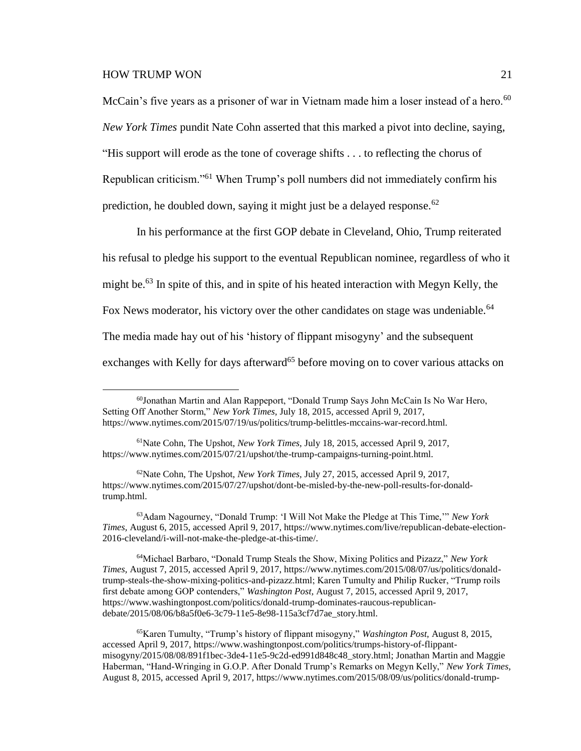$\overline{a}$ 

McCain's five years as a prisoner of war in Vietnam made him a loser instead of a hero.<sup>60</sup> *New York Times* pundit Nate Cohn asserted that this marked a pivot into decline, saying, "His support will erode as the tone of coverage shifts . . . to reflecting the chorus of Republican criticism."<sup>61</sup> When Trump's poll numbers did not immediately confirm his prediction, he doubled down, saying it might just be a delayed response.<sup>62</sup>

In his performance at the first GOP debate in Cleveland, Ohio, Trump reiterated his refusal to pledge his support to the eventual Republican nominee, regardless of who it might be.<sup>63</sup> In spite of this, and in spite of his heated interaction with Megyn Kelly, the Fox News moderator, his victory over the other candidates on stage was undeniable.<sup>64</sup> The media made hay out of his 'history of flippant misogyny' and the subsequent exchanges with Kelly for days afterward<sup>65</sup> before moving on to cover various attacks on

 $60$ Jonathan Martin and Alan Rappeport, "Donald Trump Says John McCain Is No War Hero, Setting Off Another Storm," *New York Times,* July 18, 2015, accessed April 9, 2017, https://www.nytimes.com/2015/07/19/us/politics/trump-belittles-mccains-war-record.html.

<sup>61</sup>Nate Cohn, The Upshot, *New York Times,* July 18, 2015, accessed April 9, 2017, https://www.nytimes.com/2015/07/21/upshot/the-trump-campaigns-turning-point.html.

<sup>62</sup>Nate Cohn, The Upshot, *New York Times,* July 27, 2015, accessed April 9, 2017, https://www.nytimes.com/2015/07/27/upshot/dont-be-misled-by-the-new-poll-results-for-donaldtrump.html.

<sup>63</sup>Adam Nagourney, "Donald Trump: 'I Will Not Make the Pledge at This Time,'" *New York Times,* August 6, 2015, accessed April 9, 2017, https://www.nytimes.com/live/republican-debate-election-2016-cleveland/i-will-not-make-the-pledge-at-this-time/.

<sup>64</sup>Michael Barbaro, "Donald Trump Steals the Show, Mixing Politics and Pizazz," *New York Times,* August 7, 2015, accessed April 9, 2017, https://www.nytimes.com/2015/08/07/us/politics/donaldtrump-steals-the-show-mixing-politics-and-pizazz.html; Karen Tumulty and Philip Rucker, "Trump roils first debate among GOP contenders," *Washington Post,* August 7, 2015, accessed April 9, 2017, https://www.washingtonpost.com/politics/donald-trump-dominates-raucous-republicandebate/2015/08/06/b8a5f0e6-3c79-11e5-8e98-115a3cf7d7ae\_story.html.

<sup>65</sup>Karen Tumulty, "Trump's history of flippant misogyny," *Washington Post,* August 8, 2015, accessed April 9, 2017, https://www.washingtonpost.com/politics/trumps-history-of-flippantmisogyny/2015/08/08/891f1bec-3de4-11e5-9c2d-ed991d848c48\_story.html; Jonathan Martin and Maggie Haberman, "Hand-Wringing in G.O.P. After Donald Trump's Remarks on Megyn Kelly," *New York Times,* August 8, 2015, accessed April 9, 2017, https://www.nytimes.com/2015/08/09/us/politics/donald-trump-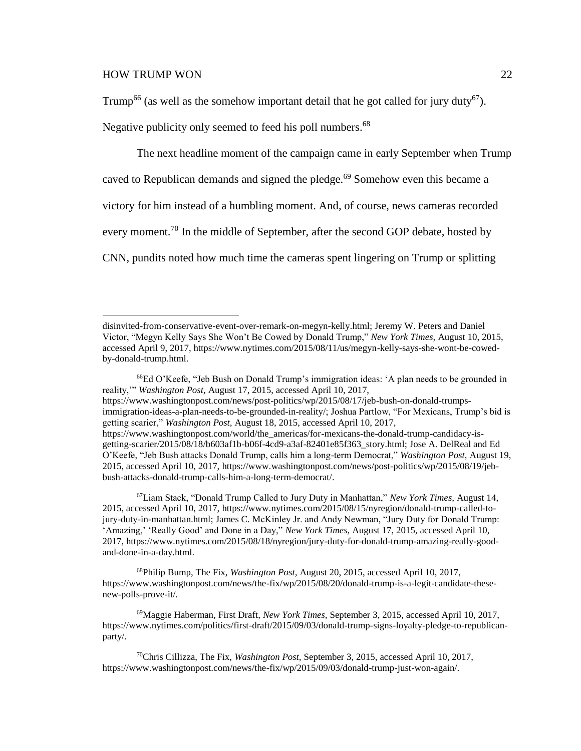$\overline{a}$ 

Trump<sup>66</sup> (as well as the somehow important detail that he got called for jury duty<sup>67</sup>).

Negative publicity only seemed to feed his poll numbers.<sup>68</sup>

The next headline moment of the campaign came in early September when Trump caved to Republican demands and signed the pledge.<sup>69</sup> Somehow even this became a victory for him instead of a humbling moment. And, of course, news cameras recorded every moment.<sup>70</sup> In the middle of September, after the second GOP debate, hosted by CNN, pundits noted how much time the cameras spent lingering on Trump or splitting

<sup>67</sup>Liam Stack, "Donald Trump Called to Jury Duty in Manhattan," *New York Times,* August 14, 2015, accessed April 10, 2017, https://www.nytimes.com/2015/08/15/nyregion/donald-trump-called-tojury-duty-in-manhattan.html; James C. McKinley Jr. and Andy Newman, "Jury Duty for Donald Trump: 'Amazing,' 'Really Good' and Done in a Day," *New York Times,* August 17, 2015, accessed April 10, 2017, https://www.nytimes.com/2015/08/18/nyregion/jury-duty-for-donald-trump-amazing-really-goodand-done-in-a-day.html.

<sup>68</sup>Philip Bump, The Fix, *Washington Post,* August 20, 2015, accessed April 10, 2017, https://www.washingtonpost.com/news/the-fix/wp/2015/08/20/donald-trump-is-a-legit-candidate-thesenew-polls-prove-it/.

<sup>69</sup>Maggie Haberman, First Draft, *New York Times,* September 3, 2015, accessed April 10, 2017, https://www.nytimes.com/politics/first-draft/2015/09/03/donald-trump-signs-loyalty-pledge-to-republicanparty/.

disinvited-from-conservative-event-over-remark-on-megyn-kelly.html; Jeremy W. Peters and Daniel Victor, "Megyn Kelly Says She Won't Be Cowed by Donald Trump," *New York Times,* August 10, 2015, accessed April 9, 2017, https://www.nytimes.com/2015/08/11/us/megyn-kelly-says-she-wont-be-cowedby-donald-trump.html.

<sup>66</sup>Ed O'Keefe, "Jeb Bush on Donald Trump's immigration ideas: 'A plan needs to be grounded in reality,'" *Washington Post,* August 17, 2015, accessed April 10, 2017, https://www.washingtonpost.com/news/post-politics/wp/2015/08/17/jeb-bush-on-donald-trumpsimmigration-ideas-a-plan-needs-to-be-grounded-in-reality/; Joshua Partlow, "For Mexicans, Trump's bid is getting scarier," *Washington Post,* August 18, 2015, accessed April 10, 2017, https://www.washingtonpost.com/world/the\_americas/for-mexicans-the-donald-trump-candidacy-isgetting-scarier/2015/08/18/b603af1b-b06f-4cd9-a3af-82401e85f363\_story.html; Jose A. DelReal and Ed O'Keefe, "Jeb Bush attacks Donald Trump, calls him a long-term Democrat," *Washington Post,* August 19, 2015, accessed April 10, 2017, https://www.washingtonpost.com/news/post-politics/wp/2015/08/19/jebbush-attacks-donald-trump-calls-him-a-long-term-democrat/.

<sup>70</sup>Chris Cillizza, The Fix, *Washington Post,* September 3, 2015, accessed April 10, 2017, https://www.washingtonpost.com/news/the-fix/wp/2015/09/03/donald-trump-just-won-again/.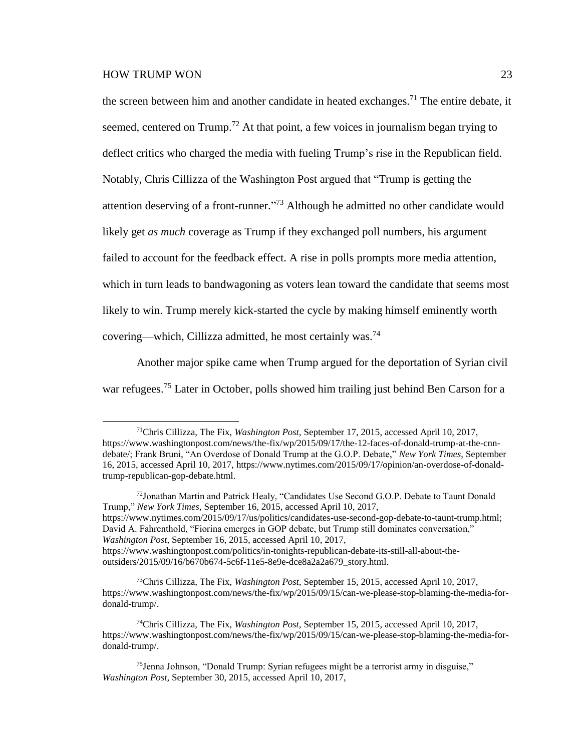the screen between him and another candidate in heated exchanges.<sup>71</sup> The entire debate, it seemed, centered on Trump.<sup>72</sup> At that point, a few voices in journalism began trying to deflect critics who charged the media with fueling Trump's rise in the Republican field. Notably, Chris Cillizza of the Washington Post argued that "Trump is getting the attention deserving of a front-runner."<sup>73</sup> Although he admitted no other candidate would likely get *as much* coverage as Trump if they exchanged poll numbers, his argument failed to account for the feedback effect. A rise in polls prompts more media attention, which in turn leads to bandwagoning as voters lean toward the candidate that seems most likely to win. Trump merely kick-started the cycle by making himself eminently worth covering—which, Cillizza admitted, he most certainly was.<sup>74</sup>

Another major spike came when Trump argued for the deportation of Syrian civil war refugees.<sup>75</sup> Later in October, polls showed him trailing just behind Ben Carson for a

<sup>72</sup>Jonathan Martin and Patrick Healy, "Candidates Use Second G.O.P. Debate to Taunt Donald Trump," *New York Times,* September 16, 2015, accessed April 10, 2017, https://www.nytimes.com/2015/09/17/us/politics/candidates-use-second-gop-debate-to-taunt-trump.html; David A. Fahrenthold, "Fiorina emerges in GOP debate, but Trump still dominates conversation," *Washington Post,* September 16, 2015, accessed April 10, 2017, https://www.washingtonpost.com/politics/in-tonights-republican-debate-its-still-all-about-theoutsiders/2015/09/16/b670b674-5c6f-11e5-8e9e-dce8a2a2a679\_story.html.

<sup>73</sup>Chris Cillizza, The Fix, *Washington Post,* September 15, 2015, accessed April 10, 2017, https://www.washingtonpost.com/news/the-fix/wp/2015/09/15/can-we-please-stop-blaming-the-media-fordonald-trump/.

<sup>71</sup>Chris Cillizza, The Fix, *Washington Post,* September 17, 2015, accessed April 10, 2017, https://www.washingtonpost.com/news/the-fix/wp/2015/09/17/the-12-faces-of-donald-trump-at-the-cnndebate/; Frank Bruni, "An Overdose of Donald Trump at the G.O.P. Debate," *New York Times,* September 16, 2015, accessed April 10, 2017, https://www.nytimes.com/2015/09/17/opinion/an-overdose-of-donaldtrump-republican-gop-debate.html.

<sup>74</sup>Chris Cillizza, The Fix, *Washington Post,* September 15, 2015, accessed April 10, 2017, https://www.washingtonpost.com/news/the-fix/wp/2015/09/15/can-we-please-stop-blaming-the-media-fordonald-trump/.

<sup>&</sup>lt;sup>75</sup>Jenna Johnson, "Donald Trump: Syrian refugees might be a terrorist army in disguise," *Washington Post,* September 30, 2015, accessed April 10, 2017,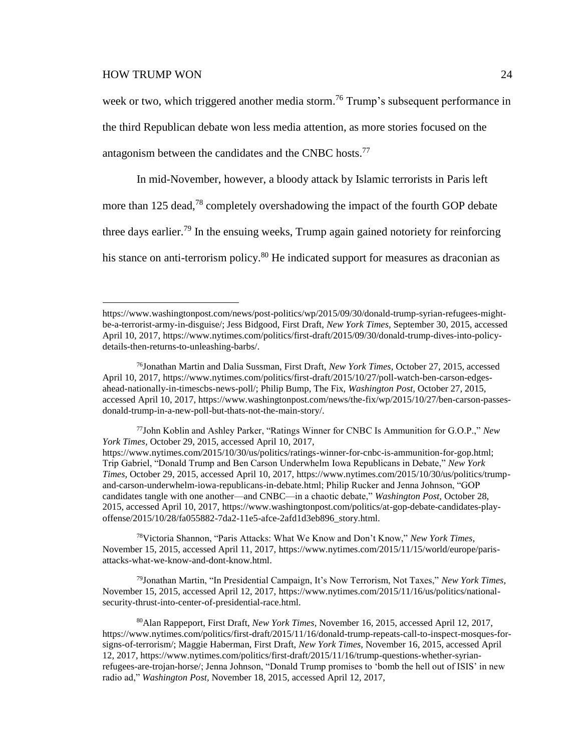$\overline{a}$ 

week or two, which triggered another media storm.<sup>76</sup> Trump's subsequent performance in the third Republican debate won less media attention, as more stories focused on the antagonism between the candidates and the CNBC hosts.<sup>77</sup>

In mid-November, however, a bloody attack by Islamic terrorists in Paris left more than 125 dead,<sup>78</sup> completely overshadowing the impact of the fourth GOP debate three days earlier.<sup>79</sup> In the ensuing weeks, Trump again gained notoriety for reinforcing his stance on anti-terrorism policy.<sup>80</sup> He indicated support for measures as draconian as

<sup>78</sup>Victoria Shannon, "Paris Attacks: What We Know and Don't Know," *New York Times,* November 15, 2015, accessed April 11, 2017, https://www.nytimes.com/2015/11/15/world/europe/parisattacks-what-we-know-and-dont-know.html.

<sup>79</sup>Jonathan Martin, "In Presidential Campaign, It's Now Terrorism, Not Taxes," *New York Times,* November 15, 2015, accessed April 12, 2017, https://www.nytimes.com/2015/11/16/us/politics/nationalsecurity-thrust-into-center-of-presidential-race.html.

https://www.washingtonpost.com/news/post-politics/wp/2015/09/30/donald-trump-syrian-refugees-mightbe-a-terrorist-army-in-disguise/; Jess Bidgood, First Draft, *New York Times,* September 30, 2015, accessed April 10, 2017, https://www.nytimes.com/politics/first-draft/2015/09/30/donald-trump-dives-into-policydetails-then-returns-to-unleashing-barbs/.

<sup>76</sup>Jonathan Martin and Dalia Sussman, First Draft, *New York Times,* October 27, 2015, accessed April 10, 2017, https://www.nytimes.com/politics/first-draft/2015/10/27/poll-watch-ben-carson-edgesahead-nationally-in-timescbs-news-poll/; Philip Bump, The Fix, *Washington Post,* October 27, 2015, accessed April 10, 2017, https://www.washingtonpost.com/news/the-fix/wp/2015/10/27/ben-carson-passesdonald-trump-in-a-new-poll-but-thats-not-the-main-story/.

<sup>77</sup>John Koblin and Ashley Parker, "Ratings Winner for CNBC Is Ammunition for G.O.P.," *New York Times,* October 29, 2015, accessed April 10, 2017,

https://www.nytimes.com/2015/10/30/us/politics/ratings-winner-for-cnbc-is-ammunition-for-gop.html; Trip Gabriel, "Donald Trump and Ben Carson Underwhelm Iowa Republicans in Debate," *New York Times,* October 29, 2015, accessed April 10, 2017, https://www.nytimes.com/2015/10/30/us/politics/trumpand-carson-underwhelm-iowa-republicans-in-debate.html; Philip Rucker and Jenna Johnson, "GOP candidates tangle with one another—and CNBC—in a chaotic debate," *Washington Post,* October 28, 2015, accessed April 10, 2017, https://www.washingtonpost.com/politics/at-gop-debate-candidates-playoffense/2015/10/28/fa055882-7da2-11e5-afce-2afd1d3eb896\_story.html.

<sup>80</sup>Alan Rappeport, First Draft, *New York Times,* November 16, 2015, accessed April 12, 2017, https://www.nytimes.com/politics/first-draft/2015/11/16/donald-trump-repeats-call-to-inspect-mosques-forsigns-of-terrorism/; Maggie Haberman, First Draft, *New York Times,* November 16, 2015, accessed April 12, 2017, https://www.nytimes.com/politics/first-draft/2015/11/16/trump-questions-whether-syrianrefugees-are-trojan-horse/; Jenna Johnson, "Donald Trump promises to 'bomb the hell out of ISIS' in new radio ad," *Washington Post,* November 18, 2015, accessed April 12, 2017,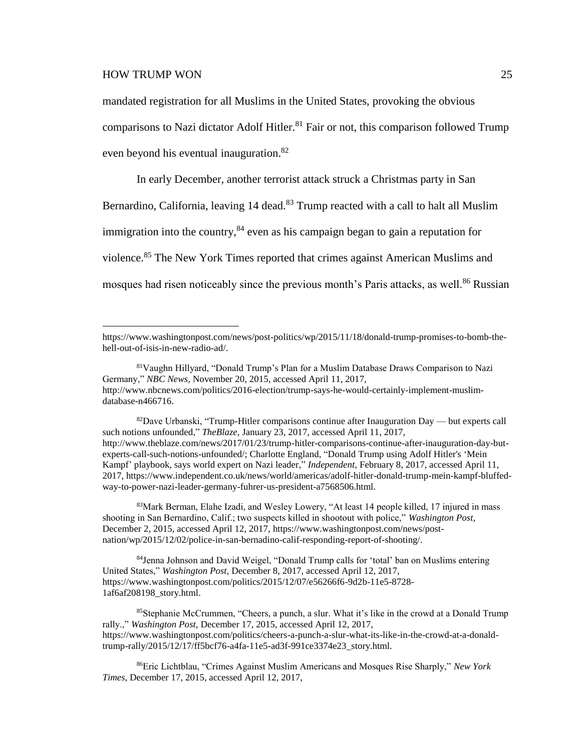$\overline{a}$ 

mandated registration for all Muslims in the United States, provoking the obvious comparisons to Nazi dictator Adolf Hitler. <sup>81</sup> Fair or not, this comparison followed Trump even beyond his eventual inauguration.<sup>82</sup>

In early December, another terrorist attack struck a Christmas party in San

Bernardino, California, leaving 14 dead.<sup>83</sup> Trump reacted with a call to halt all Muslim

immigration into the country,  $84$  even as his campaign began to gain a reputation for

violence.<sup>85</sup> The New York Times reported that crimes against American Muslims and

mosques had risen noticeably since the previous month's Paris attacks, as well.<sup>86</sup> Russian

 $82$ Dave Urbanski, "Trump-Hitler comparisons continue after Inauguration Day — but experts call such notions unfounded," *TheBlaze,* January 23, 2017, accessed April 11, 2017, http://www.theblaze.com/news/2017/01/23/trump-hitler-comparisons-continue-after-inauguration-day-butexperts-call-such-notions-unfounded/; Charlotte England, "Donald Trump using Adolf Hitler's 'Mein Kampf' playbook, says world expert on Nazi leader," *Independent,* February 8, 2017, accessed April 11, 2017, https://www.independent.co.uk/news/world/americas/adolf-hitler-donald-trump-mein-kampf-bluffedway-to-power-nazi-leader-germany-fuhrer-us-president-a7568506.html.

<sup>83</sup>Mark Berman, Elahe Izadi, and Wesley Lowery, "At least 14 people killed, 17 injured in mass shooting in San Bernardino, Calif.; two suspects killed in shootout with police," *Washington Post,* December 2, 2015, accessed April 12, 2017, https://www.washingtonpost.com/news/postnation/wp/2015/12/02/police-in-san-bernadino-calif-responding-report-of-shooting/.

<sup>84</sup>Jenna Johnson and David Weigel, "Donald Trump calls for 'total' ban on Muslims entering United States," *Washington Post,* December 8, 2017, accessed April 12, 2017, https://www.washingtonpost.com/politics/2015/12/07/e56266f6-9d2b-11e5-8728- 1af6af208198\_story.html.

<sup>85</sup>Stephanie McCrummen, "Cheers, a punch, a slur. What it's like in the crowd at a Donald Trump rally.," *Washington Post,* December 17, 2015, accessed April 12, 2017, https://www.washingtonpost.com/politics/cheers-a-punch-a-slur-what-its-like-in-the-crowd-at-a-donaldtrump-rally/2015/12/17/ff5bcf76-a4fa-11e5-ad3f-991ce3374e23\_story.html.

<sup>86</sup>Eric Lichtblau, "Crimes Against Muslim Americans and Mosques Rise Sharply," *New York Times,* December 17, 2015, accessed April 12, 2017,

https://www.washingtonpost.com/news/post-politics/wp/2015/11/18/donald-trump-promises-to-bomb-thehell-out-of-isis-in-new-radio-ad/.

<sup>81</sup>Vaughn Hillyard, "Donald Trump's Plan for a Muslim Database Draws Comparison to Nazi Germany," *NBC News,* November 20, 2015, accessed April 11, 2017, http://www.nbcnews.com/politics/2016-election/trump-says-he-would-certainly-implement-muslimdatabase-n466716.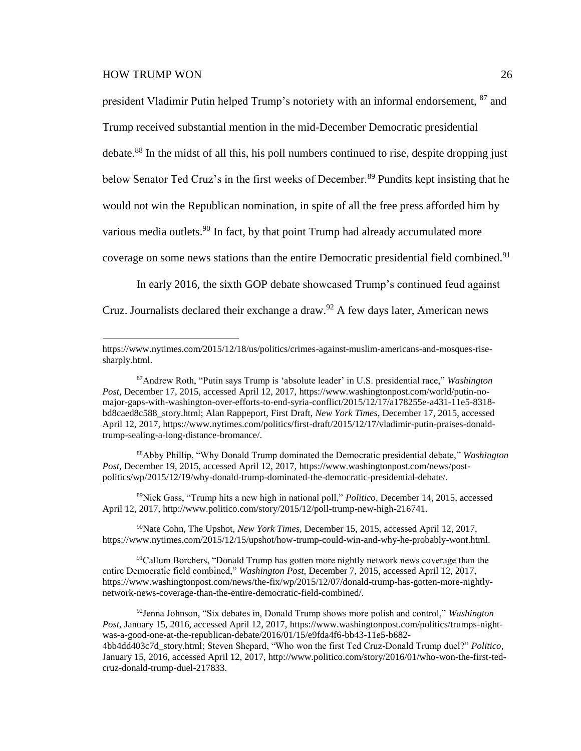$\overline{a}$ 

president Vladimir Putin helped Trump's notoriety with an informal endorsement, <sup>87</sup> and Trump received substantial mention in the mid-December Democratic presidential debate.<sup>88</sup> In the midst of all this, his poll numbers continued to rise, despite dropping just below Senator Ted Cruz's in the first weeks of December.<sup>89</sup> Pundits kept insisting that he would not win the Republican nomination, in spite of all the free press afforded him by various media outlets.<sup>90</sup> In fact, by that point Trump had already accumulated more coverage on some news stations than the entire Democratic presidential field combined.<sup>91</sup>

In early 2016, the sixth GOP debate showcased Trump's continued feud against Cruz. Journalists declared their exchange a draw.<sup>92</sup> A few days later, American news

<sup>88</sup>Abby Phillip, "Why Donald Trump dominated the Democratic presidential debate," *Washington Post,* December 19, 2015, accessed April 12, 2017, https://www.washingtonpost.com/news/postpolitics/wp/2015/12/19/why-donald-trump-dominated-the-democratic-presidential-debate/.

<sup>89</sup>Nick Gass, "Trump hits a new high in national poll," *Politico,* December 14, 2015, accessed April 12, 2017, http://www.politico.com/story/2015/12/poll-trump-new-high-216741.

<sup>90</sup>Nate Cohn, The Upshot, *New York Times,* December 15, 2015, accessed April 12, 2017, https://www.nytimes.com/2015/12/15/upshot/how-trump-could-win-and-why-he-probably-wont.html.

<sup>91</sup>Callum Borchers, "Donald Trump has gotten more nightly network news coverage than the entire Democratic field combined," *Washington Post,* December 7, 2015, accessed April 12, 2017, https://www.washingtonpost.com/news/the-fix/wp/2015/12/07/donald-trump-has-gotten-more-nightlynetwork-news-coverage-than-the-entire-democratic-field-combined/.

https://www.nytimes.com/2015/12/18/us/politics/crimes-against-muslim-americans-and-mosques-risesharply.html.

<sup>87</sup>Andrew Roth, "Putin says Trump is 'absolute leader' in U.S. presidential race," *Washington Post,* December 17, 2015, accessed April 12, 2017, https://www.washingtonpost.com/world/putin-nomajor-gaps-with-washington-over-efforts-to-end-syria-conflict/2015/12/17/a178255e-a431-11e5-8318 bd8caed8c588\_story.html; Alan Rappeport, First Draft, *New York Times,* December 17, 2015, accessed April 12, 2017, https://www.nytimes.com/politics/first-draft/2015/12/17/vladimir-putin-praises-donaldtrump-sealing-a-long-distance-bromance/.

<sup>92</sup>Jenna Johnson, "Six debates in, Donald Trump shows more polish and control," *Washington Post,* January 15, 2016, accessed April 12, 2017, https://www.washingtonpost.com/politics/trumps-nightwas-a-good-one-at-the-republican-debate/2016/01/15/e9fda4f6-bb43-11e5-b682- 4bb4dd403c7d\_story.html; Steven Shepard, "Who won the first Ted Cruz-Donald Trump duel?" *Politico,* January 15, 2016, accessed April 12, 2017, http://www.politico.com/story/2016/01/who-won-the-first-tedcruz-donald-trump-duel-217833.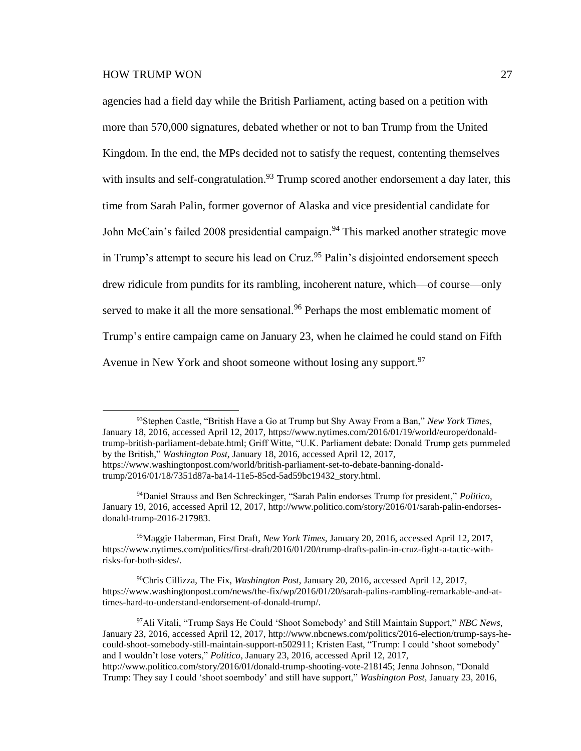agencies had a field day while the British Parliament, acting based on a petition with more than 570,000 signatures, debated whether or not to ban Trump from the United Kingdom. In the end, the MPs decided not to satisfy the request, contenting themselves with insults and self-congratulation.<sup>93</sup> Trump scored another endorsement a day later, this time from Sarah Palin, former governor of Alaska and vice presidential candidate for John McCain's failed 2008 presidential campaign.<sup>94</sup> This marked another strategic move in Trump's attempt to secure his lead on Cruz.<sup>95</sup> Palin's disjointed endorsement speech drew ridicule from pundits for its rambling, incoherent nature, which—of course—only served to make it all the more sensational.<sup>96</sup> Perhaps the most emblematic moment of Trump's entire campaign came on January 23, when he claimed he could stand on Fifth Avenue in New York and shoot someone without losing any support.  $97$ 

<sup>93</sup>Stephen Castle, "British Have a Go at Trump but Shy Away From a Ban," *New York Times,* January 18, 2016, accessed April 12, 2017, https://www.nytimes.com/2016/01/19/world/europe/donaldtrump-british-parliament-debate.html; Griff Witte, "U.K. Parliament debate: Donald Trump gets pummeled by the British," *Washington Post,* January 18, 2016, accessed April 12, 2017, https://www.washingtonpost.com/world/british-parliament-set-to-debate-banning-donaldtrump/2016/01/18/7351d87a-ba14-11e5-85cd-5ad59bc19432\_story.html.

<sup>94</sup>Daniel Strauss and Ben Schreckinger, "Sarah Palin endorses Trump for president," *Politico,* January 19, 2016, accessed April 12, 2017, http://www.politico.com/story/2016/01/sarah-palin-endorsesdonald-trump-2016-217983.

<sup>95</sup>Maggie Haberman, First Draft, *New York Times,* January 20, 2016, accessed April 12, 2017, https://www.nytimes.com/politics/first-draft/2016/01/20/trump-drafts-palin-in-cruz-fight-a-tactic-withrisks-for-both-sides/.

<sup>96</sup>Chris Cillizza, The Fix, *Washington Post,* January 20, 2016, accessed April 12, 2017, https://www.washingtonpost.com/news/the-fix/wp/2016/01/20/sarah-palins-rambling-remarkable-and-attimes-hard-to-understand-endorsement-of-donald-trump/.

<sup>97</sup>Ali Vitali, "Trump Says He Could 'Shoot Somebody' and Still Maintain Support," *NBC News,* January 23, 2016, accessed April 12, 2017, http://www.nbcnews.com/politics/2016-election/trump-says-hecould-shoot-somebody-still-maintain-support-n502911; Kristen East, "Trump: I could 'shoot somebody' and I wouldn't lose voters," *Politico,* January 23, 2016, accessed April 12, 2017, http://www.politico.com/story/2016/01/donald-trump-shooting-vote-218145; Jenna Johnson, "Donald Trump: They say I could 'shoot soembody' and still have support," *Washington Post,* January 23, 2016,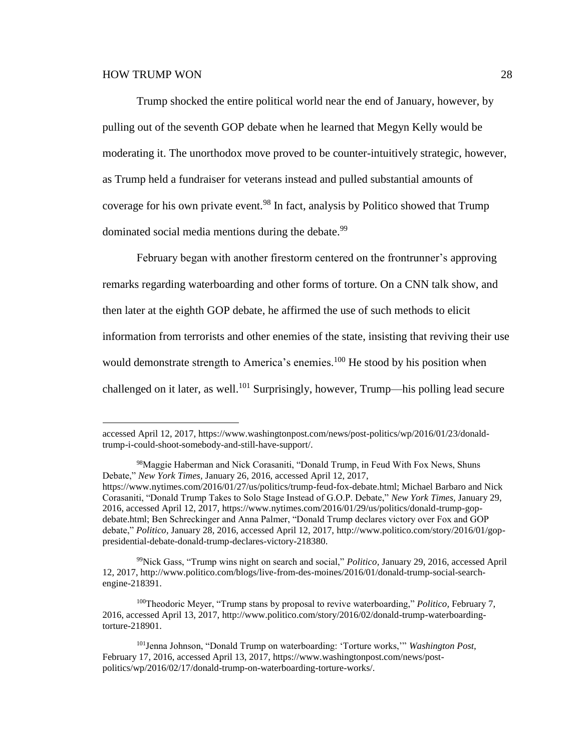Trump shocked the entire political world near the end of January, however, by pulling out of the seventh GOP debate when he learned that Megyn Kelly would be moderating it. The unorthodox move proved to be counter-intuitively strategic, however, as Trump held a fundraiser for veterans instead and pulled substantial amounts of coverage for his own private event.<sup>98</sup> In fact, analysis by Politico showed that Trump dominated social media mentions during the debate.<sup>99</sup>

February began with another firestorm centered on the frontrunner's approving remarks regarding waterboarding and other forms of torture. On a CNN talk show, and then later at the eighth GOP debate, he affirmed the use of such methods to elicit information from terrorists and other enemies of the state, insisting that reviving their use would demonstrate strength to America's enemies.<sup>100</sup> He stood by his position when challenged on it later, as well.<sup>101</sup> Surprisingly, however, Trump—his polling lead secure

<sup>99</sup>Nick Gass, "Trump wins night on search and social," *Politico,* January 29, 2016, accessed April 12, 2017, http://www.politico.com/blogs/live-from-des-moines/2016/01/donald-trump-social-searchengine-218391.

<sup>100</sup>Theodoric Meyer, "Trump stans by proposal to revive waterboarding," *Politico,* February 7, 2016, accessed April 13, 2017, http://www.politico.com/story/2016/02/donald-trump-waterboardingtorture-218901.

accessed April 12, 2017, https://www.washingtonpost.com/news/post-politics/wp/2016/01/23/donaldtrump-i-could-shoot-somebody-and-still-have-support/.

<sup>98</sup>Maggie Haberman and Nick Corasaniti, "Donald Trump, in Feud With Fox News, Shuns Debate," *New York Times,* January 26, 2016, accessed April 12, 2017, https://www.nytimes.com/2016/01/27/us/politics/trump-feud-fox-debate.html; Michael Barbaro and Nick Corasaniti, "Donald Trump Takes to Solo Stage Instead of G.O.P. Debate," *New York Times,* January 29, 2016, accessed April 12, 2017, https://www.nytimes.com/2016/01/29/us/politics/donald-trump-gopdebate.html; Ben Schreckinger and Anna Palmer, "Donald Trump declares victory over Fox and GOP debate," *Politico,* January 28, 2016, accessed April 12, 2017, http://www.politico.com/story/2016/01/goppresidential-debate-donald-trump-declares-victory-218380.

<sup>101</sup>Jenna Johnson, "Donald Trump on waterboarding: 'Torture works,'" *Washington Post,* February 17, 2016, accessed April 13, 2017, https://www.washingtonpost.com/news/postpolitics/wp/2016/02/17/donald-trump-on-waterboarding-torture-works/.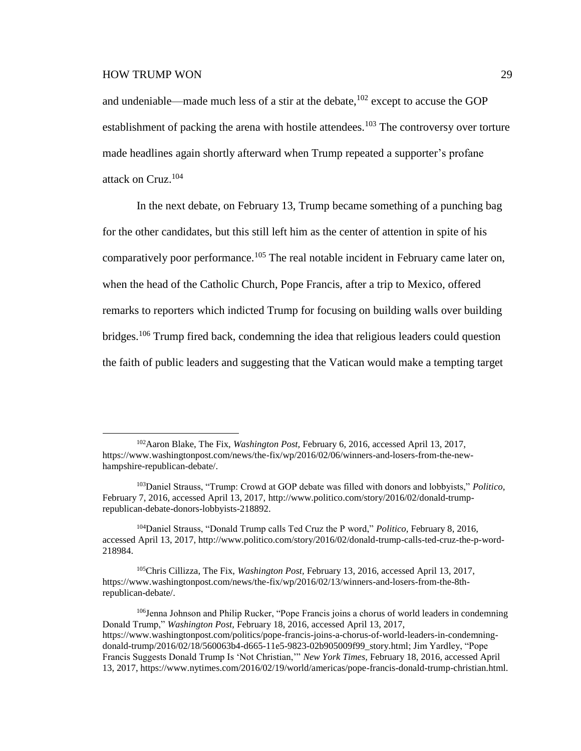and undeniable—made much less of a stir at the debate,  $102$  except to accuse the GOP establishment of packing the arena with hostile attendees.<sup>103</sup> The controversy over torture made headlines again shortly afterward when Trump repeated a supporter's profane attack on Cruz.<sup>104</sup>

In the next debate, on February 13, Trump became something of a punching bag for the other candidates, but this still left him as the center of attention in spite of his comparatively poor performance.<sup>105</sup> The real notable incident in February came later on, when the head of the Catholic Church, Pope Francis, after a trip to Mexico, offered remarks to reporters which indicted Trump for focusing on building walls over building bridges.<sup>106</sup> Trump fired back, condemning the idea that religious leaders could question the faith of public leaders and suggesting that the Vatican would make a tempting target

<sup>102</sup>Aaron Blake, The Fix, *Washington Post,* February 6, 2016, accessed April 13, 2017, https://www.washingtonpost.com/news/the-fix/wp/2016/02/06/winners-and-losers-from-the-newhampshire-republican-debate/.

<sup>103</sup>Daniel Strauss, "Trump: Crowd at GOP debate was filled with donors and lobbyists," *Politico,* February 7, 2016, accessed April 13, 2017, http://www.politico.com/story/2016/02/donald-trumprepublican-debate-donors-lobbyists-218892.

<sup>104</sup>Daniel Strauss, "Donald Trump calls Ted Cruz the P word," *Politico,* February 8, 2016, accessed April 13, 2017, http://www.politico.com/story/2016/02/donald-trump-calls-ted-cruz-the-p-word-218984.

<sup>105</sup>Chris Cillizza, The Fix, *Washington Post,* February 13, 2016, accessed April 13, 2017, https://www.washingtonpost.com/news/the-fix/wp/2016/02/13/winners-and-losers-from-the-8threpublican-debate/.

<sup>106</sup>Jenna Johnson and Philip Rucker, "Pope Francis joins a chorus of world leaders in condemning Donald Trump," *Washington Post,* February 18, 2016, accessed April 13, 2017, https://www.washingtonpost.com/politics/pope-francis-joins-a-chorus-of-world-leaders-in-condemningdonald-trump/2016/02/18/560063b4-d665-11e5-9823-02b905009f99\_story.html; Jim Yardley, "Pope Francis Suggests Donald Trump Is 'Not Christian,'" *New York Times,* February 18, 2016, accessed April 13, 2017, https://www.nytimes.com/2016/02/19/world/americas/pope-francis-donald-trump-christian.html.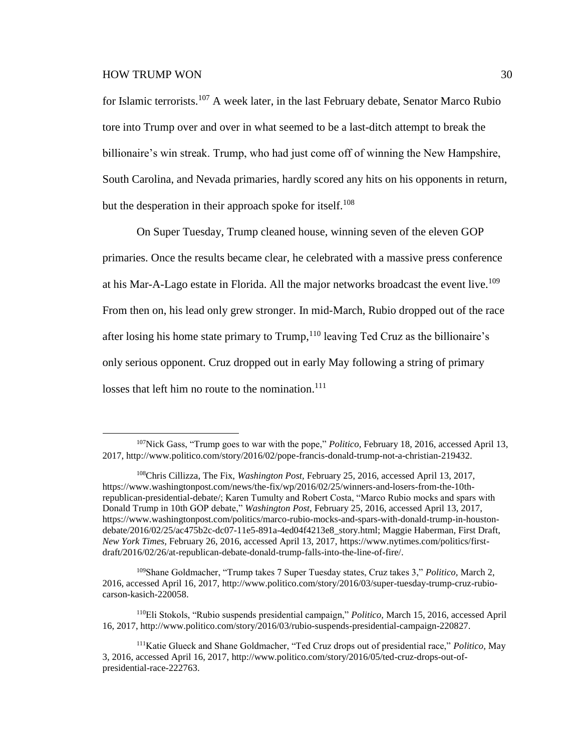for Islamic terrorists.<sup>107</sup> A week later, in the last February debate, Senator Marco Rubio tore into Trump over and over in what seemed to be a last-ditch attempt to break the billionaire's win streak. Trump, who had just come off of winning the New Hampshire, South Carolina, and Nevada primaries, hardly scored any hits on his opponents in return, but the desperation in their approach spoke for itself.<sup>108</sup>

On Super Tuesday, Trump cleaned house, winning seven of the eleven GOP primaries. Once the results became clear, he celebrated with a massive press conference at his Mar-A-Lago estate in Florida. All the major networks broadcast the event live.<sup>109</sup> From then on, his lead only grew stronger. In mid-March, Rubio dropped out of the race after losing his home state primary to  $Trump<sub>110</sub>$  leaving Ted Cruz as the billionaire's only serious opponent. Cruz dropped out in early May following a string of primary losses that left him no route to the nomination.<sup>111</sup>

<sup>109</sup>Shane Goldmacher, "Trump takes 7 Super Tuesday states, Cruz takes 3," *Politico,* March 2, 2016, accessed April 16, 2017, http://www.politico.com/story/2016/03/super-tuesday-trump-cruz-rubiocarson-kasich-220058.

<sup>110</sup>Eli Stokols, "Rubio suspends presidential campaign," *Politico,* March 15, 2016, accessed April 16, 2017, http://www.politico.com/story/2016/03/rubio-suspends-presidential-campaign-220827.

<sup>107</sup>Nick Gass, "Trump goes to war with the pope," *Politico,* February 18, 2016, accessed April 13, 2017, http://www.politico.com/story/2016/02/pope-francis-donald-trump-not-a-christian-219432.

<sup>108</sup>Chris Cillizza, The Fix, *Washington Post,* February 25, 2016, accessed April 13, 2017, https://www.washingtonpost.com/news/the-fix/wp/2016/02/25/winners-and-losers-from-the-10threpublican-presidential-debate/; Karen Tumulty and Robert Costa, "Marco Rubio mocks and spars with Donald Trump in 10th GOP debate," *Washington Post,* February 25, 2016, accessed April 13, 2017, https://www.washingtonpost.com/politics/marco-rubio-mocks-and-spars-with-donald-trump-in-houstondebate/2016/02/25/ac475b2c-dc07-11e5-891a-4ed04f4213e8\_story.html; Maggie Haberman, First Draft, *New York Times,* February 26, 2016, accessed April 13, 2017, https://www.nytimes.com/politics/firstdraft/2016/02/26/at-republican-debate-donald-trump-falls-into-the-line-of-fire/.

<sup>111</sup>Katie Glueck and Shane Goldmacher, "Ted Cruz drops out of presidential race," *Politico,* May 3, 2016, accessed April 16, 2017, http://www.politico.com/story/2016/05/ted-cruz-drops-out-ofpresidential-race-222763.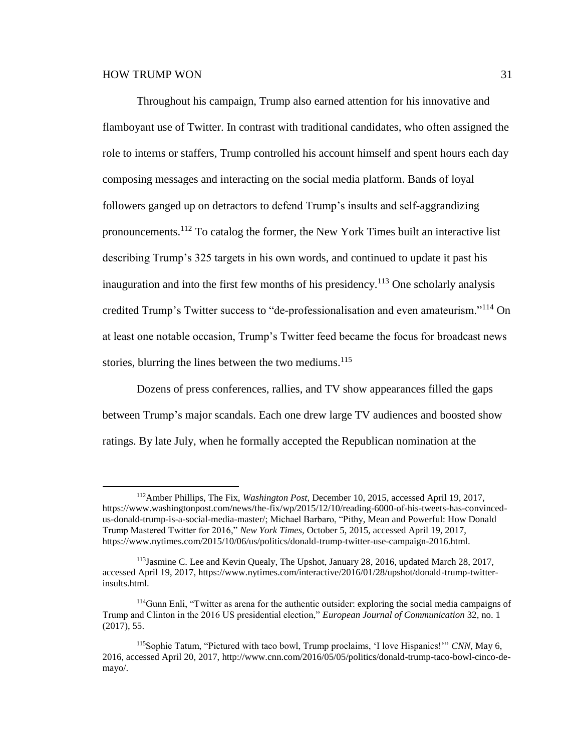Throughout his campaign, Trump also earned attention for his innovative and flamboyant use of Twitter. In contrast with traditional candidates, who often assigned the role to interns or staffers, Trump controlled his account himself and spent hours each day composing messages and interacting on the social media platform. Bands of loyal followers ganged up on detractors to defend Trump's insults and self-aggrandizing pronouncements.<sup>112</sup> To catalog the former, the New York Times built an interactive list describing Trump's 325 targets in his own words, and continued to update it past his inauguration and into the first few months of his presidency.<sup>113</sup> One scholarly analysis credited Trump's Twitter success to "de-professionalisation and even amateurism."<sup>114</sup> On at least one notable occasion, Trump's Twitter feed became the focus for broadcast news stories, blurring the lines between the two mediums. $115$ 

Dozens of press conferences, rallies, and TV show appearances filled the gaps between Trump's major scandals. Each one drew large TV audiences and boosted show ratings. By late July, when he formally accepted the Republican nomination at the

<sup>112</sup>Amber Phillips, The Fix, *Washington Post,* December 10, 2015, accessed April 19, 2017, https://www.washingtonpost.com/news/the-fix/wp/2015/12/10/reading-6000-of-his-tweets-has-convincedus-donald-trump-is-a-social-media-master/; Michael Barbaro, "Pithy, Mean and Powerful: How Donald Trump Mastered Twitter for 2016," *New York Times,* October 5, 2015, accessed April 19, 2017, https://www.nytimes.com/2015/10/06/us/politics/donald-trump-twitter-use-campaign-2016.html.

<sup>113</sup>Jasmine C. Lee and Kevin Quealy, The Upshot, January 28, 2016, updated March 28, 2017, accessed April 19, 2017, https://www.nytimes.com/interactive/2016/01/28/upshot/donald-trump-twitterinsults.html.

<sup>114</sup>Gunn Enli, "Twitter as arena for the authentic outsider: exploring the social media campaigns of Trump and Clinton in the 2016 US presidential election," *European Journal of Communication* 32, no. 1 (2017), 55.

<sup>115</sup>Sophie Tatum, "Pictured with taco bowl, Trump proclaims, 'I love Hispanics!'" *CNN,* May 6, 2016, accessed April 20, 2017, http://www.cnn.com/2016/05/05/politics/donald-trump-taco-bowl-cinco-demayo/.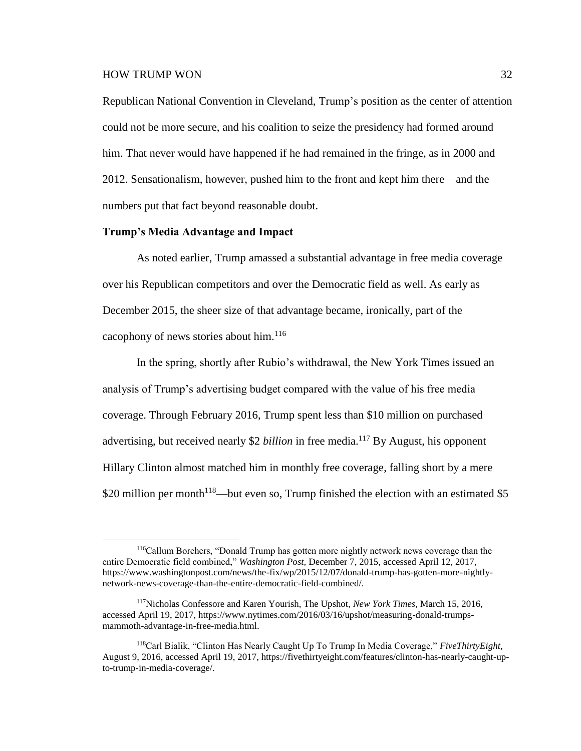$\overline{a}$ 

Republican National Convention in Cleveland, Trump's position as the center of attention could not be more secure, and his coalition to seize the presidency had formed around him. That never would have happened if he had remained in the fringe, as in 2000 and 2012. Sensationalism, however, pushed him to the front and kept him there—and the numbers put that fact beyond reasonable doubt.

#### **Trump's Media Advantage and Impact**

As noted earlier, Trump amassed a substantial advantage in free media coverage over his Republican competitors and over the Democratic field as well. As early as December 2015, the sheer size of that advantage became, ironically, part of the cacophony of news stories about him.<sup>116</sup>

In the spring, shortly after Rubio's withdrawal, the New York Times issued an analysis of Trump's advertising budget compared with the value of his free media coverage. Through February 2016, Trump spent less than \$10 million on purchased advertising, but received nearly \$2 *billion* in free media.<sup>117</sup> By August, his opponent Hillary Clinton almost matched him in monthly free coverage, falling short by a mere \$20 million per month<sup>118</sup>—but even so, Trump finished the election with an estimated \$5

<sup>116</sup>Callum Borchers, "Donald Trump has gotten more nightly network news coverage than the entire Democratic field combined," *Washington Post,* December 7, 2015, accessed April 12, 2017, https://www.washingtonpost.com/news/the-fix/wp/2015/12/07/donald-trump-has-gotten-more-nightlynetwork-news-coverage-than-the-entire-democratic-field-combined/.

<sup>117</sup>Nicholas Confessore and Karen Yourish, The Upshot, *New York Times,* March 15, 2016, accessed April 19, 2017, https://www.nytimes.com/2016/03/16/upshot/measuring-donald-trumpsmammoth-advantage-in-free-media.html.

<sup>118</sup>Carl Bialik, "Clinton Has Nearly Caught Up To Trump In Media Coverage," *FiveThirtyEight,* August 9, 2016, accessed April 19, 2017, https://fivethirtyeight.com/features/clinton-has-nearly-caught-upto-trump-in-media-coverage/.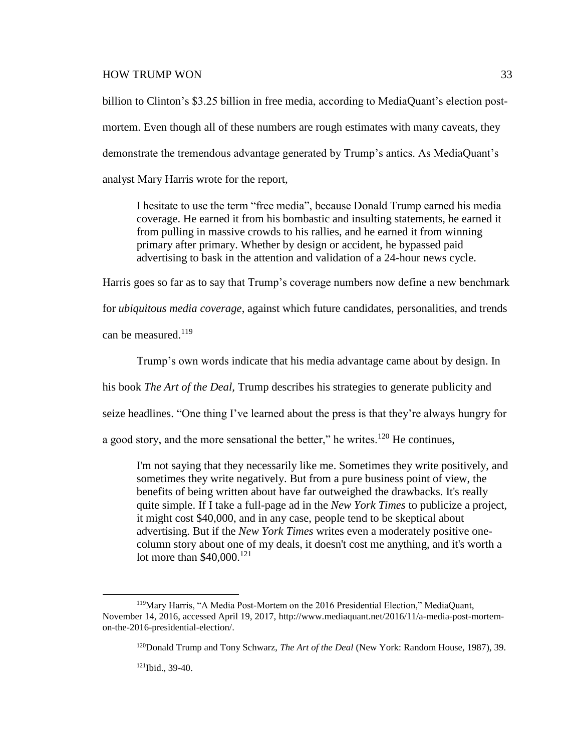billion to Clinton's \$3.25 billion in free media, according to MediaQuant's election postmortem. Even though all of these numbers are rough estimates with many caveats, they demonstrate the tremendous advantage generated by Trump's antics. As MediaQuant's analyst Mary Harris wrote for the report,

I hesitate to use the term "free media", because Donald Trump earned his media coverage. He earned it from his bombastic and insulting statements, he earned it from pulling in massive crowds to his rallies, and he earned it from winning primary after primary. Whether by design or accident, he bypassed paid advertising to bask in the attention and validation of a 24-hour news cycle.

Harris goes so far as to say that Trump's coverage numbers now define a new benchmark

for *ubiquitous media coverage*, against which future candidates, personalities, and trends

can be measured.<sup>119</sup>

Trump's own words indicate that his media advantage came about by design. In

his book *The Art of the Deal,* Trump describes his strategies to generate publicity and

seize headlines. "One thing I've learned about the press is that they're always hungry for

a good story, and the more sensational the better," he writes.<sup>120</sup> He continues,

I'm not saying that they necessarily like me. Sometimes they write positively, and sometimes they write negatively. But from a pure business point of view, the benefits of being written about have far outweighed the drawbacks. It's really quite simple. If I take a full-page ad in the *New York Times* to publicize a project, it might cost \$40,000, and in any case, people tend to be skeptical about advertising. But if the *New York Times* writes even a moderately positive onecolumn story about one of my deals, it doesn't cost me anything, and it's worth a lot more than  $$40,000$ .<sup>121</sup>

121Ibid., 39-40.

<sup>119</sup>Mary Harris, "A Media Post-Mortem on the 2016 Presidential Election," MediaQuant, November 14, 2016, accessed April 19, 2017, http://www.mediaquant.net/2016/11/a-media-post-mortemon-the-2016-presidential-election/.

<sup>120</sup>Donald Trump and Tony Schwarz, *The Art of the Deal* (New York: Random House, 1987), 39.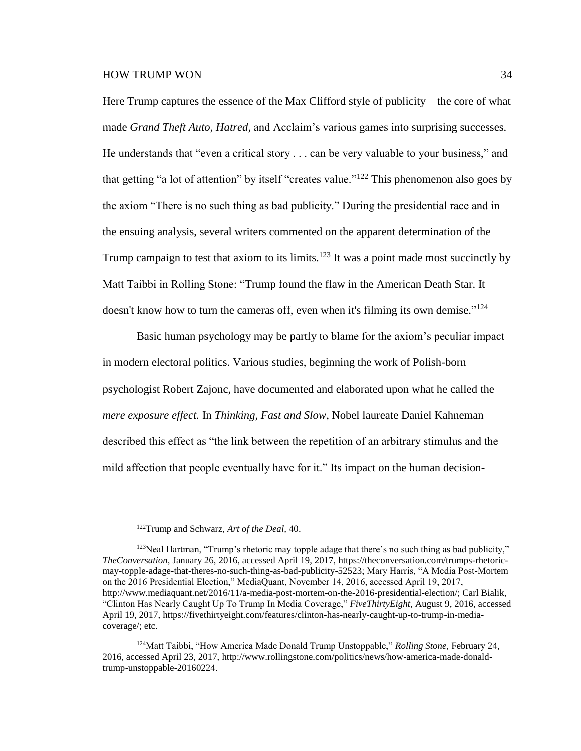Here Trump captures the essence of the Max Clifford style of publicity—the core of what made *Grand Theft Auto, Hatred,* and Acclaim's various games into surprising successes. He understands that "even a critical story . . . can be very valuable to your business," and that getting "a lot of attention" by itself "creates value."<sup>122</sup> This phenomenon also goes by the axiom "There is no such thing as bad publicity." During the presidential race and in the ensuing analysis, several writers commented on the apparent determination of the Trump campaign to test that axiom to its limits.<sup>123</sup> It was a point made most succinctly by Matt Taibbi in Rolling Stone: "Trump found the flaw in the American Death Star. It doesn't know how to turn the cameras off, even when it's filming its own demise."<sup>124</sup>

Basic human psychology may be partly to blame for the axiom's peculiar impact in modern electoral politics. Various studies, beginning the work of Polish-born psychologist Robert Zajonc, have documented and elaborated upon what he called the *mere exposure effect.* In *Thinking, Fast and Slow*, Nobel laureate Daniel Kahneman described this effect as "the link between the repetition of an arbitrary stimulus and the mild affection that people eventually have for it." Its impact on the human decision-

<sup>122</sup>Trump and Schwarz, *Art of the Deal,* 40.

 $123$ Neal Hartman, "Trump's rhetoric may topple adage that there's no such thing as bad publicity," *TheConversation,* January 26, 2016, accessed April 19, 2017, https://theconversation.com/trumps-rhetoricmay-topple-adage-that-theres-no-such-thing-as-bad-publicity-52523; Mary Harris, "A Media Post-Mortem on the 2016 Presidential Election," MediaQuant, November 14, 2016, accessed April 19, 2017, http://www.mediaquant.net/2016/11/a-media-post-mortem-on-the-2016-presidential-election/; Carl Bialik, "Clinton Has Nearly Caught Up To Trump In Media Coverage," *FiveThirtyEight,* August 9, 2016, accessed April 19, 2017, https://fivethirtyeight.com/features/clinton-has-nearly-caught-up-to-trump-in-mediacoverage/; etc.

<sup>124</sup>Matt Taibbi, "How America Made Donald Trump Unstoppable," *Rolling Stone,* February 24, 2016, accessed April 23, 2017, http://www.rollingstone.com/politics/news/how-america-made-donaldtrump-unstoppable-20160224.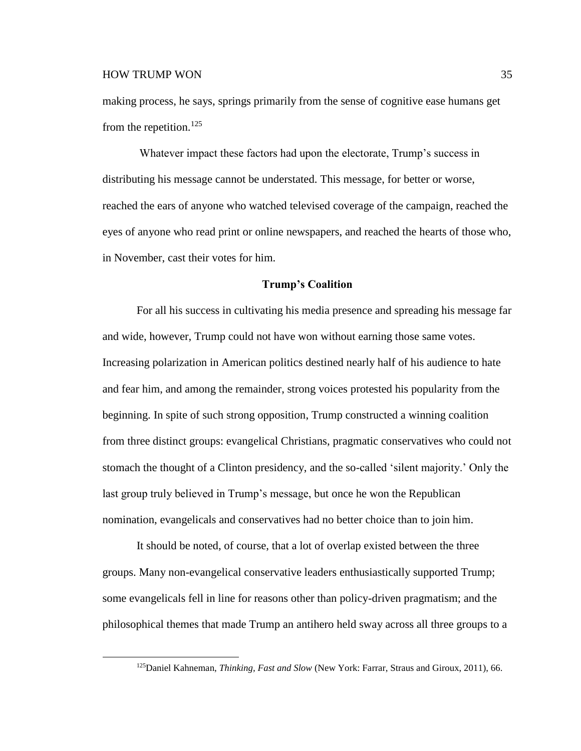$\overline{a}$ 

making process, he says, springs primarily from the sense of cognitive ease humans get from the repetition.<sup>125</sup>

Whatever impact these factors had upon the electorate, Trump's success in distributing his message cannot be understated. This message, for better or worse, reached the ears of anyone who watched televised coverage of the campaign, reached the eyes of anyone who read print or online newspapers, and reached the hearts of those who, in November, cast their votes for him.

#### **Trump's Coalition**

For all his success in cultivating his media presence and spreading his message far and wide, however, Trump could not have won without earning those same votes. Increasing polarization in American politics destined nearly half of his audience to hate and fear him, and among the remainder, strong voices protested his popularity from the beginning. In spite of such strong opposition, Trump constructed a winning coalition from three distinct groups: evangelical Christians, pragmatic conservatives who could not stomach the thought of a Clinton presidency, and the so-called 'silent majority.' Only the last group truly believed in Trump's message, but once he won the Republican nomination, evangelicals and conservatives had no better choice than to join him.

It should be noted, of course, that a lot of overlap existed between the three groups. Many non-evangelical conservative leaders enthusiastically supported Trump; some evangelicals fell in line for reasons other than policy-driven pragmatism; and the philosophical themes that made Trump an antihero held sway across all three groups to a

<sup>125</sup>Daniel Kahneman, *Thinking, Fast and Slow* (New York: Farrar, Straus and Giroux, 2011), 66.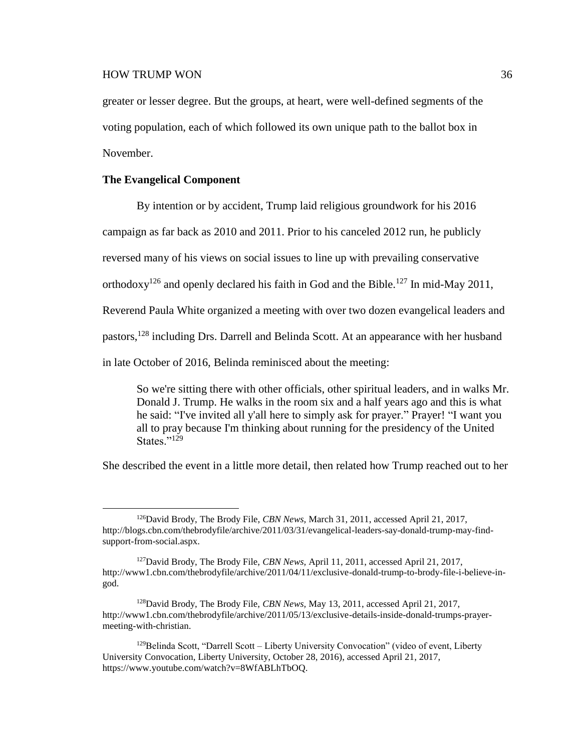greater or lesser degree. But the groups, at heart, were well-defined segments of the voting population, each of which followed its own unique path to the ballot box in November.

# **The Evangelical Component**

 $\overline{a}$ 

By intention or by accident, Trump laid religious groundwork for his 2016

campaign as far back as 2010 and 2011. Prior to his canceled 2012 run, he publicly

reversed many of his views on social issues to line up with prevailing conservative

orthodoxy<sup>126</sup> and openly declared his faith in God and the Bible.<sup>127</sup> In mid-May 2011,

Reverend Paula White organized a meeting with over two dozen evangelical leaders and

pastors,<sup>128</sup> including Drs. Darrell and Belinda Scott. At an appearance with her husband

in late October of 2016, Belinda reminisced about the meeting:

So we're sitting there with other officials, other spiritual leaders, and in walks Mr. Donald J. Trump. He walks in the room six and a half years ago and this is what he said: "I've invited all y'all here to simply ask for prayer." Prayer! "I want you all to pray because I'm thinking about running for the presidency of the United States." $^{129}$ 

She described the event in a little more detail, then related how Trump reached out to her

<sup>126</sup>David Brody, The Brody File, *CBN News,* March 31, 2011, accessed April 21, 2017, http://blogs.cbn.com/thebrodyfile/archive/2011/03/31/evangelical-leaders-say-donald-trump-may-findsupport-from-social.aspx.

<sup>127</sup>David Brody, The Brody File, *CBN News,* April 11, 2011, accessed April 21, 2017, http://www1.cbn.com/thebrodyfile/archive/2011/04/11/exclusive-donald-trump-to-brody-file-i-believe-ingod.

<sup>128</sup>David Brody, The Brody File, *CBN News,* May 13, 2011, accessed April 21, 2017, http://www1.cbn.com/thebrodyfile/archive/2011/05/13/exclusive-details-inside-donald-trumps-prayermeeting-with-christian.

 $129$ Belinda Scott, "Darrell Scott – Liberty University Convocation" (video of event, Liberty University Convocation, Liberty University, October 28, 2016), accessed April 21, 2017, https://www.youtube.com/watch?v=8WfABLhTbOQ.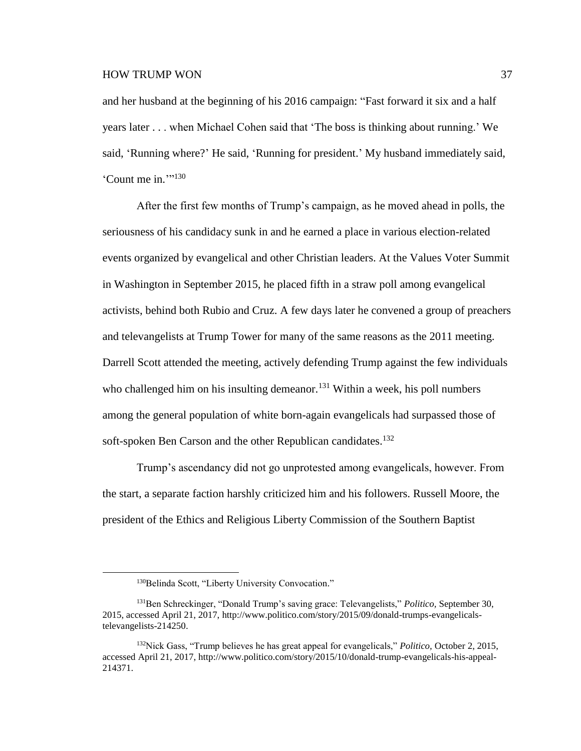and her husband at the beginning of his 2016 campaign: "Fast forward it six and a half years later . . . when Michael Cohen said that 'The boss is thinking about running.' We said, 'Running where?' He said, 'Running for president.' My husband immediately said, 'Count me in.""130

After the first few months of Trump's campaign, as he moved ahead in polls, the seriousness of his candidacy sunk in and he earned a place in various election-related events organized by evangelical and other Christian leaders. At the Values Voter Summit in Washington in September 2015, he placed fifth in a straw poll among evangelical activists, behind both Rubio and Cruz. A few days later he convened a group of preachers and televangelists at Trump Tower for many of the same reasons as the 2011 meeting. Darrell Scott attended the meeting, actively defending Trump against the few individuals who challenged him on his insulting demeanor.<sup>131</sup> Within a week, his poll numbers among the general population of white born-again evangelicals had surpassed those of soft-spoken Ben Carson and the other Republican candidates.<sup>132</sup>

Trump's ascendancy did not go unprotested among evangelicals, however. From the start, a separate faction harshly criticized him and his followers. Russell Moore, the president of the Ethics and Religious Liberty Commission of the Southern Baptist

<sup>&</sup>lt;sup>130</sup>Belinda Scott, "Liberty University Convocation."

<sup>131</sup>Ben Schreckinger, "Donald Trump's saving grace: Televangelists," *Politico,* September 30, 2015, accessed April 21, 2017, http://www.politico.com/story/2015/09/donald-trumps-evangelicalstelevangelists-214250.

<sup>132</sup>Nick Gass, "Trump believes he has great appeal for evangelicals," *Politico,* October 2, 2015, accessed April 21, 2017, http://www.politico.com/story/2015/10/donald-trump-evangelicals-his-appeal-214371.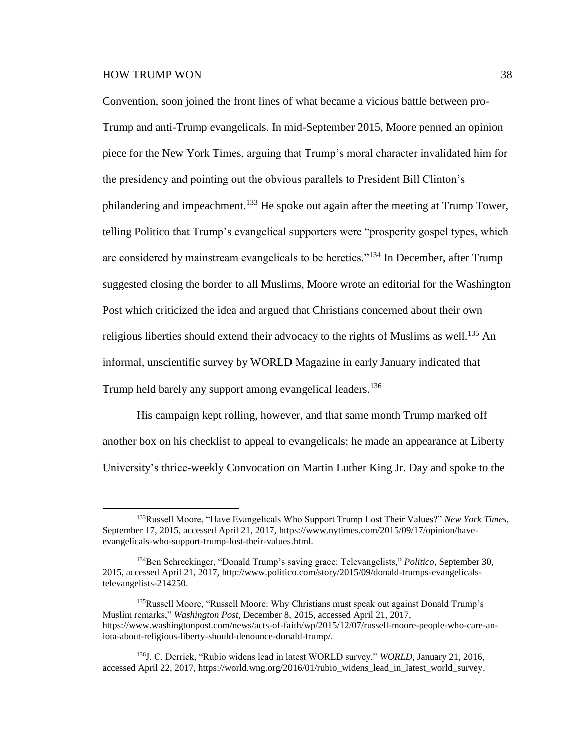$\overline{a}$ 

Convention, soon joined the front lines of what became a vicious battle between pro-Trump and anti-Trump evangelicals. In mid-September 2015, Moore penned an opinion piece for the New York Times, arguing that Trump's moral character invalidated him for the presidency and pointing out the obvious parallels to President Bill Clinton's philandering and impeachment.<sup>133</sup> He spoke out again after the meeting at Trump Tower, telling Politico that Trump's evangelical supporters were "prosperity gospel types, which are considered by mainstream evangelicals to be heretics."<sup>134</sup> In December, after Trump suggested closing the border to all Muslims, Moore wrote an editorial for the Washington Post which criticized the idea and argued that Christians concerned about their own religious liberties should extend their advocacy to the rights of Muslims as well.<sup>135</sup> An informal, unscientific survey by WORLD Magazine in early January indicated that Trump held barely any support among evangelical leaders.<sup>136</sup>

His campaign kept rolling, however, and that same month Trump marked off another box on his checklist to appeal to evangelicals: he made an appearance at Liberty University's thrice-weekly Convocation on Martin Luther King Jr. Day and spoke to the

<sup>133</sup>Russell Moore, "Have Evangelicals Who Support Trump Lost Their Values?" *New York Times,* September 17, 2015, accessed April 21, 2017, https://www.nytimes.com/2015/09/17/opinion/haveevangelicals-who-support-trump-lost-their-values.html.

<sup>134</sup>Ben Schreckinger, "Donald Trump's saving grace: Televangelists," *Politico,* September 30, 2015, accessed April 21, 2017, http://www.politico.com/story/2015/09/donald-trumps-evangelicalstelevangelists-214250.

<sup>&</sup>lt;sup>135</sup>Russell Moore, "Russell Moore: Why Christians must speak out against Donald Trump's Muslim remarks," *Washington Post,* December 8, 2015, accessed April 21, 2017, https://www.washingtonpost.com/news/acts-of-faith/wp/2015/12/07/russell-moore-people-who-care-aniota-about-religious-liberty-should-denounce-donald-trump/.

<sup>136</sup>J. C. Derrick, "Rubio widens lead in latest WORLD survey," *WORLD,* January 21, 2016, accessed April 22, 2017, https://world.wng.org/2016/01/rubio\_widens\_lead\_in\_latest\_world\_survey.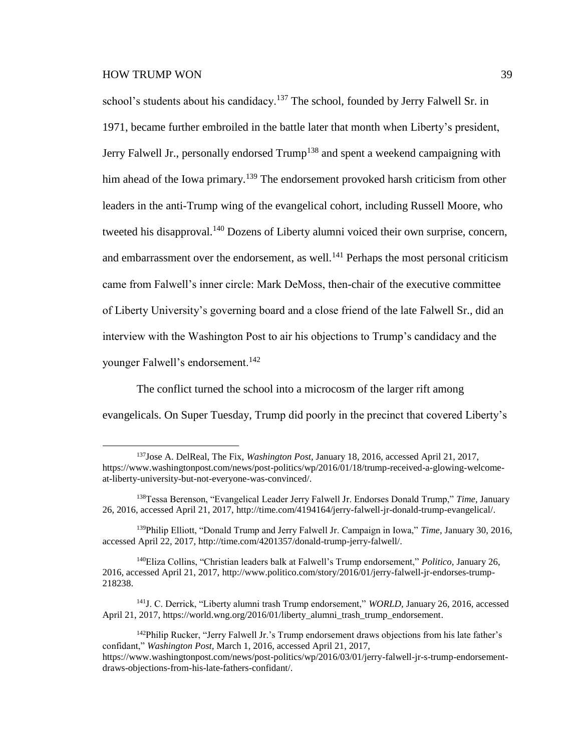school's students about his candidacy.<sup>137</sup> The school, founded by Jerry Falwell Sr. in 1971, became further embroiled in the battle later that month when Liberty's president, Jerry Falwell Jr., personally endorsed Trump<sup>138</sup> and spent a weekend campaigning with him ahead of the Iowa primary.<sup>139</sup> The endorsement provoked harsh criticism from other leaders in the anti-Trump wing of the evangelical cohort, including Russell Moore, who tweeted his disapproval.<sup>140</sup> Dozens of Liberty alumni voiced their own surprise, concern, and embarrassment over the endorsement, as well.<sup>141</sup> Perhaps the most personal criticism came from Falwell's inner circle: Mark DeMoss, then-chair of the executive committee of Liberty University's governing board and a close friend of the late Falwell Sr., did an interview with the Washington Post to air his objections to Trump's candidacy and the younger Falwell's endorsement.<sup>142</sup>

The conflict turned the school into a microcosm of the larger rift among evangelicals. On Super Tuesday, Trump did poorly in the precinct that covered Liberty's

<sup>137</sup>Jose A. DelReal, The Fix, *Washington Post,* January 18, 2016, accessed April 21, 2017, https://www.washingtonpost.com/news/post-politics/wp/2016/01/18/trump-received-a-glowing-welcomeat-liberty-university-but-not-everyone-was-convinced/.

<sup>138</sup>Tessa Berenson, "Evangelical Leader Jerry Falwell Jr. Endorses Donald Trump," *Time,* January 26, 2016, accessed April 21, 2017, http://time.com/4194164/jerry-falwell-jr-donald-trump-evangelical/.

<sup>139</sup>Philip Elliott, "Donald Trump and Jerry Falwell Jr. Campaign in Iowa," *Time,* January 30, 2016, accessed April 22, 2017, http://time.com/4201357/donald-trump-jerry-falwell/.

<sup>140</sup>Eliza Collins, "Christian leaders balk at Falwell's Trump endorsement," *Politico,* January 26, 2016, accessed April 21, 2017, http://www.politico.com/story/2016/01/jerry-falwell-jr-endorses-trump-218238.

<sup>141</sup>J. C. Derrick, "Liberty alumni trash Trump endorsement," *WORLD,* January 26, 2016, accessed April 21, 2017, https://world.wng.org/2016/01/liberty\_alumni\_trash\_trump\_endorsement.

<sup>&</sup>lt;sup>142</sup>Philip Rucker, "Jerry Falwell Jr.'s Trump endorsement draws objections from his late father's confidant," *Washington Post,* March 1, 2016, accessed April 21, 2017, https://www.washingtonpost.com/news/post-politics/wp/2016/03/01/jerry-falwell-jr-s-trump-endorsementdraws-objections-from-his-late-fathers-confidant/.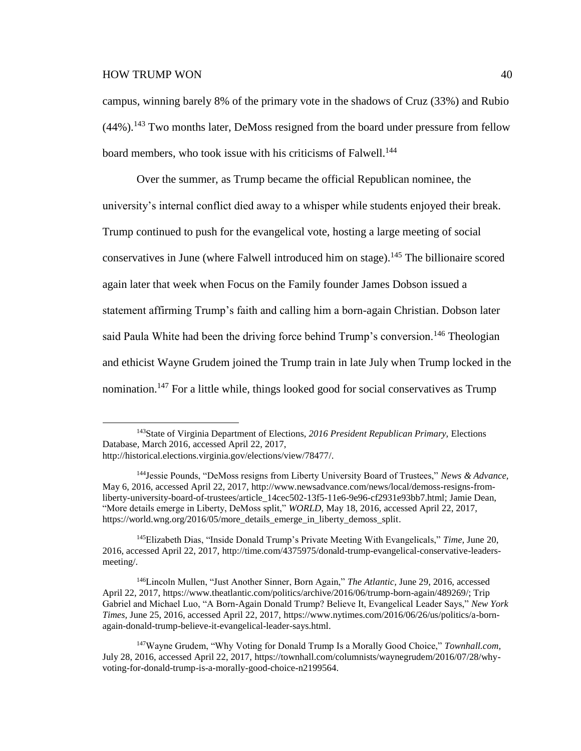$\overline{a}$ 

campus, winning barely 8% of the primary vote in the shadows of Cruz (33%) and Rubio  $(44\%)$ .<sup>143</sup> Two months later, DeMoss resigned from the board under pressure from fellow board members, who took issue with his criticisms of Falwell.<sup>144</sup>

Over the summer, as Trump became the official Republican nominee, the university's internal conflict died away to a whisper while students enjoyed their break. Trump continued to push for the evangelical vote, hosting a large meeting of social conservatives in June (where Falwell introduced him on stage).<sup>145</sup> The billionaire scored again later that week when Focus on the Family founder James Dobson issued a statement affirming Trump's faith and calling him a born-again Christian. Dobson later said Paula White had been the driving force behind Trump's conversion.<sup>146</sup> Theologian and ethicist Wayne Grudem joined the Trump train in late July when Trump locked in the nomination.<sup>147</sup> For a little while, things looked good for social conservatives as Trump

<sup>145</sup>Elizabeth Dias, "Inside Donald Trump's Private Meeting With Evangelicals," *Time,* June 20, 2016, accessed April 22, 2017, http://time.com/4375975/donald-trump-evangelical-conservative-leadersmeeting/.

<sup>143</sup>State of Virginia Department of Elections, *2016 President Republican Primary,* Elections Database, March 2016, accessed April 22, 2017,

http://historical.elections.virginia.gov/elections/view/78477/.

<sup>144</sup>Jessie Pounds, "DeMoss resigns from Liberty University Board of Trustees," *News & Advance,*  May 6, 2016, accessed April 22, 2017, http://www.newsadvance.com/news/local/demoss-resigns-fromliberty-university-board-of-trustees/article\_14cec502-13f5-11e6-9e96-cf2931e93bb7.html; Jamie Dean, "More details emerge in Liberty, DeMoss split," *WORLD,* May 18, 2016, accessed April 22, 2017, https://world.wng.org/2016/05/more\_details\_emerge\_in\_liberty\_demoss\_split.

<sup>146</sup>Lincoln Mullen, "Just Another Sinner, Born Again," *The Atlantic,* June 29, 2016, accessed April 22, 2017, https://www.theatlantic.com/politics/archive/2016/06/trump-born-again/489269/; Trip Gabriel and Michael Luo, "A Born-Again Donald Trump? Believe It, Evangelical Leader Says," *New York Times,* June 25, 2016, accessed April 22, 2017, https://www.nytimes.com/2016/06/26/us/politics/a-bornagain-donald-trump-believe-it-evangelical-leader-says.html.

<sup>147</sup>Wayne Grudem, "Why Voting for Donald Trump Is a Morally Good Choice," *Townhall.com,* July 28, 2016, accessed April 22, 2017, https://townhall.com/columnists/waynegrudem/2016/07/28/whyvoting-for-donald-trump-is-a-morally-good-choice-n2199564.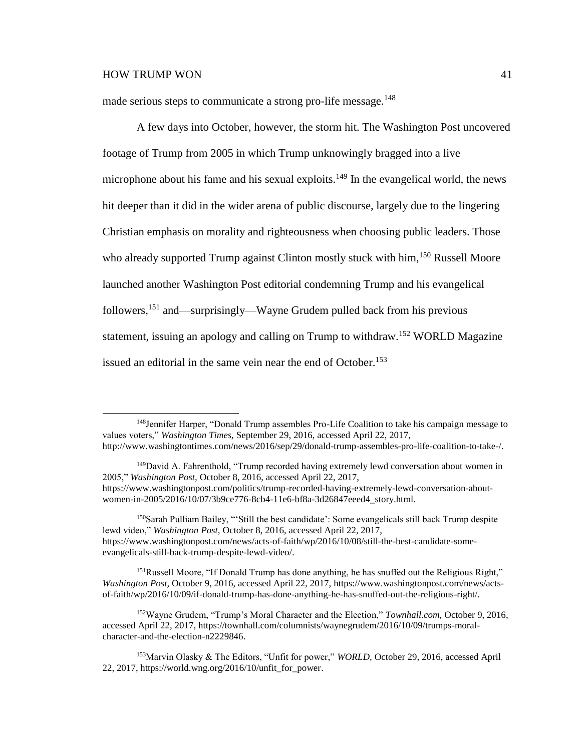$\overline{a}$ 

made serious steps to communicate a strong pro-life message.<sup>148</sup>

A few days into October, however, the storm hit. The Washington Post uncovered footage of Trump from 2005 in which Trump unknowingly bragged into a live microphone about his fame and his sexual exploits.<sup>149</sup> In the evangelical world, the news hit deeper than it did in the wider arena of public discourse, largely due to the lingering Christian emphasis on morality and righteousness when choosing public leaders. Those who already supported Trump against Clinton mostly stuck with him,<sup>150</sup> Russell Moore launched another Washington Post editorial condemning Trump and his evangelical followers,<sup>151</sup> and—surprisingly—Wayne Grudem pulled back from his previous statement, issuing an apology and calling on Trump to withdraw.<sup>152</sup> WORLD Magazine issued an editorial in the same vein near the end of October.<sup>153</sup>

<sup>&</sup>lt;sup>148</sup>Jennifer Harper, "Donald Trump assembles Pro-Life Coalition to take his campaign message to values voters," *Washington Times,* September 29, 2016, accessed April 22, 2017, http://www.washingtontimes.com/news/2016/sep/29/donald-trump-assembles-pro-life-coalition-to-take-/.

<sup>&</sup>lt;sup>149</sup>David A. Fahrenthold, "Trump recorded having extremely lewd conversation about women in 2005," *Washington Post,* October 8, 2016, accessed April 22, 2017, https://www.washingtonpost.com/politics/trump-recorded-having-extremely-lewd-conversation-aboutwomen-in-2005/2016/10/07/3b9ce776-8cb4-11e6-bf8a-3d26847eeed4\_story.html.

<sup>150</sup>Sarah Pulliam Bailey, "'Still the best candidate': Some evangelicals still back Trump despite lewd video," *Washington Post,* October 8, 2016, accessed April 22, 2017, https://www.washingtonpost.com/news/acts-of-faith/wp/2016/10/08/still-the-best-candidate-someevangelicals-still-back-trump-despite-lewd-video/.

<sup>&</sup>lt;sup>151</sup>Russell Moore, "If Donald Trump has done anything, he has snuffed out the Religious Right," *Washington Post,* October 9, 2016, accessed April 22, 2017, https://www.washingtonpost.com/news/actsof-faith/wp/2016/10/09/if-donald-trump-has-done-anything-he-has-snuffed-out-the-religious-right/.

<sup>152</sup>Wayne Grudem, "Trump's Moral Character and the Election," *Townhall.com,* October 9, 2016, accessed April 22, 2017, https://townhall.com/columnists/waynegrudem/2016/10/09/trumps-moralcharacter-and-the-election-n2229846.

<sup>153</sup>Marvin Olasky & The Editors, "Unfit for power," *WORLD,* October 29, 2016, accessed April 22, 2017, https://world.wng.org/2016/10/unfit\_for\_power.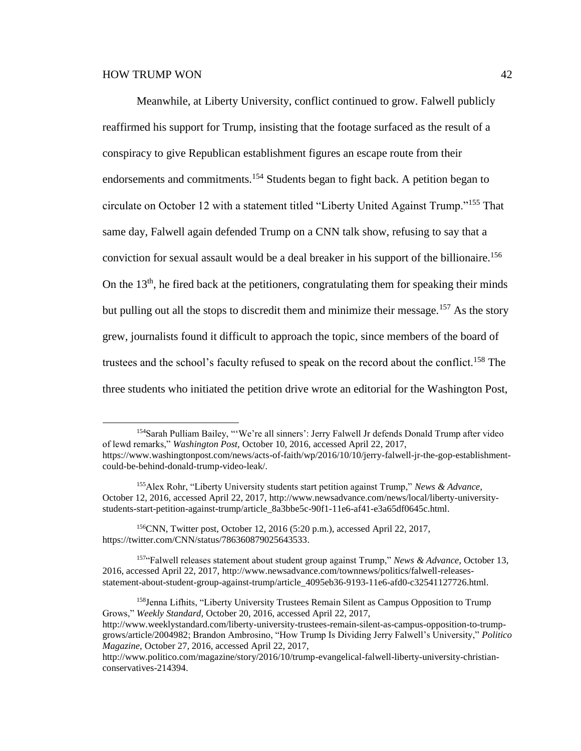Meanwhile, at Liberty University, conflict continued to grow. Falwell publicly reaffirmed his support for Trump, insisting that the footage surfaced as the result of a conspiracy to give Republican establishment figures an escape route from their endorsements and commitments.<sup>154</sup> Students began to fight back. A petition began to circulate on October 12 with a statement titled "Liberty United Against Trump."<sup>155</sup> That same day, Falwell again defended Trump on a CNN talk show, refusing to say that a conviction for sexual assault would be a deal breaker in his support of the billionaire.<sup>156</sup> On the  $13<sup>th</sup>$ , he fired back at the petitioners, congratulating them for speaking their minds but pulling out all the stops to discredit them and minimize their message.<sup>157</sup> As the story grew, journalists found it difficult to approach the topic, since members of the board of trustees and the school's faculty refused to speak on the record about the conflict.<sup>158</sup> The three students who initiated the petition drive wrote an editorial for the Washington Post,

<sup>154</sup>Sarah Pulliam Bailey, "'We're all sinners': Jerry Falwell Jr defends Donald Trump after video of lewd remarks," *Washington Post,* October 10, 2016, accessed April 22, 2017, https://www.washingtonpost.com/news/acts-of-faith/wp/2016/10/10/jerry-falwell-jr-the-gop-establishment-

could-be-behind-donald-trump-video-leak/.

<sup>155</sup>Alex Rohr, "Liberty University students start petition against Trump," *News & Advance,* October 12, 2016, accessed April 22, 2017, http://www.newsadvance.com/news/local/liberty-universitystudents-start-petition-against-trump/article\_8a3bbe5c-90f1-11e6-af41-e3a65df0645c.html.

<sup>156</sup>CNN, Twitter post, October 12, 2016 (5:20 p.m.), accessed April 22, 2017, https://twitter.com/CNN/status/786360879025643533.

<sup>157</sup>"Falwell releases statement about student group against Trump," *News & Advance,* October 13, 2016, accessed April 22, 2017, http://www.newsadvance.com/townnews/politics/falwell-releasesstatement-about-student-group-against-trump/article\_4095eb36-9193-11e6-afd0-c32541127726.html.

<sup>158</sup>Jenna Lifhits, "Liberty University Trustees Remain Silent as Campus Opposition to Trump Grows," *Weekly Standard,* October 20, 2016, accessed April 22, 2017, http://www.weeklystandard.com/liberty-university-trustees-remain-silent-as-campus-opposition-to-trumpgrows/article/2004982; Brandon Ambrosino, "How Trump Is Dividing Jerry Falwell's University," *Politico Magazine,* October 27, 2016, accessed April 22, 2017,

http://www.politico.com/magazine/story/2016/10/trump-evangelical-falwell-liberty-university-christianconservatives-214394.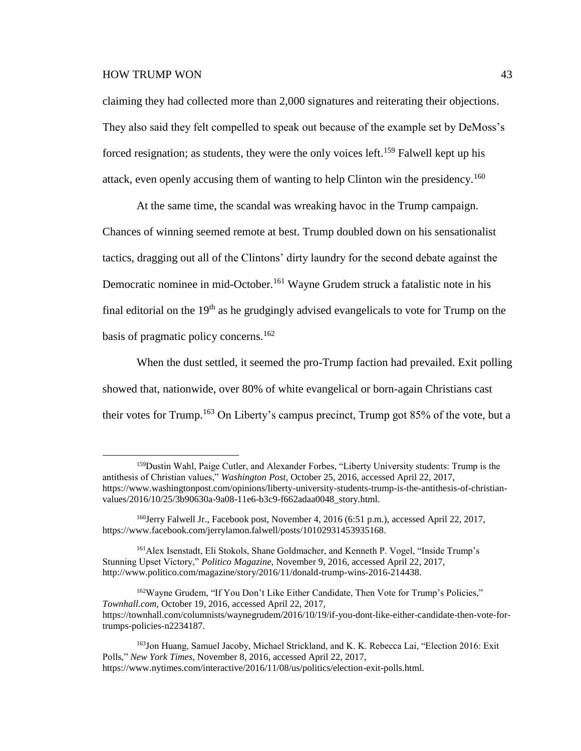$\overline{a}$ 

claiming they had collected more than 2,000 signatures and reiterating their objections. They also said they felt compelled to speak out because of the example set by DeMoss's forced resignation; as students, they were the only voices left.<sup>159</sup> Falwell kept up his attack, even openly accusing them of wanting to help Clinton win the presidency.<sup>160</sup>

At the same time, the scandal was wreaking havoc in the Trump campaign. Chances of winning seemed remote at best. Trump doubled down on his sensationalist tactics, dragging out all of the Clintons' dirty laundry for the second debate against the Democratic nominee in mid-October.<sup>161</sup> Wayne Grudem struck a fatalistic note in his final editorial on the  $19<sup>th</sup>$  as he grudgingly advised evangelicals to vote for Trump on the basis of pragmatic policy concerns. 162

When the dust settled, it seemed the pro-Trump faction had prevailed. Exit polling showed that, nationwide, over 80% of white evangelical or born-again Christians cast their votes for Trump.<sup>163</sup> On Liberty's campus precinct, Trump got  $85\%$  of the vote, but a

<sup>&</sup>lt;sup>159</sup>Dustin Wahl, Paige Cutler, and Alexander Forbes, "Liberty University students: Trump is the antithesis of Christian values," *Washington Post,* October 25, 2016, accessed April 22, 2017, https://www.washingtonpost.com/opinions/liberty-university-students-trump-is-the-antithesis-of-christianvalues/2016/10/25/3b90630a-9a08-11e6-b3c9-f662adaa0048\_story.html.

<sup>160</sup>Jerry Falwell Jr., Facebook post, November 4, 2016 (6:51 p.m.), accessed April 22, 2017, https://www.facebook.com/jerrylamon.falwell/posts/10102931453935168.

<sup>161</sup>Alex Isenstadt, Eli Stokols, Shane Goldmacher, and Kenneth P. Vogel, "Inside Trump's Stunning Upset Victory," *Politico Magazine,* November 9, 2016, accessed April 22, 2017, http://www.politico.com/magazine/story/2016/11/donald-trump-wins-2016-214438.

<sup>162</sup>Wayne Grudem, "If You Don't Like Either Candidate, Then Vote for Trump's Policies," *Townhall.com,* October 19, 2016, accessed April 22, 2017, https://townhall.com/columnists/waynegrudem/2016/10/19/if-you-dont-like-either-candidate-then-vote-fortrumps-policies-n2234187.

<sup>163</sup>Jon Huang, Samuel Jacoby, Michael Strickland, and K. K. Rebecca Lai, "Election 2016: Exit Polls," *New York Times,* November 8, 2016, accessed April 22, 2017, https://www.nytimes.com/interactive/2016/11/08/us/politics/election-exit-polls.html.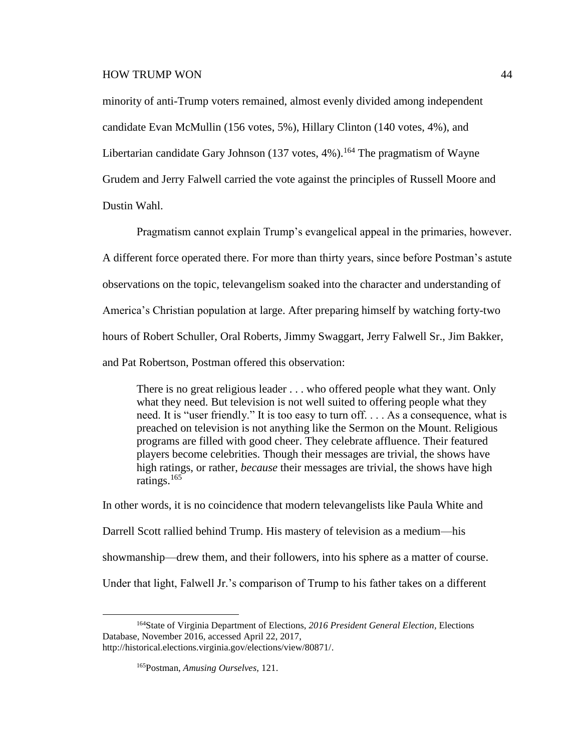minority of anti-Trump voters remained, almost evenly divided among independent candidate Evan McMullin (156 votes, 5%), Hillary Clinton (140 votes, 4%), and Libertarian candidate Gary Johnson  $(137 \text{ votes}, 4\%)$ .<sup>164</sup> The pragmatism of Wayne Grudem and Jerry Falwell carried the vote against the principles of Russell Moore and Dustin Wahl.

Pragmatism cannot explain Trump's evangelical appeal in the primaries, however. A different force operated there. For more than thirty years, since before Postman's astute observations on the topic, televangelism soaked into the character and understanding of America's Christian population at large. After preparing himself by watching forty-two hours of Robert Schuller, Oral Roberts, Jimmy Swaggart, Jerry Falwell Sr., Jim Bakker, and Pat Robertson, Postman offered this observation:

There is no great religious leader . . . who offered people what they want. Only what they need. But television is not well suited to offering people what they need. It is "user friendly." It is too easy to turn off. . . . As a consequence, what is preached on television is not anything like the Sermon on the Mount. Religious programs are filled with good cheer. They celebrate affluence. Their featured players become celebrities. Though their messages are trivial, the shows have high ratings, or rather, *because* their messages are trivial, the shows have high ratings. 165

In other words, it is no coincidence that modern televangelists like Paula White and Darrell Scott rallied behind Trump. His mastery of television as a medium—his showmanship—drew them, and their followers, into his sphere as a matter of course. Under that light, Falwell Jr.'s comparison of Trump to his father takes on a different

<sup>164</sup>State of Virginia Department of Elections, *2016 President General Election,* Elections Database, November 2016, accessed April 22, 2017, http://historical.elections.virginia.gov/elections/view/80871/.

<sup>165</sup>Postman, *Amusing Ourselves,* 121.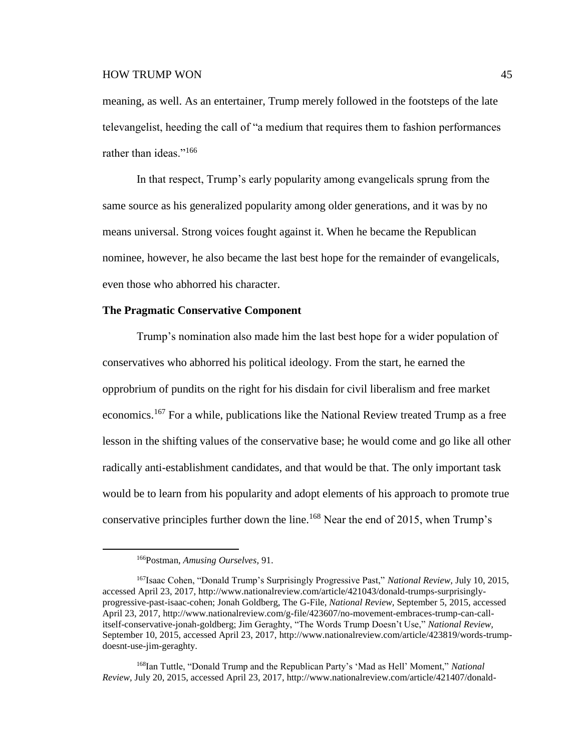meaning, as well. As an entertainer, Trump merely followed in the footsteps of the late televangelist, heeding the call of "a medium that requires them to fashion performances rather than ideas."<sup>166</sup>

In that respect, Trump's early popularity among evangelicals sprung from the same source as his generalized popularity among older generations, and it was by no means universal. Strong voices fought against it. When he became the Republican nominee, however, he also became the last best hope for the remainder of evangelicals, even those who abhorred his character.

#### **The Pragmatic Conservative Component**

Trump's nomination also made him the last best hope for a wider population of conservatives who abhorred his political ideology. From the start, he earned the opprobrium of pundits on the right for his disdain for civil liberalism and free market economics.<sup>167</sup> For a while, publications like the National Review treated Trump as a free lesson in the shifting values of the conservative base; he would come and go like all other radically anti-establishment candidates, and that would be that. The only important task would be to learn from his popularity and adopt elements of his approach to promote true conservative principles further down the line.<sup>168</sup> Near the end of 2015, when Trump's

 $\overline{a}$ 

<sup>168</sup>Ian Tuttle, "Donald Trump and the Republican Party's 'Mad as Hell' Moment," *National Review,* July 20, 2015, accessed April 23, 2017, http://www.nationalreview.com/article/421407/donald-

<sup>166</sup>Postman, *Amusing Ourselves,* 91.

<sup>167</sup>Isaac Cohen, "Donald Trump's Surprisingly Progressive Past," *National Review,* July 10, 2015, accessed April 23, 2017, http://www.nationalreview.com/article/421043/donald-trumps-surprisinglyprogressive-past-isaac-cohen; Jonah Goldberg, The G-File, *National Review,* September 5, 2015, accessed April 23, 2017, http://www.nationalreview.com/g-file/423607/no-movement-embraces-trump-can-callitself-conservative-jonah-goldberg; Jim Geraghty, "The Words Trump Doesn't Use," *National Review,* September 10, 2015, accessed April 23, 2017, http://www.nationalreview.com/article/423819/words-trumpdoesnt-use-jim-geraghty.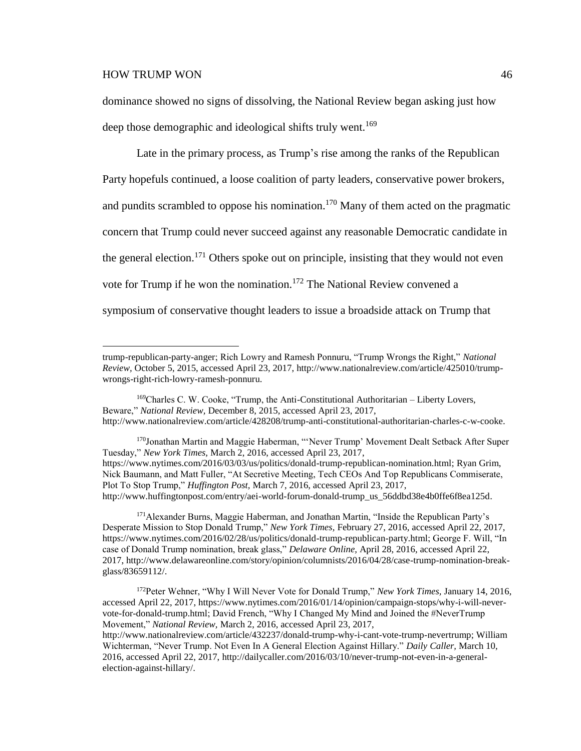$\overline{a}$ 

dominance showed no signs of dissolving, the National Review began asking just how deep those demographic and ideological shifts truly went.<sup>169</sup>

Late in the primary process, as Trump's rise among the ranks of the Republican Party hopefuls continued, a loose coalition of party leaders, conservative power brokers, and pundits scrambled to oppose his nomination.<sup>170</sup> Many of them acted on the pragmatic concern that Trump could never succeed against any reasonable Democratic candidate in the general election.<sup>171</sup> Others spoke out on principle, insisting that they would not even vote for Trump if he won the nomination.<sup>172</sup> The National Review convened a symposium of conservative thought leaders to issue a broadside attack on Trump that

<sup>170</sup>Jonathan Martin and Maggie Haberman, "'Never Trump' Movement Dealt Setback After Super Tuesday," *New York Times,* March 2, 2016, accessed April 23, 2017, https://www.nytimes.com/2016/03/03/us/politics/donald-trump-republican-nomination.html; Ryan Grim, Nick Baumann, and Matt Fuller, "At Secretive Meeting, Tech CEOs And Top Republicans Commiserate, Plot To Stop Trump," *Huffington Post,* March 7, 2016, accessed April 23, 2017, http://www.huffingtonpost.com/entry/aei-world-forum-donald-trump\_us\_56ddbd38e4b0ffe6f8ea125d.

<sup>171</sup> Alexander Burns, Maggie Haberman, and Jonathan Martin, "Inside the Republican Party's Desperate Mission to Stop Donald Trump," *New York Times,* February 27, 2016, accessed April 22, 2017, https://www.nytimes.com/2016/02/28/us/politics/donald-trump-republican-party.html; George F. Will, "In case of Donald Trump nomination, break glass," *Delaware Online,* April 28, 2016, accessed April 22, 2017, http://www.delawareonline.com/story/opinion/columnists/2016/04/28/case-trump-nomination-breakglass/83659112/.

<sup>172</sup>Peter Wehner, "Why I Will Never Vote for Donald Trump," *New York Times,* January 14, 2016, accessed April 22, 2017, https://www.nytimes.com/2016/01/14/opinion/campaign-stops/why-i-will-nevervote-for-donald-trump.html; David French, "Why I Changed My Mind and Joined the #NeverTrump Movement," *National Review,* March 2, 2016, accessed April 23, 2017, http://www.nationalreview.com/article/432237/donald-trump-why-i-cant-vote-trump-nevertrump; William Wichterman, "Never Trump. Not Even In A General Election Against Hillary." *Daily Caller,* March 10, 2016, accessed April 22, 2017, http://dailycaller.com/2016/03/10/never-trump-not-even-in-a-generalelection-against-hillary/.

trump-republican-party-anger; Rich Lowry and Ramesh Ponnuru, "Trump Wrongs the Right," *National Review,* October 5, 2015, accessed April 23, 2017, http://www.nationalreview.com/article/425010/trumpwrongs-right-rich-lowry-ramesh-ponnuru.

<sup>169</sup>Charles C. W. Cooke, "Trump, the Anti-Constitutional Authoritarian – Liberty Lovers, Beware," *National Review,* December 8, 2015, accessed April 23, 2017, http://www.nationalreview.com/article/428208/trump-anti-constitutional-authoritarian-charles-c-w-cooke.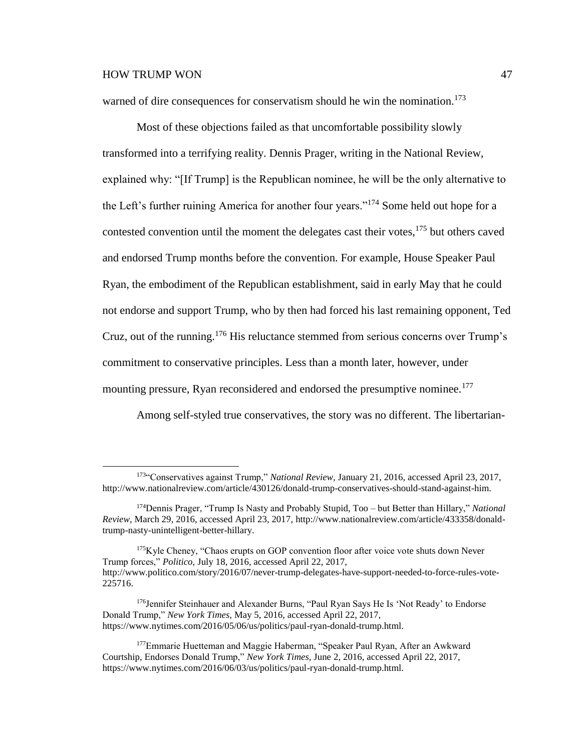$\overline{a}$ 

warned of dire consequences for conservatism should he win the nomination.<sup>173</sup>

Most of these objections failed as that uncomfortable possibility slowly transformed into a terrifying reality. Dennis Prager, writing in the National Review, explained why: "[If Trump] is the Republican nominee, he will be the only alternative to the Left's further ruining America for another four years."<sup>174</sup> Some held out hope for a contested convention until the moment the delegates cast their votes,  $175$  but others caved and endorsed Trump months before the convention. For example, House Speaker Paul Ryan, the embodiment of the Republican establishment, said in early May that he could not endorse and support Trump, who by then had forced his last remaining opponent, Ted Cruz, out of the running.<sup>176</sup> His reluctance stemmed from serious concerns over Trump's commitment to conservative principles. Less than a month later, however, under mounting pressure, Ryan reconsidered and endorsed the presumptive nominee.<sup>177</sup>

Among self-styled true conservatives, the story was no different. The libertarian-

<sup>173</sup>"Conservatives against Trump," *National Review,* January 21, 2016, accessed April 23, 2017, http://www.nationalreview.com/article/430126/donald-trump-conservatives-should-stand-against-him.

<sup>174</sup>Dennis Prager, "Trump Is Nasty and Probably Stupid, Too – but Better than Hillary," *National Review,* March 29, 2016, accessed April 23, 2017, http://www.nationalreview.com/article/433358/donaldtrump-nasty-unintelligent-better-hillary.

<sup>&</sup>lt;sup>175</sup>Kyle Cheney, "Chaos erupts on GOP convention floor after voice vote shuts down Never Trump forces," *Politico,* July 18, 2016, accessed April 22, 2017, http://www.politico.com/story/2016/07/never-trump-delegates-have-support-needed-to-force-rules-vote-225716.

<sup>176</sup>Jennifer Steinhauer and Alexander Burns, "Paul Ryan Says He Is 'Not Ready' to Endorse Donald Trump," *New York Times,* May 5, 2016, accessed April 22, 2017, https://www.nytimes.com/2016/05/06/us/politics/paul-ryan-donald-trump.html.

<sup>&</sup>lt;sup>177</sup>Emmarie Huetteman and Maggie Haberman, "Speaker Paul Ryan, After an Awkward Courtship, Endorses Donald Trump," *New York Times,* June 2, 2016, accessed April 22, 2017, https://www.nytimes.com/2016/06/03/us/politics/paul-ryan-donald-trump.html.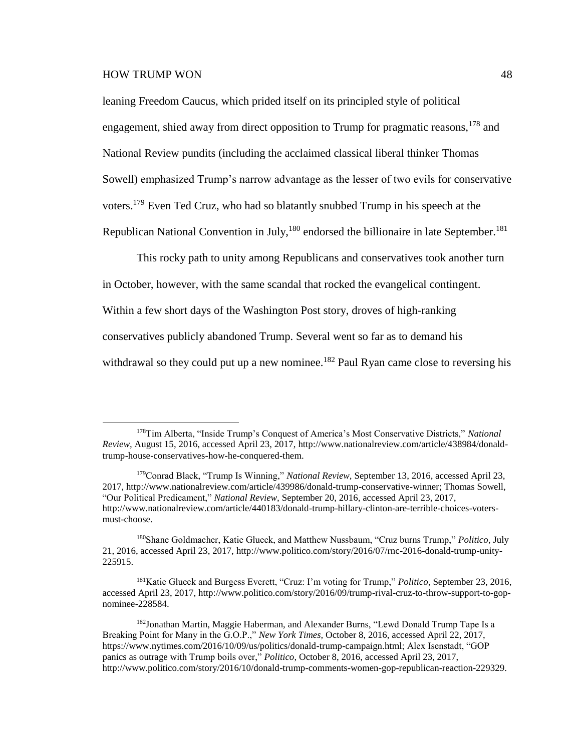$\overline{a}$ 

leaning Freedom Caucus, which prided itself on its principled style of political engagement, shied away from direct opposition to Trump for pragmatic reasons, <sup>178</sup> and National Review pundits (including the acclaimed classical liberal thinker Thomas Sowell) emphasized Trump's narrow advantage as the lesser of two evils for conservative voters.<sup>179</sup> Even Ted Cruz, who had so blatantly snubbed Trump in his speech at the Republican National Convention in July,  $180$  endorsed the billionaire in late September.<sup>181</sup>

This rocky path to unity among Republicans and conservatives took another turn in October, however, with the same scandal that rocked the evangelical contingent. Within a few short days of the Washington Post story, droves of high-ranking conservatives publicly abandoned Trump. Several went so far as to demand his withdrawal so they could put up a new nominee.<sup>182</sup> Paul Ryan came close to reversing his

<sup>178</sup>Tim Alberta, "Inside Trump's Conquest of America's Most Conservative Districts," *National Review,* August 15, 2016, accessed April 23, 2017, http://www.nationalreview.com/article/438984/donaldtrump-house-conservatives-how-he-conquered-them.

<sup>179</sup>Conrad Black, "Trump Is Winning," *National Review,* September 13, 2016, accessed April 23, 2017, http://www.nationalreview.com/article/439986/donald-trump-conservative-winner; Thomas Sowell, "Our Political Predicament," *National Review,* September 20, 2016, accessed April 23, 2017, http://www.nationalreview.com/article/440183/donald-trump-hillary-clinton-are-terrible-choices-votersmust-choose.

<sup>180</sup>Shane Goldmacher, Katie Glueck, and Matthew Nussbaum, "Cruz burns Trump," *Politico,* July 21, 2016, accessed April 23, 2017, http://www.politico.com/story/2016/07/rnc-2016-donald-trump-unity-225915.

<sup>181</sup>Katie Glueck and Burgess Everett, "Cruz: I'm voting for Trump," *Politico,* September 23, 2016, accessed April 23, 2017, http://www.politico.com/story/2016/09/trump-rival-cruz-to-throw-support-to-gopnominee-228584.

<sup>182</sup>Jonathan Martin, Maggie Haberman, and Alexander Burns, "Lewd Donald Trump Tape Is a Breaking Point for Many in the G.O.P.," *New York Times,* October 8, 2016, accessed April 22, 2017, https://www.nytimes.com/2016/10/09/us/politics/donald-trump-campaign.html; Alex Isenstadt, "GOP panics as outrage with Trump boils over," *Politico,* October 8, 2016, accessed April 23, 2017, http://www.politico.com/story/2016/10/donald-trump-comments-women-gop-republican-reaction-229329.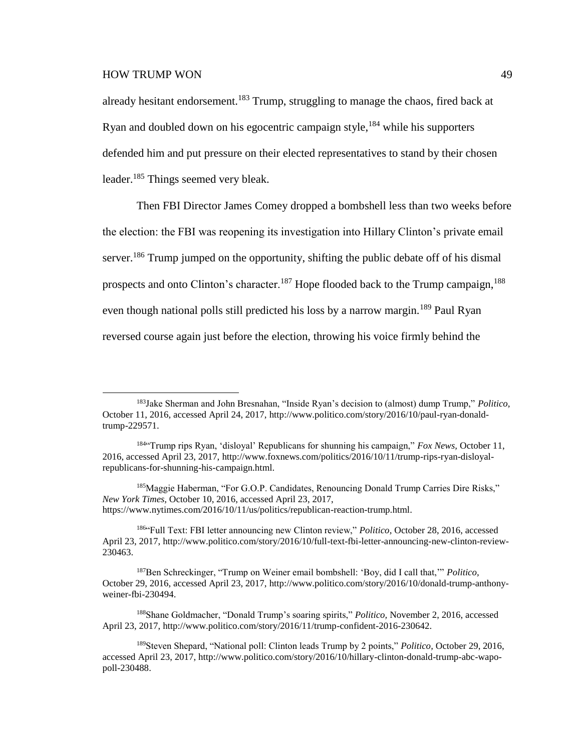$\overline{a}$ 

already hesitant endorsement.<sup>183</sup> Trump, struggling to manage the chaos, fired back at Ryan and doubled down on his egocentric campaign style,  $^{184}$  while his supporters defended him and put pressure on their elected representatives to stand by their chosen leader.<sup>185</sup> Things seemed very bleak.

Then FBI Director James Comey dropped a bombshell less than two weeks before the election: the FBI was reopening its investigation into Hillary Clinton's private email server.<sup>186</sup> Trump jumped on the opportunity, shifting the public debate off of his dismal prospects and onto Clinton's character.<sup>187</sup> Hope flooded back to the Trump campaign,  $188$ even though national polls still predicted his loss by a narrow margin.<sup>189</sup> Paul Ryan reversed course again just before the election, throwing his voice firmly behind the

<sup>185</sup>Maggie Haberman, "For G.O.P. Candidates, Renouncing Donald Trump Carries Dire Risks," *New York Times,* October 10, 2016, accessed April 23, 2017, https://www.nytimes.com/2016/10/11/us/politics/republican-reaction-trump.html.

<sup>186</sup>"Full Text: FBI letter announcing new Clinton review," *Politico,* October 28, 2016, accessed April 23, 2017, http://www.politico.com/story/2016/10/full-text-fbi-letter-announcing-new-clinton-review-230463.

<sup>187</sup>Ben Schreckinger, "Trump on Weiner email bombshell: 'Boy, did I call that,'" *Politico,* October 29, 2016, accessed April 23, 2017, http://www.politico.com/story/2016/10/donald-trump-anthonyweiner-fbi-230494.

<sup>188</sup>Shane Goldmacher, "Donald Trump's soaring spirits," *Politico,* November 2, 2016, accessed April 23, 2017, http://www.politico.com/story/2016/11/trump-confident-2016-230642.

<sup>183</sup>Jake Sherman and John Bresnahan, "Inside Ryan's decision to (almost) dump Trump," *Politico,* October 11, 2016, accessed April 24, 2017, http://www.politico.com/story/2016/10/paul-ryan-donaldtrump-229571.

<sup>184</sup>"Trump rips Ryan, 'disloyal' Republicans for shunning his campaign," *Fox News,* October 11, 2016, accessed April 23, 2017, http://www.foxnews.com/politics/2016/10/11/trump-rips-ryan-disloyalrepublicans-for-shunning-his-campaign.html.

<sup>189</sup>Steven Shepard, "National poll: Clinton leads Trump by 2 points," *Politico,* October 29, 2016, accessed April 23, 2017, http://www.politico.com/story/2016/10/hillary-clinton-donald-trump-abc-wapopoll-230488.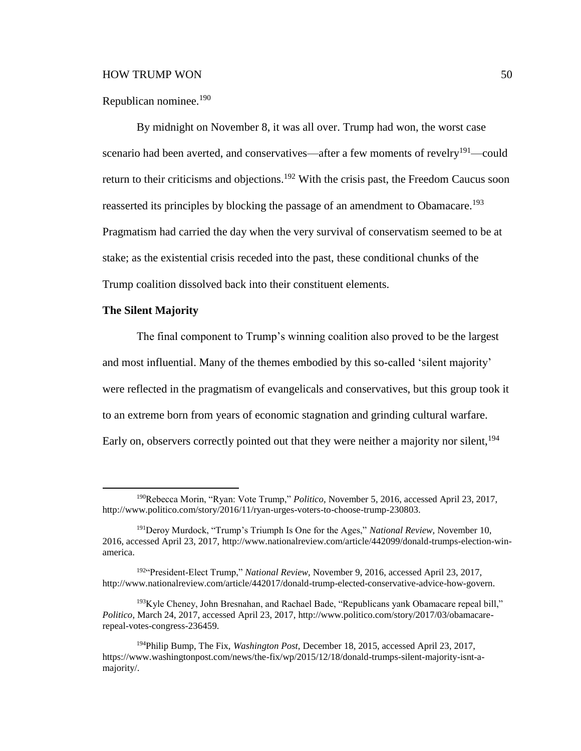#### Republican nominee.<sup>190</sup>

By midnight on November 8, it was all over. Trump had won, the worst case scenario had been averted, and conservatives—after a few moments of revelry<sup>191</sup>—could return to their criticisms and objections.<sup>192</sup> With the crisis past, the Freedom Caucus soon reasserted its principles by blocking the passage of an amendment to Obamacare.<sup>193</sup> Pragmatism had carried the day when the very survival of conservatism seemed to be at stake; as the existential crisis receded into the past, these conditional chunks of the Trump coalition dissolved back into their constituent elements.

# **The Silent Majority**

 $\overline{a}$ 

The final component to Trump's winning coalition also proved to be the largest and most influential. Many of the themes embodied by this so-called 'silent majority' were reflected in the pragmatism of evangelicals and conservatives, but this group took it to an extreme born from years of economic stagnation and grinding cultural warfare. Early on, observers correctly pointed out that they were neither a majority nor silent, <sup>194</sup>

<sup>190</sup>Rebecca Morin, "Ryan: Vote Trump," *Politico,* November 5, 2016, accessed April 23, 2017, http://www.politico.com/story/2016/11/ryan-urges-voters-to-choose-trump-230803.

<sup>191</sup>Deroy Murdock, "Trump's Triumph Is One for the Ages," *National Review,* November 10, 2016, accessed April 23, 2017, http://www.nationalreview.com/article/442099/donald-trumps-election-winamerica.

<sup>192</sup>"President-Elect Trump," *National Review,* November 9, 2016, accessed April 23, 2017, http://www.nationalreview.com/article/442017/donald-trump-elected-conservative-advice-how-govern.

 $193$ Kyle Cheney, John Bresnahan, and Rachael Bade, "Republicans yank Obamacare repeal bill," *Politico,* March 24, 2017, accessed April 23, 2017, http://www.politico.com/story/2017/03/obamacarerepeal-votes-congress-236459.

<sup>194</sup>Philip Bump, The Fix, *Washington Post,* December 18, 2015, accessed April 23, 2017, https://www.washingtonpost.com/news/the-fix/wp/2015/12/18/donald-trumps-silent-majority-isnt-amajority/.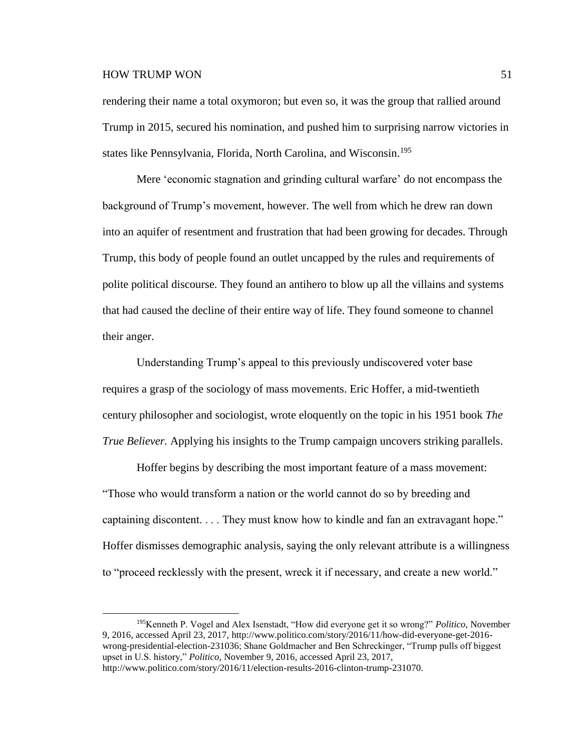$\overline{a}$ 

rendering their name a total oxymoron; but even so, it was the group that rallied around Trump in 2015, secured his nomination, and pushed him to surprising narrow victories in states like Pennsylvania, Florida, North Carolina, and Wisconsin.<sup>195</sup>

Mere 'economic stagnation and grinding cultural warfare' do not encompass the background of Trump's movement, however. The well from which he drew ran down into an aquifer of resentment and frustration that had been growing for decades. Through Trump, this body of people found an outlet uncapped by the rules and requirements of polite political discourse. They found an antihero to blow up all the villains and systems that had caused the decline of their entire way of life. They found someone to channel their anger.

Understanding Trump's appeal to this previously undiscovered voter base requires a grasp of the sociology of mass movements. Eric Hoffer, a mid-twentieth century philosopher and sociologist, wrote eloquently on the topic in his 1951 book *The True Believer.* Applying his insights to the Trump campaign uncovers striking parallels.

Hoffer begins by describing the most important feature of a mass movement: "Those who would transform a nation or the world cannot do so by breeding and captaining discontent. . . . They must know how to kindle and fan an extravagant hope." Hoffer dismisses demographic analysis, saying the only relevant attribute is a willingness to "proceed recklessly with the present, wreck it if necessary, and create a new world."

<sup>195</sup>Kenneth P. Vogel and Alex Isenstadt, "How did everyone get it so wrong?" *Politico,* November 9, 2016, accessed April 23, 2017, http://www.politico.com/story/2016/11/how-did-everyone-get-2016 wrong-presidential-election-231036; Shane Goldmacher and Ben Schreckinger, "Trump pulls off biggest upset in U.S. history," *Politico,* November 9, 2016, accessed April 23, 2017, http://www.politico.com/story/2016/11/election-results-2016-clinton-trump-231070.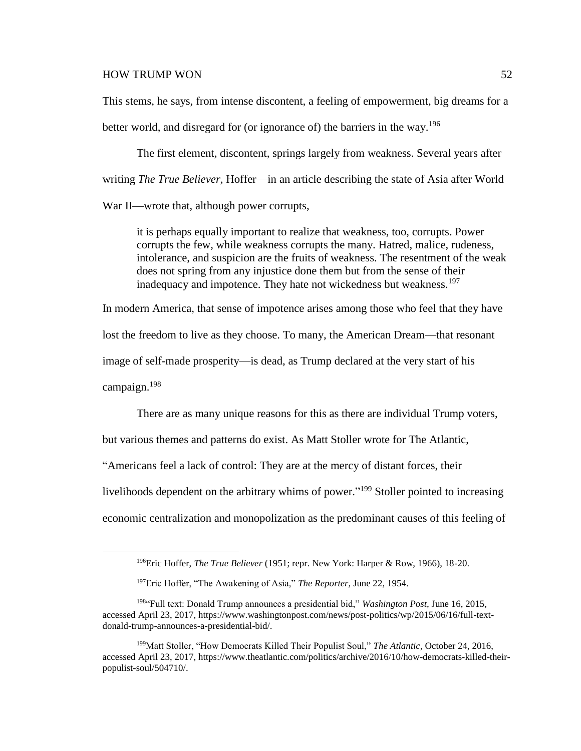This stems, he says, from intense discontent, a feeling of empowerment, big dreams for a

better world, and disregard for (or ignorance of) the barriers in the way.<sup>196</sup>

The first element, discontent, springs largely from weakness. Several years after writing *The True Believer,* Hoffer—in an article describing the state of Asia after World War II—wrote that, although power corrupts,

it is perhaps equally important to realize that weakness, too, corrupts. Power corrupts the few, while weakness corrupts the many. Hatred, malice, rudeness, intolerance, and suspicion are the fruits of weakness. The resentment of the weak does not spring from any injustice done them but from the sense of their inadequacy and impotence. They hate not wickedness but weakness.<sup>197</sup>

In modern America, that sense of impotence arises among those who feel that they have

lost the freedom to live as they choose. To many, the American Dream—that resonant

image of self-made prosperity—is dead, as Trump declared at the very start of his

campaign. 198

 $\overline{a}$ 

There are as many unique reasons for this as there are individual Trump voters,

but various themes and patterns do exist. As Matt Stoller wrote for The Atlantic,

"Americans feel a lack of control: They are at the mercy of distant forces, their

livelihoods dependent on the arbitrary whims of power."<sup>199</sup> Stoller pointed to increasing

economic centralization and monopolization as the predominant causes of this feeling of

<sup>196</sup>Eric Hoffer, *The True Believer* (1951; repr. New York: Harper & Row, 1966), 18-20.

<sup>197</sup>Eric Hoffer, "The Awakening of Asia," *The Reporter,* June 22, 1954.

<sup>198</sup>"Full text: Donald Trump announces a presidential bid," *Washington Post,* June 16, 2015, accessed April 23, 2017, https://www.washingtonpost.com/news/post-politics/wp/2015/06/16/full-textdonald-trump-announces-a-presidential-bid/.

<sup>199</sup>Matt Stoller, "How Democrats Killed Their Populist Soul," *The Atlantic,* October 24, 2016, accessed April 23, 2017, https://www.theatlantic.com/politics/archive/2016/10/how-democrats-killed-theirpopulist-soul/504710/.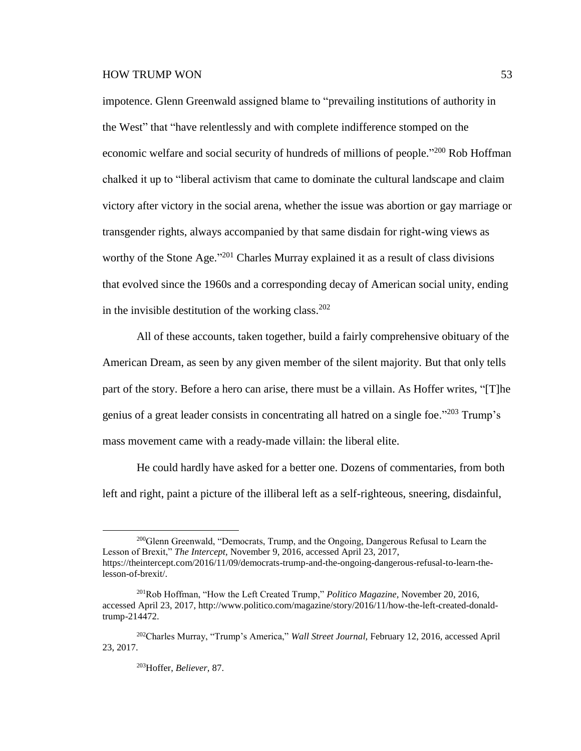impotence. Glenn Greenwald assigned blame to "prevailing institutions of authority in the West" that "have relentlessly and with complete indifference stomped on the economic welfare and social security of hundreds of millions of people."<sup>200</sup> Rob Hoffman chalked it up to "liberal activism that came to dominate the cultural landscape and claim victory after victory in the social arena, whether the issue was abortion or gay marriage or transgender rights, always accompanied by that same disdain for right-wing views as worthy of the Stone Age."<sup>201</sup> Charles Murray explained it as a result of class divisions that evolved since the 1960s and a corresponding decay of American social unity, ending in the invisible destitution of the working class. 202

All of these accounts, taken together, build a fairly comprehensive obituary of the American Dream, as seen by any given member of the silent majority. But that only tells part of the story. Before a hero can arise, there must be a villain. As Hoffer writes, "[T]he genius of a great leader consists in concentrating all hatred on a single foe."<sup>203</sup> Trump's mass movement came with a ready-made villain: the liberal elite.

He could hardly have asked for a better one. Dozens of commentaries, from both left and right, paint a picture of the illiberal left as a self-righteous, sneering, disdainful,

<sup>&</sup>lt;sup>200</sup>Glenn Greenwald, "Democrats, Trump, and the Ongoing, Dangerous Refusal to Learn the Lesson of Brexit," *The Intercept,* November 9, 2016, accessed April 23, 2017, https://theintercept.com/2016/11/09/democrats-trump-and-the-ongoing-dangerous-refusal-to-learn-thelesson-of-brexit/.

<sup>201</sup>Rob Hoffman, "How the Left Created Trump," *Politico Magazine,* November 20, 2016, accessed April 23, 2017, http://www.politico.com/magazine/story/2016/11/how-the-left-created-donaldtrump-214472.

<sup>202</sup>Charles Murray, "Trump's America," *Wall Street Journal,* February 12, 2016, accessed April 23, 2017.

<sup>203</sup>Hoffer, *Believer,* 87.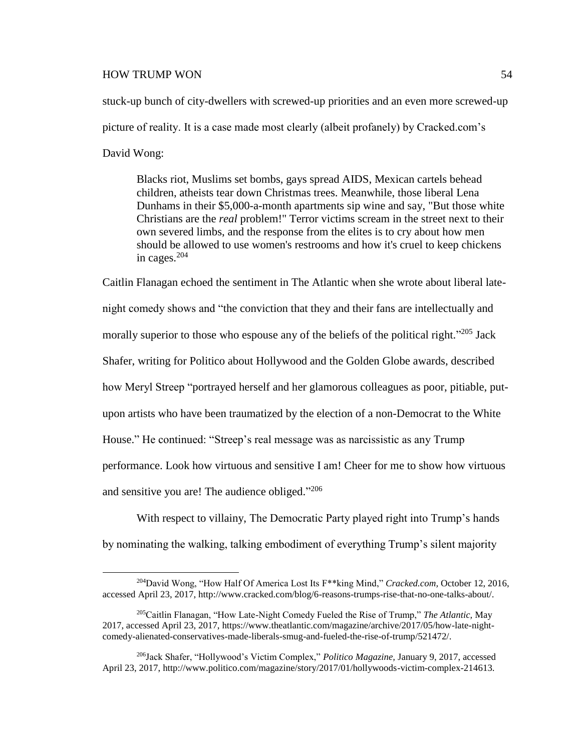$\overline{a}$ 

stuck-up bunch of city-dwellers with screwed-up priorities and an even more screwed-up picture of reality. It is a case made most clearly (albeit profanely) by Cracked.com's David Wong:

Blacks riot, Muslims set bombs, gays spread AIDS, Mexican cartels behead children, atheists tear down Christmas trees. Meanwhile, those liberal Lena Dunhams in their \$5,000-a-month apartments sip wine and say, "But those white Christians are the *real* problem!" Terror victims scream in the street next to their own severed limbs, and the response from the elites is to cry about how men should be allowed to use women's restrooms and how it's cruel to keep chickens in cages.<sup>204</sup>

Caitlin Flanagan echoed the sentiment in The Atlantic when she wrote about liberal latenight comedy shows and "the conviction that they and their fans are intellectually and morally superior to those who espouse any of the beliefs of the political right."<sup>205</sup> Jack Shafer, writing for Politico about Hollywood and the Golden Globe awards, described how Meryl Streep "portrayed herself and her glamorous colleagues as poor, pitiable, putupon artists who have been traumatized by the election of a non-Democrat to the White House." He continued: "Streep's real message was as narcissistic as any Trump performance. Look how virtuous and sensitive I am! Cheer for me to show how virtuous and sensitive you are! The audience obliged."206

With respect to villainy, The Democratic Party played right into Trump's hands by nominating the walking, talking embodiment of everything Trump's silent majority

<sup>204</sup>David Wong, "How Half Of America Lost Its F\*\*king Mind," *Cracked.com,* October 12, 2016, accessed April 23, 2017, http://www.cracked.com/blog/6-reasons-trumps-rise-that-no-one-talks-about/.

<sup>205</sup>Caitlin Flanagan, "How Late-Night Comedy Fueled the Rise of Trump," *The Atlantic,* May 2017, accessed April 23, 2017, https://www.theatlantic.com/magazine/archive/2017/05/how-late-nightcomedy-alienated-conservatives-made-liberals-smug-and-fueled-the-rise-of-trump/521472/.

<sup>206</sup>Jack Shafer, "Hollywood's Victim Complex," *Politico Magazine,* January 9, 2017, accessed April 23, 2017, http://www.politico.com/magazine/story/2017/01/hollywoods-victim-complex-214613.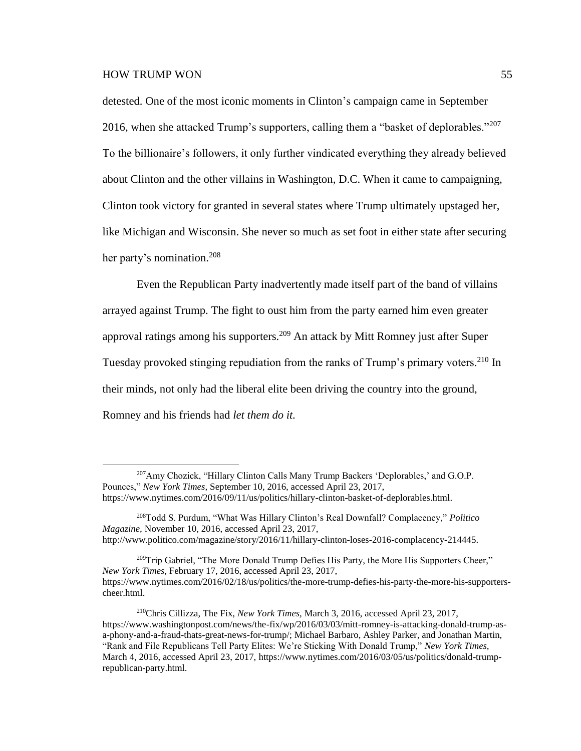$\overline{a}$ 

detested. One of the most iconic moments in Clinton's campaign came in September 2016, when she attacked Trump's supporters, calling them a "basket of deplorables."<sup>207</sup> To the billionaire's followers, it only further vindicated everything they already believed about Clinton and the other villains in Washington, D.C. When it came to campaigning, Clinton took victory for granted in several states where Trump ultimately upstaged her, like Michigan and Wisconsin. She never so much as set foot in either state after securing her party's nomination.<sup>208</sup>

Even the Republican Party inadvertently made itself part of the band of villains arrayed against Trump. The fight to oust him from the party earned him even greater approval ratings among his supporters.<sup>209</sup> An attack by Mitt Romney just after Super Tuesday provoked stinging repudiation from the ranks of Trump's primary voters.<sup>210</sup> In their minds, not only had the liberal elite been driving the country into the ground, Romney and his friends had *let them do it.*

<sup>207</sup>Amy Chozick, "Hillary Clinton Calls Many Trump Backers 'Deplorables,' and G.O.P. Pounces," *New York Times,* September 10, 2016, accessed April 23, 2017, https://www.nytimes.com/2016/09/11/us/politics/hillary-clinton-basket-of-deplorables.html.

<sup>208</sup>Todd S. Purdum, "What Was Hillary Clinton's Real Downfall? Complacency," *Politico Magazine,* November 10, 2016, accessed April 23, 2017, http://www.politico.com/magazine/story/2016/11/hillary-clinton-loses-2016-complacency-214445.

<sup>&</sup>lt;sup>209</sup>Trip Gabriel, "The More Donald Trump Defies His Party, the More His Supporters Cheer," *New York Times,* February 17, 2016, accessed April 23, 2017, https://www.nytimes.com/2016/02/18/us/politics/the-more-trump-defies-his-party-the-more-his-supporterscheer.html.

<sup>210</sup>Chris Cillizza, The Fix, *New York Times,* March 3, 2016, accessed April 23, 2017, https://www.washingtonpost.com/news/the-fix/wp/2016/03/03/mitt-romney-is-attacking-donald-trump-asa-phony-and-a-fraud-thats-great-news-for-trump/; Michael Barbaro, Ashley Parker, and Jonathan Martin, "Rank and File Republicans Tell Party Elites: We're Sticking With Donald Trump," *New York Times,* March 4, 2016, accessed April 23, 2017, https://www.nytimes.com/2016/03/05/us/politics/donald-trumprepublican-party.html.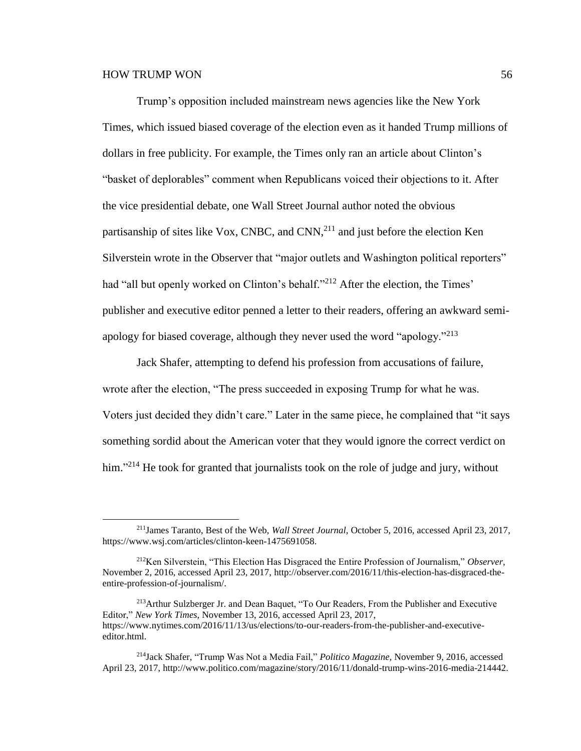Trump's opposition included mainstream news agencies like the New York Times, which issued biased coverage of the election even as it handed Trump millions of dollars in free publicity. For example, the Times only ran an article about Clinton's "basket of deplorables" comment when Republicans voiced their objections to it. After the vice presidential debate, one Wall Street Journal author noted the obvious partisanship of sites like Vox, CNBC, and CNN, $^{211}$  and just before the election Ken Silverstein wrote in the Observer that "major outlets and Washington political reporters" had "all but openly worked on Clinton's behalf."<sup>212</sup> After the election, the Times' publisher and executive editor penned a letter to their readers, offering an awkward semiapology for biased coverage, although they never used the word "apology."<sup>213</sup>

Jack Shafer, attempting to defend his profession from accusations of failure, wrote after the election, "The press succeeded in exposing Trump for what he was. Voters just decided they didn't care." Later in the same piece, he complained that "it says something sordid about the American voter that they would ignore the correct verdict on him."<sup>214</sup> He took for granted that journalists took on the role of judge and jury, without

<sup>213</sup>Arthur Sulzberger Jr. and Dean Baquet, "To Our Readers, From the Publisher and Executive Editor," *New York Times,* November 13, 2016, accessed April 23, 2017, https://www.nytimes.com/2016/11/13/us/elections/to-our-readers-from-the-publisher-and-executiveeditor.html.

<sup>211</sup>James Taranto, Best of the Web, *Wall Street Journal,* October 5, 2016, accessed April 23, 2017, https://www.wsj.com/articles/clinton-keen-1475691058.

<sup>212</sup>Ken Silverstein, "This Election Has Disgraced the Entire Profession of Journalism," *Observer,* November 2, 2016, accessed April 23, 2017, http://observer.com/2016/11/this-election-has-disgraced-theentire-profession-of-journalism/.

<sup>214</sup>Jack Shafer, "Trump Was Not a Media Fail," *Politico Magazine,* November 9, 2016, accessed April 23, 2017, http://www.politico.com/magazine/story/2016/11/donald-trump-wins-2016-media-214442.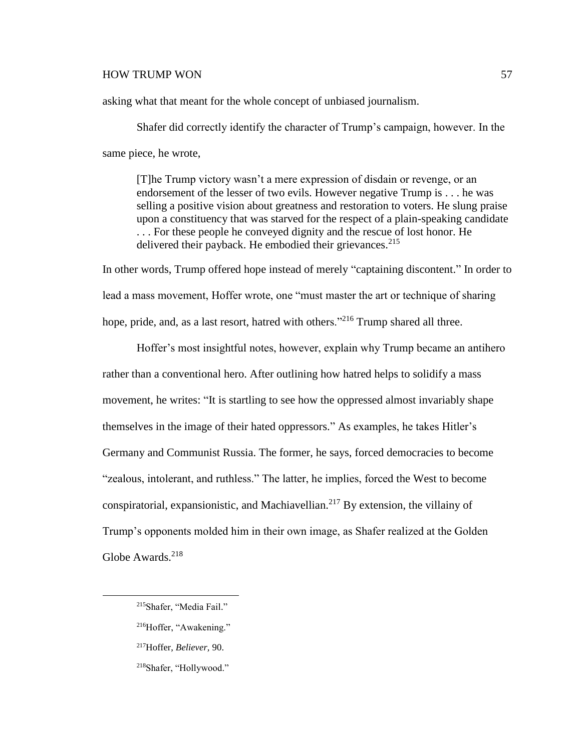asking what that meant for the whole concept of unbiased journalism.

Shafer did correctly identify the character of Trump's campaign, however. In the same piece, he wrote,

[T]he Trump victory wasn't a mere expression of disdain or revenge, or an endorsement of the lesser of two evils. However negative Trump is . . . he was selling a positive vision about greatness and restoration to voters. He slung praise upon a constituency that was starved for the respect of a plain-speaking candidate . . . For these people he conveyed dignity and the rescue of lost honor. He delivered their payback. He embodied their grievances.<sup>215</sup>

In other words, Trump offered hope instead of merely "captaining discontent." In order to lead a mass movement, Hoffer wrote, one "must master the art or technique of sharing hope, pride, and, as a last resort, hatred with others."<sup>216</sup> Trump shared all three.

Hoffer's most insightful notes, however, explain why Trump became an antihero rather than a conventional hero. After outlining how hatred helps to solidify a mass movement, he writes: "It is startling to see how the oppressed almost invariably shape themselves in the image of their hated oppressors." As examples, he takes Hitler's Germany and Communist Russia. The former, he says, forced democracies to become "zealous, intolerant, and ruthless." The latter, he implies, forced the West to become conspiratorial, expansionistic, and Machiavellian.<sup>217</sup> By extension, the villainy of Trump's opponents molded him in their own image, as Shafer realized at the Golden Globe Awards. $218$ 

<sup>215</sup>Shafer, "Media Fail."

<sup>216</sup>Hoffer, "Awakening."

<sup>217</sup>Hoffer, *Believer,* 90.

<sup>218</sup>Shafer, "Hollywood."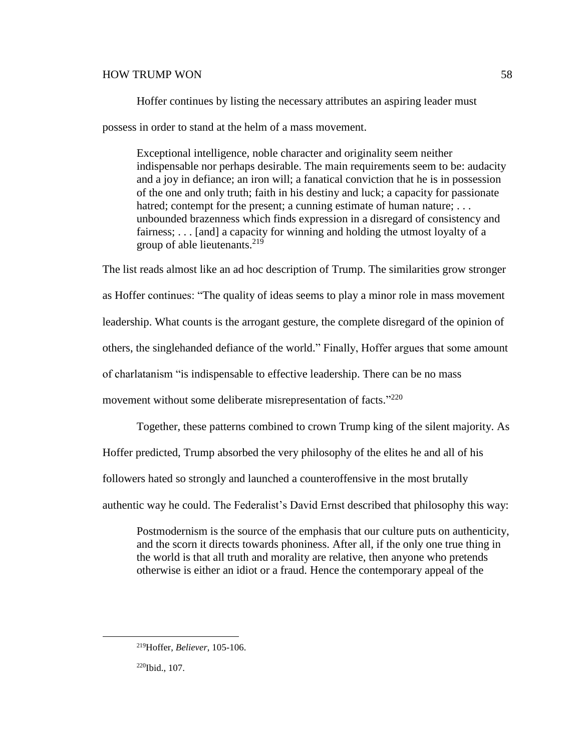Hoffer continues by listing the necessary attributes an aspiring leader must

possess in order to stand at the helm of a mass movement.

Exceptional intelligence, noble character and originality seem neither indispensable nor perhaps desirable. The main requirements seem to be: audacity and a joy in defiance; an iron will; a fanatical conviction that he is in possession of the one and only truth; faith in his destiny and luck; a capacity for passionate hatred; contempt for the present; a cunning estimate of human nature; ... unbounded brazenness which finds expression in a disregard of consistency and fairness; . . . [and] a capacity for winning and holding the utmost loyalty of a group of able lieutenants.<sup>219</sup>

The list reads almost like an ad hoc description of Trump. The similarities grow stronger as Hoffer continues: "The quality of ideas seems to play a minor role in mass movement leadership. What counts is the arrogant gesture, the complete disregard of the opinion of others, the singlehanded defiance of the world." Finally, Hoffer argues that some amount of charlatanism "is indispensable to effective leadership. There can be no mass movement without some deliberate misrepresentation of facts."<sup>220</sup>

Together, these patterns combined to crown Trump king of the silent majority. As

Hoffer predicted, Trump absorbed the very philosophy of the elites he and all of his

followers hated so strongly and launched a counteroffensive in the most brutally

authentic way he could. The Federalist's David Ernst described that philosophy this way:

Postmodernism is the source of the emphasis that our culture puts on authenticity, and the scorn it directs towards phoniness. After all, if the only one true thing in the world is that all truth and morality are relative, then anyone who pretends otherwise is either an idiot or a fraud. Hence the contemporary appeal of the

<sup>219</sup>Hoffer, *Believer*, 105-106.

<sup>220</sup>Ibid., 107.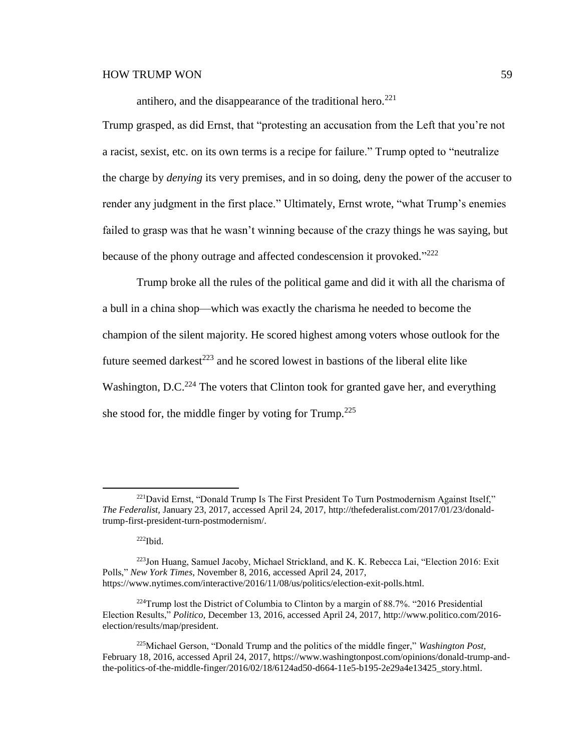antihero, and the disappearance of the traditional hero.<sup>221</sup>

Trump grasped, as did Ernst, that "protesting an accusation from the Left that you're not a racist, sexist, etc. on its own terms is a recipe for failure." Trump opted to "neutralize the charge by *denying* its very premises, and in so doing, deny the power of the accuser to render any judgment in the first place." Ultimately, Ernst wrote, "what Trump's enemies failed to grasp was that he wasn't winning because of the crazy things he was saying, but because of the phony outrage and affected condescension it provoked."<sup>222</sup>

Trump broke all the rules of the political game and did it with all the charisma of a bull in a china shop—which was exactly the charisma he needed to become the champion of the silent majority. He scored highest among voters whose outlook for the future seemed darkest<sup>223</sup> and he scored lowest in bastions of the liberal elite like Washington, D.C.<sup>224</sup> The voters that Clinton took for granted gave her, and everything she stood for, the middle finger by voting for Trump.<sup>225</sup>

<sup>221</sup>David Ernst, "Donald Trump Is The First President To Turn Postmodernism Against Itself," *The Federalist,* January 23, 2017, accessed April 24, 2017, http://thefederalist.com/2017/01/23/donaldtrump-first-president-turn-postmodernism/.

<sup>222</sup>Ibid.

<sup>223</sup>Jon Huang, Samuel Jacoby, Michael Strickland, and K. K. Rebecca Lai, "Election 2016: Exit Polls," *New York Times,* November 8, 2016, accessed April 24, 2017, https://www.nytimes.com/interactive/2016/11/08/us/politics/election-exit-polls.html.

 $^{224}$ Trump lost the District of Columbia to Clinton by a margin of 88.7%. "2016 Presidential Election Results," *Politico,* December 13, 2016, accessed April 24, 2017, http://www.politico.com/2016 election/results/map/president.

<sup>225</sup>Michael Gerson, "Donald Trump and the politics of the middle finger," *Washington Post,* February 18, 2016, accessed April 24, 2017, https://www.washingtonpost.com/opinions/donald-trump-andthe-politics-of-the-middle-finger/2016/02/18/6124ad50-d664-11e5-b195-2e29a4e13425\_story.html.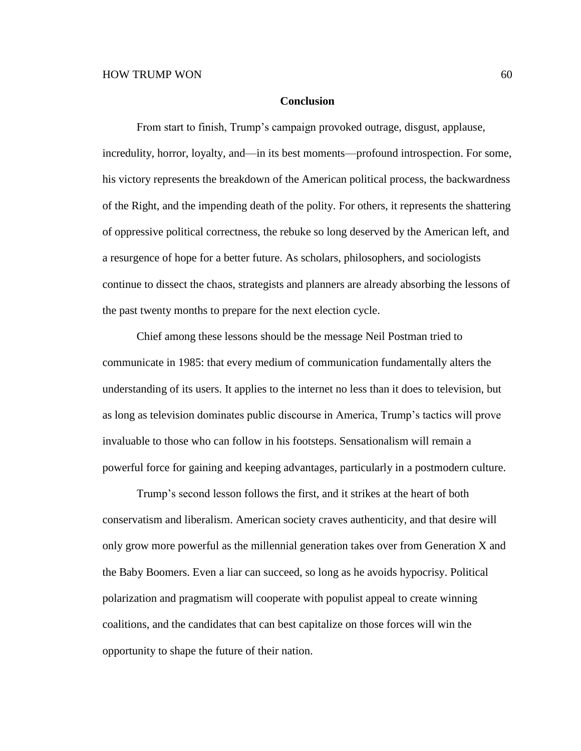#### **Conclusion**

From start to finish, Trump's campaign provoked outrage, disgust, applause, incredulity, horror, loyalty, and—in its best moments—profound introspection. For some, his victory represents the breakdown of the American political process, the backwardness of the Right, and the impending death of the polity. For others, it represents the shattering of oppressive political correctness, the rebuke so long deserved by the American left, and a resurgence of hope for a better future. As scholars, philosophers, and sociologists continue to dissect the chaos, strategists and planners are already absorbing the lessons of the past twenty months to prepare for the next election cycle.

Chief among these lessons should be the message Neil Postman tried to communicate in 1985: that every medium of communication fundamentally alters the understanding of its users. It applies to the internet no less than it does to television, but as long as television dominates public discourse in America, Trump's tactics will prove invaluable to those who can follow in his footsteps. Sensationalism will remain a powerful force for gaining and keeping advantages, particularly in a postmodern culture.

Trump's second lesson follows the first, and it strikes at the heart of both conservatism and liberalism. American society craves authenticity, and that desire will only grow more powerful as the millennial generation takes over from Generation X and the Baby Boomers. Even a liar can succeed, so long as he avoids hypocrisy. Political polarization and pragmatism will cooperate with populist appeal to create winning coalitions, and the candidates that can best capitalize on those forces will win the opportunity to shape the future of their nation.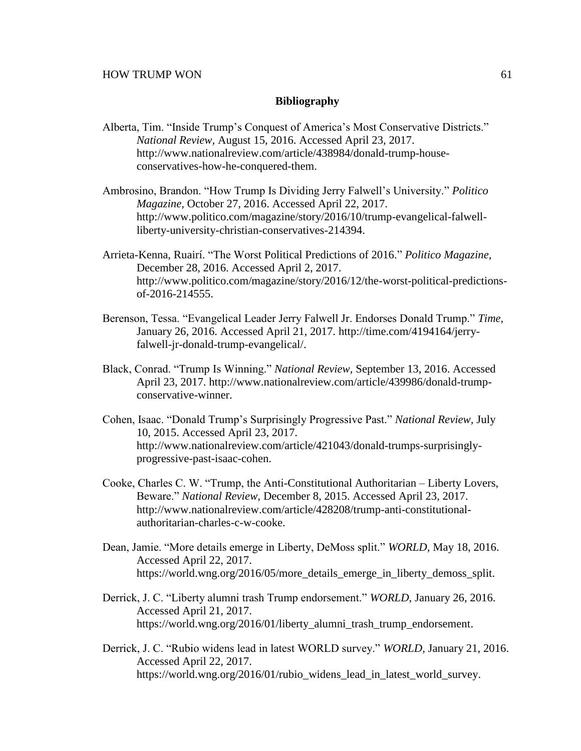## **Bibliography**

- Alberta, Tim. "Inside Trump's Conquest of America's Most Conservative Districts." *National Review,* August 15, 2016. Accessed April 23, 2017. http://www.nationalreview.com/article/438984/donald-trump-houseconservatives-how-he-conquered-them.
- Ambrosino, Brandon. "How Trump Is Dividing Jerry Falwell's University." *Politico Magazine,* October 27, 2016. Accessed April 22, 2017. http://www.politico.com/magazine/story/2016/10/trump-evangelical-falwellliberty-university-christian-conservatives-214394.
- Arrieta-Kenna, Ruairí. "The Worst Political Predictions of 2016." *Politico Magazine*, December 28, 2016. Accessed April 2, 2017. http://www.politico.com/magazine/story/2016/12/the-worst-political-predictionsof-2016-214555.
- Berenson, Tessa. "Evangelical Leader Jerry Falwell Jr. Endorses Donald Trump." *Time,* January 26, 2016. Accessed April 21, 2017. http://time.com/4194164/jerryfalwell-jr-donald-trump-evangelical/.
- Black, Conrad. "Trump Is Winning." *National Review,* September 13, 2016. Accessed April 23, 2017. http://www.nationalreview.com/article/439986/donald-trumpconservative-winner.
- Cohen, Isaac. "Donald Trump's Surprisingly Progressive Past." *National Review,* July 10, 2015. Accessed April 23, 2017. http://www.nationalreview.com/article/421043/donald-trumps-surprisinglyprogressive-past-isaac-cohen.
- Cooke, Charles C. W. "Trump, the Anti-Constitutional Authoritarian Liberty Lovers, Beware." *National Review,* December 8, 2015. Accessed April 23, 2017. http://www.nationalreview.com/article/428208/trump-anti-constitutionalauthoritarian-charles-c-w-cooke.
- Dean, Jamie. "More details emerge in Liberty, DeMoss split." *WORLD,* May 18, 2016. Accessed April 22, 2017. https://world.wng.org/2016/05/more\_details\_emerge\_in\_liberty\_demoss\_split.
- Derrick, J. C. "Liberty alumni trash Trump endorsement." *WORLD,* January 26, 2016. Accessed April 21, 2017. https://world.wng.org/2016/01/liberty\_alumni\_trash\_trump\_endorsement.
- Derrick, J. C. "Rubio widens lead in latest WORLD survey." *WORLD,* January 21, 2016. Accessed April 22, 2017. https://world.wng.org/2016/01/rubio\_widens\_lead\_in\_latest\_world\_survey.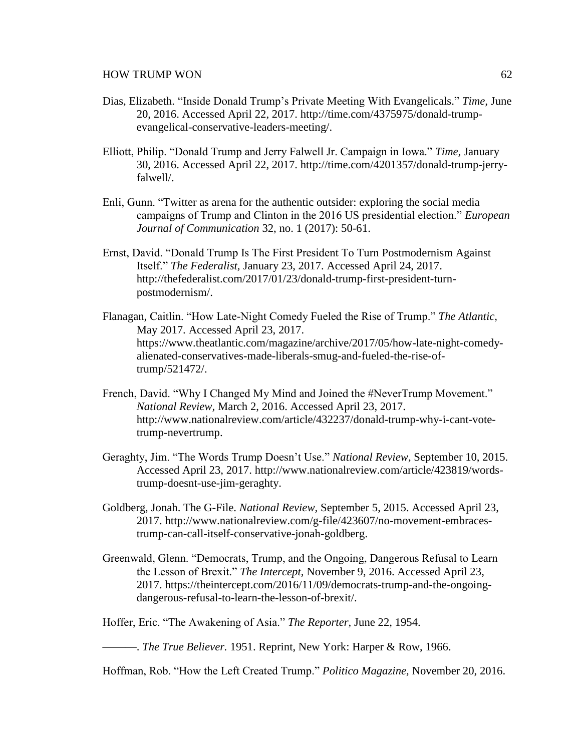- Dias, Elizabeth. "Inside Donald Trump's Private Meeting With Evangelicals." *Time,* June 20, 2016. Accessed April 22, 2017. http://time.com/4375975/donald-trumpevangelical-conservative-leaders-meeting/.
- Elliott, Philip. "Donald Trump and Jerry Falwell Jr. Campaign in Iowa." *Time,* January 30, 2016. Accessed April 22, 2017. http://time.com/4201357/donald-trump-jerryfalwell/.
- Enli, Gunn. "Twitter as arena for the authentic outsider: exploring the social media campaigns of Trump and Clinton in the 2016 US presidential election." *European Journal of Communication* 32, no. 1 (2017): 50-61.
- Ernst, David. "Donald Trump Is The First President To Turn Postmodernism Against Itself." *The Federalist,* January 23, 2017. Accessed April 24, 2017. http://thefederalist.com/2017/01/23/donald-trump-first-president-turnpostmodernism/.
- Flanagan, Caitlin. "How Late-Night Comedy Fueled the Rise of Trump." *The Atlantic,* May 2017. Accessed April 23, 2017. https://www.theatlantic.com/magazine/archive/2017/05/how-late-night-comedyalienated-conservatives-made-liberals-smug-and-fueled-the-rise-oftrump/521472/.
- French, David. "Why I Changed My Mind and Joined the #NeverTrump Movement." *National Review,* March 2, 2016. Accessed April 23, 2017. http://www.nationalreview.com/article/432237/donald-trump-why-i-cant-votetrump-nevertrump.
- Geraghty, Jim. "The Words Trump Doesn't Use." *National Review,* September 10, 2015. Accessed April 23, 2017. http://www.nationalreview.com/article/423819/wordstrump-doesnt-use-jim-geraghty.
- Goldberg, Jonah. The G-File. *National Review,* September 5, 2015. Accessed April 23, 2017. http://www.nationalreview.com/g-file/423607/no-movement-embracestrump-can-call-itself-conservative-jonah-goldberg.
- Greenwald, Glenn. "Democrats, Trump, and the Ongoing, Dangerous Refusal to Learn the Lesson of Brexit." *The Intercept,* November 9, 2016. Accessed April 23, 2017. https://theintercept.com/2016/11/09/democrats-trump-and-the-ongoingdangerous-refusal-to-learn-the-lesson-of-brexit/.

Hoffer, Eric. "The Awakening of Asia." *The Reporter,* June 22, 1954.

———. *The True Believer.* 1951. Reprint, New York: Harper & Row, 1966.

Hoffman, Rob. "How the Left Created Trump." *Politico Magazine,* November 20, 2016.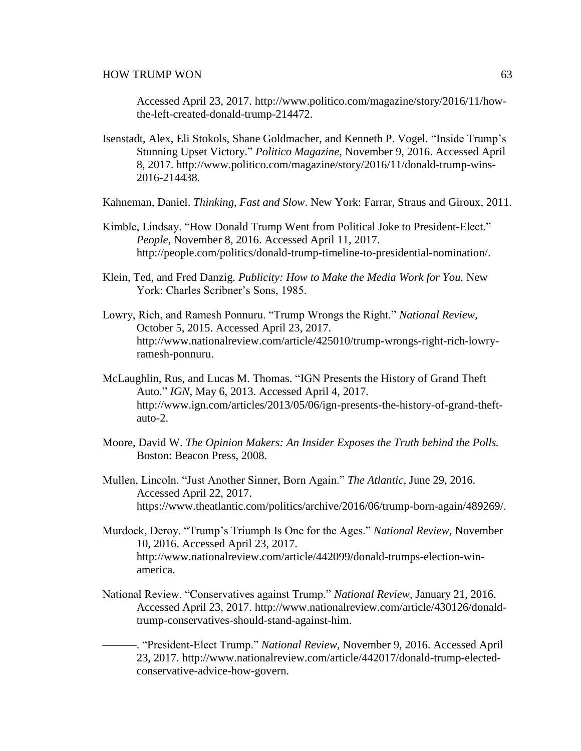Accessed April 23, 2017. http://www.politico.com/magazine/story/2016/11/howthe-left-created-donald-trump-214472.

Isenstadt, Alex, Eli Stokols, Shane Goldmacher, and Kenneth P. Vogel. "Inside Trump's Stunning Upset Victory." *Politico Magazine,* November 9, 2016. Accessed April 8, 2017. http://www.politico.com/magazine/story/2016/11/donald-trump-wins-2016-214438.

Kahneman, Daniel. *Thinking, Fast and Slow*. New York: Farrar, Straus and Giroux, 2011.

- Kimble, Lindsay. "How Donald Trump Went from Political Joke to President-Elect." *People,* November 8, 2016. Accessed April 11, 2017. http://people.com/politics/donald-trump-timeline-to-presidential-nomination/.
- Klein, Ted, and Fred Danzig. *Publicity: How to Make the Media Work for You.* New York: Charles Scribner's Sons, 1985.
- Lowry, Rich, and Ramesh Ponnuru. "Trump Wrongs the Right." *National Review,* October 5, 2015. Accessed April 23, 2017. http://www.nationalreview.com/article/425010/trump-wrongs-right-rich-lowryramesh-ponnuru.
- McLaughlin, Rus, and Lucas M. Thomas. "IGN Presents the History of Grand Theft Auto." *IGN,* May 6, 2013. Accessed April 4, 2017. http://www.ign.com/articles/2013/05/06/ign-presents-the-history-of-grand-theftauto-2.
- Moore, David W. *The Opinion Makers: An Insider Exposes the Truth behind the Polls.* Boston: Beacon Press, 2008.
- Mullen, Lincoln. "Just Another Sinner, Born Again." *The Atlantic,* June 29, 2016. Accessed April 22, 2017. https://www.theatlantic.com/politics/archive/2016/06/trump-born-again/489269/.
- Murdock, Deroy. "Trump's Triumph Is One for the Ages." *National Review,* November 10, 2016. Accessed April 23, 2017. http://www.nationalreview.com/article/442099/donald-trumps-election-winamerica.
- National Review. "Conservatives against Trump." *National Review,* January 21, 2016. Accessed April 23, 2017. http://www.nationalreview.com/article/430126/donaldtrump-conservatives-should-stand-against-him.
- ———. "President-Elect Trump." *National Review,* November 9, 2016. Accessed April 23, 2017. http://www.nationalreview.com/article/442017/donald-trump-electedconservative-advice-how-govern.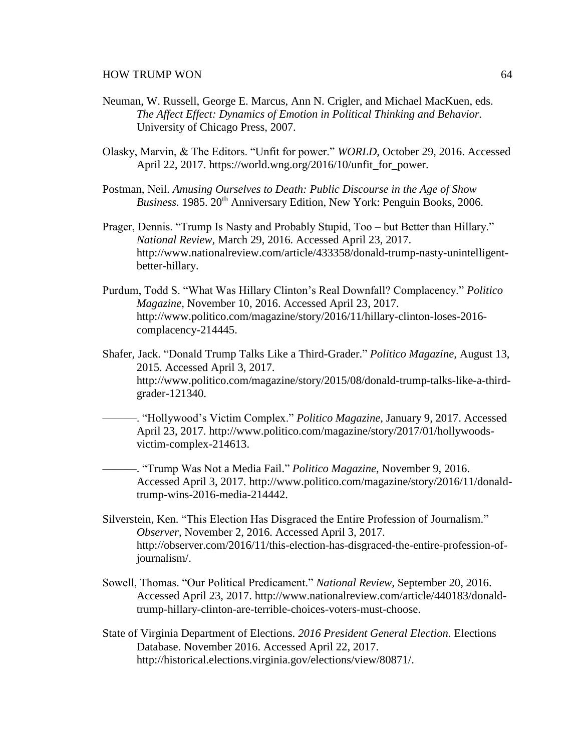- Neuman, W. Russell, George E. Marcus, Ann N. Crigler, and Michael MacKuen, eds. *The Affect Effect: Dynamics of Emotion in Political Thinking and Behavior.* University of Chicago Press, 2007.
- Olasky, Marvin, & The Editors. "Unfit for power." *WORLD,* October 29, 2016. Accessed April 22, 2017. https://world.wng.org/2016/10/unfit\_for\_power.
- Postman, Neil. *Amusing Ourselves to Death: Public Discourse in the Age of Show Business.* 1985. 20<sup>th</sup> Anniversary Edition, New York: Penguin Books, 2006.
- Prager, Dennis. "Trump Is Nasty and Probably Stupid, Too but Better than Hillary." *National Review,* March 29, 2016. Accessed April 23, 2017. http://www.nationalreview.com/article/433358/donald-trump-nasty-unintelligentbetter-hillary.
- Purdum, Todd S. "What Was Hillary Clinton's Real Downfall? Complacency." *Politico Magazine,* November 10, 2016. Accessed April 23, 2017. http://www.politico.com/magazine/story/2016/11/hillary-clinton-loses-2016 complacency-214445.
- Shafer, Jack. "Donald Trump Talks Like a Third-Grader." *Politico Magazine,* August 13, 2015. Accessed April 3, 2017. http://www.politico.com/magazine/story/2015/08/donald-trump-talks-like-a-thirdgrader-121340.
	- ———. "Hollywood's Victim Complex." *Politico Magazine,* January 9, 2017. Accessed April 23, 2017. http://www.politico.com/magazine/story/2017/01/hollywoodsvictim-complex-214613.
	- ———. "Trump Was Not a Media Fail." *Politico Magazine,* November 9, 2016. Accessed April 3, 2017. http://www.politico.com/magazine/story/2016/11/donaldtrump-wins-2016-media-214442.
- Silverstein, Ken. "This Election Has Disgraced the Entire Profession of Journalism." *Observer,* November 2, 2016. Accessed April 3, 2017. http://observer.com/2016/11/this-election-has-disgraced-the-entire-profession-ofjournalism/.
- Sowell, Thomas. "Our Political Predicament." *National Review,* September 20, 2016. Accessed April 23, 2017. http://www.nationalreview.com/article/440183/donaldtrump-hillary-clinton-are-terrible-choices-voters-must-choose.
- State of Virginia Department of Elections. *2016 President General Election.* Elections Database. November 2016. Accessed April 22, 2017. http://historical.elections.virginia.gov/elections/view/80871/.